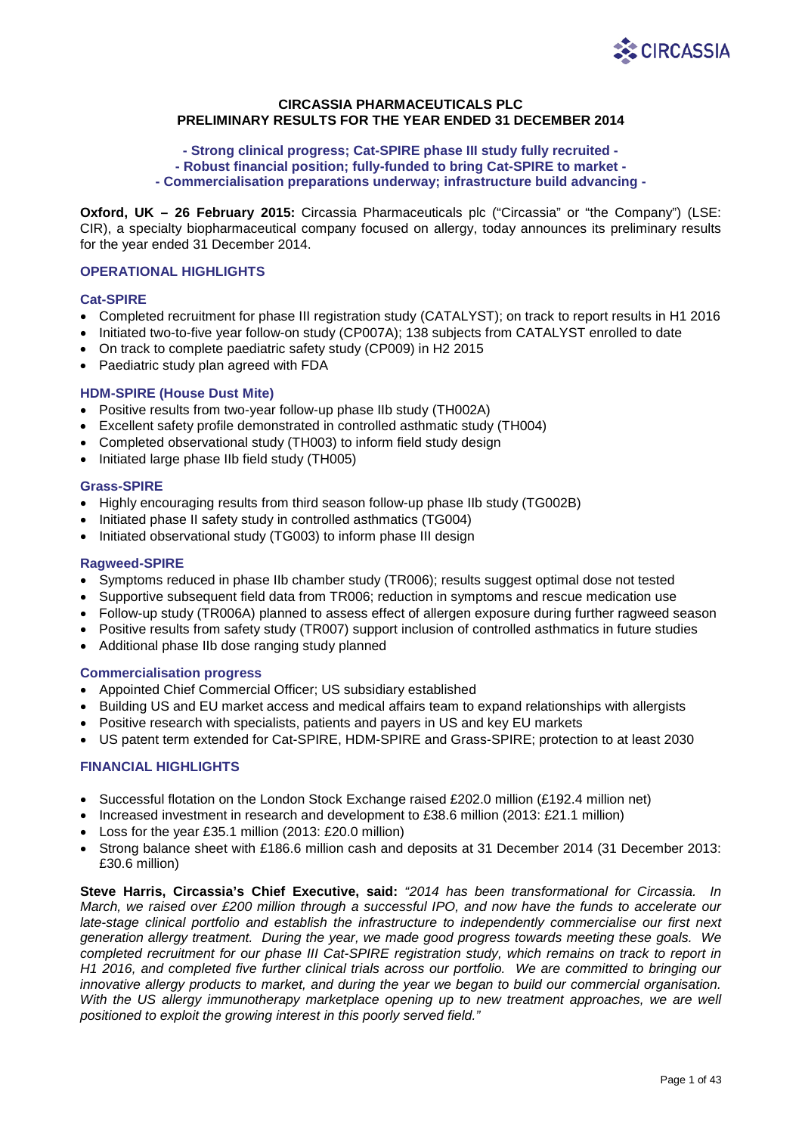

# **CIRCASSIA PHARMACEUTICALS PLC PRELIMINARY RESULTS FOR THE YEAR ENDED 31 DECEMBER 2014**

## **- Strong clinical progress; Cat-SPIRE phase III study fully recruited - - Robust financial position; fully-funded to bring Cat-SPIRE to market - - Commercialisation preparations underway; infrastructure build advancing -**

**Oxford, UK – 26 February 2015:** Circassia Pharmaceuticals plc ("Circassia" or "the Company") (LSE: CIR), a specialty biopharmaceutical company focused on allergy, today announces its preliminary results for the year ended 31 December 2014.

## **OPERATIONAL HIGHLIGHTS**

## **Cat-SPIRE**

- Completed recruitment for phase III registration study (CATALYST); on track to report results in H1 2016
- Initiated two-to-five year follow-on study (CP007A); 138 subjects from CATALYST enrolled to date
- On track to complete paediatric safety study (CP009) in H2 2015
- Paediatric study plan agreed with FDA

## **HDM-SPIRE (House Dust Mite)**

- Positive results from two-year follow-up phase IIb study (TH002A)
- Excellent safety profile demonstrated in controlled asthmatic study (TH004)
- Completed observational study (TH003) to inform field study design
- Initiated large phase IIb field study (TH005)

## **Grass-SPIRE**

- Highly encouraging results from third season follow-up phase IIb study (TG002B)
- Initiated phase II safety study in controlled asthmatics (TG004)
- Initiated observational study (TG003) to inform phase III design

## **Ragweed-SPIRE**

- Symptoms reduced in phase IIb chamber study (TR006); results suggest optimal dose not tested
- Supportive subsequent field data from TR006; reduction in symptoms and rescue medication use
- Follow-up study (TR006A) planned to assess effect of allergen exposure during further ragweed season
- Positive results from safety study (TR007) support inclusion of controlled asthmatics in future studies
- Additional phase IIb dose ranging study planned

## **Commercialisation progress**

- Appointed Chief Commercial Officer; US subsidiary established
- Building US and EU market access and medical affairs team to expand relationships with allergists
- Positive research with specialists, patients and payers in US and key EU markets
- US patent term extended for Cat-SPIRE, HDM-SPIRE and Grass-SPIRE; protection to at least 2030

## **FINANCIAL HIGHLIGHTS**

- Successful flotation on the London Stock Exchange raised £202.0 million (£192.4 million net)
- Increased investment in research and development to £38.6 million (2013: £21.1 million)
- Loss for the year £35.1 million (2013: £20.0 million)
- Strong balance sheet with £186.6 million cash and deposits at 31 December 2014 (31 December 2013: £30.6 million)

**Steve Harris, Circassia's Chief Executive, said:** *"2014 has been transformational for Circassia. In March, we raised over £200 million through a successful IPO, and now have the funds to accelerate our late-stage clinical portfolio and establish the infrastructure to independently commercialise our first next generation allergy treatment. During the year, we made good progress towards meeting these goals. We completed recruitment for our phase III Cat-SPIRE registration study, which remains on track to report in H1 2016, and completed five further clinical trials across our portfolio. We are committed to bringing our innovative allergy products to market, and during the year we began to build our commercial organisation. With the US allergy immunotherapy marketplace opening up to new treatment approaches, we are well positioned to exploit the growing interest in this poorly served field."*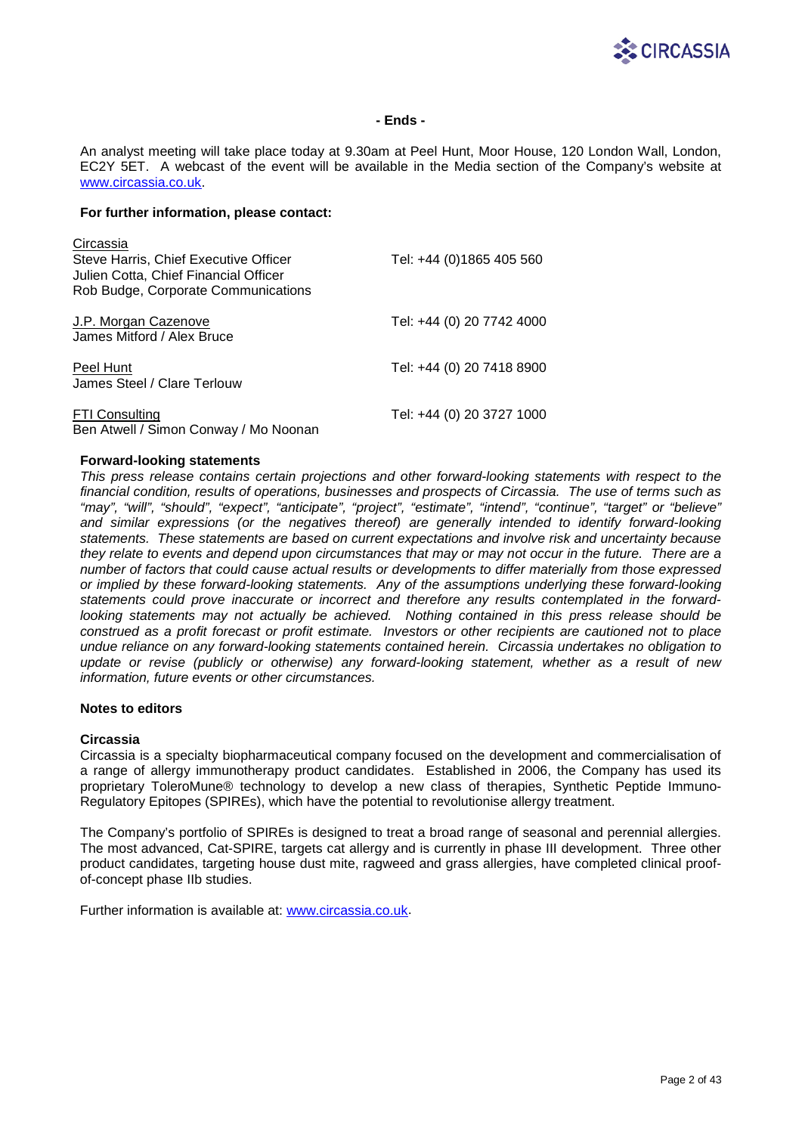

## **- Ends -**

An analyst meeting will take place today at 9.30am at Peel Hunt, Moor House, 120 London Wall, London, EC2Y 5ET. A webcast of the event will be available in the Media section of the Company's website at [www.circassia.co.uk.](http://www.circassia.co.uk/)

## **For further information, please contact:**

| Circassia<br>Steve Harris, Chief Executive Officer<br>Julien Cotta, Chief Financial Officer<br>Rob Budge, Corporate Communications | Tel: +44 (0)1865 405 560  |
|------------------------------------------------------------------------------------------------------------------------------------|---------------------------|
| J.P. Morgan Cazenove<br>James Mitford / Alex Bruce                                                                                 | Tel: +44 (0) 20 7742 4000 |
| Peel Hunt<br>James Steel / Clare Terlouw                                                                                           | Tel: +44 (0) 20 7418 8900 |
| <b>FTI Consulting</b><br>Ben Atwell / Simon Conway / Mo Noonan                                                                     | Tel: +44 (0) 20 3727 1000 |

## **Forward-looking statements**

*This press release contains certain projections and other forward-looking statements with respect to the financial condition, results of operations, businesses and prospects of Circassia. The use of terms such as "may", "will", "should", "expect", "anticipate", "project", "estimate", "intend", "continue", "target" or "believe" and similar expressions (or the negatives thereof) are generally intended to identify forward-looking statements. These statements are based on current expectations and involve risk and uncertainty because they relate to events and depend upon circumstances that may or may not occur in the future. There are a number of factors that could cause actual results or developments to differ materially from those expressed or implied by these forward-looking statements. Any of the assumptions underlying these forward-looking statements could prove inaccurate or incorrect and therefore any results contemplated in the forwardlooking statements may not actually be achieved. Nothing contained in this press release should be construed as a profit forecast or profit estimate. Investors or other recipients are cautioned not to place undue reliance on any forward-looking statements contained herein. Circassia undertakes no obligation to update or revise (publicly or otherwise) any forward-looking statement, whether as a result of new information, future events or other circumstances.*

### **Notes to editors**

### **Circassia**

Circassia is a specialty biopharmaceutical company focused on the development and commercialisation of a range of allergy immunotherapy product candidates. Established in 2006, the Company has used its proprietary ToleroMune® technology to develop a new class of therapies, Synthetic Peptide Immuno-Regulatory Epitopes (SPIREs), which have the potential to revolutionise allergy treatment.

The Company's portfolio of SPIREs is designed to treat a broad range of seasonal and perennial allergies. The most advanced, Cat-SPIRE, targets cat allergy and is currently in phase III development. Three other product candidates, targeting house dust mite, ragweed and grass allergies, have completed clinical proofof-concept phase IIb studies.

Further information is available at: [www.circassia.co.uk.](http://www.circassia.co.uk/)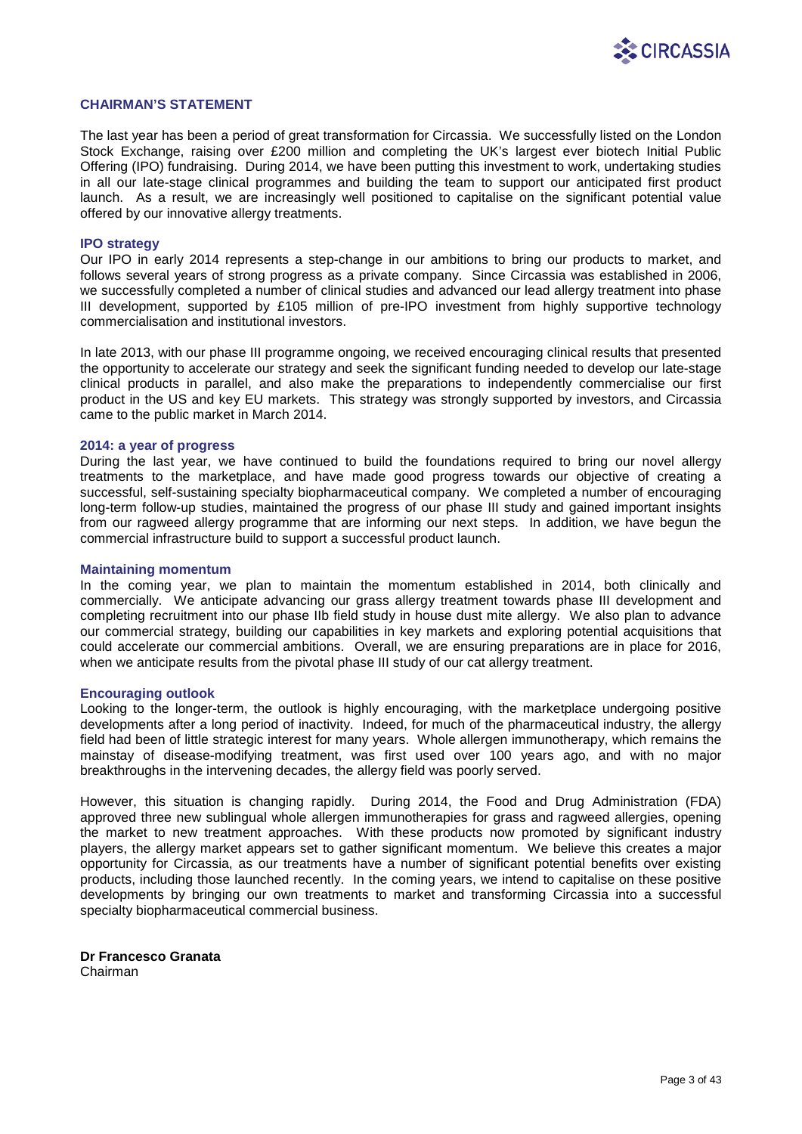

### **CHAIRMAN'S STATEMENT**

The last year has been a period of great transformation for Circassia. We successfully listed on the London Stock Exchange, raising over £200 million and completing the UK's largest ever biotech Initial Public Offering (IPO) fundraising. During 2014, we have been putting this investment to work, undertaking studies in all our late-stage clinical programmes and building the team to support our anticipated first product launch. As a result, we are increasingly well positioned to capitalise on the significant potential value offered by our innovative allergy treatments.

### **IPO strategy**

Our IPO in early 2014 represents a step-change in our ambitions to bring our products to market, and follows several years of strong progress as a private company. Since Circassia was established in 2006, we successfully completed a number of clinical studies and advanced our lead allergy treatment into phase III development, supported by £105 million of pre-IPO investment from highly supportive technology commercialisation and institutional investors.

In late 2013, with our phase III programme ongoing, we received encouraging clinical results that presented the opportunity to accelerate our strategy and seek the significant funding needed to develop our late-stage clinical products in parallel, and also make the preparations to independently commercialise our first product in the US and key EU markets. This strategy was strongly supported by investors, and Circassia came to the public market in March 2014.

#### **2014: a year of progress**

During the last year, we have continued to build the foundations required to bring our novel allergy treatments to the marketplace, and have made good progress towards our objective of creating a successful, self-sustaining specialty biopharmaceutical company. We completed a number of encouraging long-term follow-up studies, maintained the progress of our phase III study and gained important insights from our ragweed allergy programme that are informing our next steps. In addition, we have begun the commercial infrastructure build to support a successful product launch.

#### **Maintaining momentum**

In the coming year, we plan to maintain the momentum established in 2014, both clinically and commercially. We anticipate advancing our grass allergy treatment towards phase III development and completing recruitment into our phase IIb field study in house dust mite allergy. We also plan to advance our commercial strategy, building our capabilities in key markets and exploring potential acquisitions that could accelerate our commercial ambitions. Overall, we are ensuring preparations are in place for 2016, when we anticipate results from the pivotal phase III study of our cat allergy treatment.

### **Encouraging outlook**

Looking to the longer-term, the outlook is highly encouraging, with the marketplace undergoing positive developments after a long period of inactivity. Indeed, for much of the pharmaceutical industry, the allergy field had been of little strategic interest for many years. Whole allergen immunotherapy, which remains the mainstay of disease-modifying treatment, was first used over 100 years ago, and with no major breakthroughs in the intervening decades, the allergy field was poorly served.

However, this situation is changing rapidly. During 2014, the Food and Drug Administration (FDA) approved three new sublingual whole allergen immunotherapies for grass and ragweed allergies, opening the market to new treatment approaches. With these products now promoted by significant industry players, the allergy market appears set to gather significant momentum. We believe this creates a major opportunity for Circassia, as our treatments have a number of significant potential benefits over existing products, including those launched recently. In the coming years, we intend to capitalise on these positive developments by bringing our own treatments to market and transforming Circassia into a successful specialty biopharmaceutical commercial business.

**Dr Francesco Granata** Chairman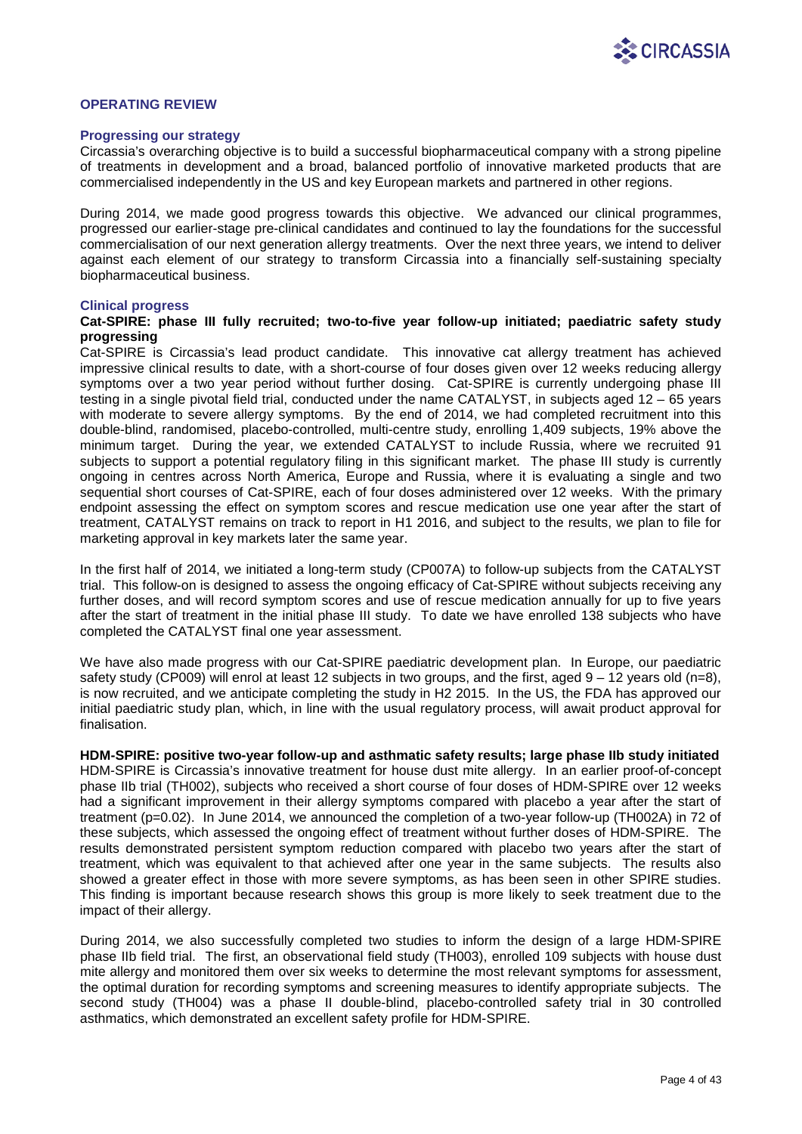

### **OPERATING REVIEW**

#### **Progressing our strategy**

Circassia's overarching objective is to build a successful biopharmaceutical company with a strong pipeline of treatments in development and a broad, balanced portfolio of innovative marketed products that are commercialised independently in the US and key European markets and partnered in other regions.

During 2014, we made good progress towards this objective. We advanced our clinical programmes, progressed our earlier-stage pre-clinical candidates and continued to lay the foundations for the successful commercialisation of our next generation allergy treatments. Over the next three years, we intend to deliver against each element of our strategy to transform Circassia into a financially self-sustaining specialty biopharmaceutical business.

### **Clinical progress**

### **Cat-SPIRE: phase III fully recruited; two-to-five year follow-up initiated; paediatric safety study progressing**

Cat-SPIRE is Circassia's lead product candidate. This innovative cat allergy treatment has achieved impressive clinical results to date, with a short-course of four doses given over 12 weeks reducing allergy symptoms over a two year period without further dosing. Cat-SPIRE is currently undergoing phase III testing in a single pivotal field trial, conducted under the name CATALYST, in subjects aged 12 – 65 years with moderate to severe allergy symptoms. By the end of 2014, we had completed recruitment into this double-blind, randomised, placebo-controlled, multi-centre study, enrolling 1,409 subjects, 19% above the minimum target. During the year, we extended CATALYST to include Russia, where we recruited 91 subjects to support a potential regulatory filing in this significant market. The phase III study is currently ongoing in centres across North America, Europe and Russia, where it is evaluating a single and two sequential short courses of Cat-SPIRE, each of four doses administered over 12 weeks. With the primary endpoint assessing the effect on symptom scores and rescue medication use one year after the start of treatment, CATALYST remains on track to report in H1 2016, and subject to the results, we plan to file for marketing approval in key markets later the same year.

In the first half of 2014, we initiated a long-term study (CP007A) to follow-up subjects from the CATALYST trial. This follow-on is designed to assess the ongoing efficacy of Cat-SPIRE without subjects receiving any further doses, and will record symptom scores and use of rescue medication annually for up to five years after the start of treatment in the initial phase III study. To date we have enrolled 138 subjects who have completed the CATALYST final one year assessment.

We have also made progress with our Cat-SPIRE paediatric development plan. In Europe, our paediatric safety study (CP009) will enrol at least 12 subjects in two groups, and the first, aged 9 – 12 years old (n=8), is now recruited, and we anticipate completing the study in H2 2015. In the US, the FDA has approved our initial paediatric study plan, which, in line with the usual regulatory process, will await product approval for finalisation.

**HDM-SPIRE: positive two-year follow-up and asthmatic safety results; large phase IIb study initiated** HDM-SPIRE is Circassia's innovative treatment for house dust mite allergy. In an earlier proof-of-concept phase IIb trial (TH002), subjects who received a short course of four doses of HDM-SPIRE over 12 weeks had a significant improvement in their allergy symptoms compared with placebo a year after the start of treatment (p=0.02). In June 2014, we announced the completion of a two-year follow-up (TH002A) in 72 of these subjects, which assessed the ongoing effect of treatment without further doses of HDM-SPIRE. The results demonstrated persistent symptom reduction compared with placebo two years after the start of treatment, which was equivalent to that achieved after one year in the same subjects. The results also showed a greater effect in those with more severe symptoms, as has been seen in other SPIRE studies. This finding is important because research shows this group is more likely to seek treatment due to the impact of their allergy.

During 2014, we also successfully completed two studies to inform the design of a large HDM-SPIRE phase IIb field trial. The first, an observational field study (TH003), enrolled 109 subjects with house dust mite allergy and monitored them over six weeks to determine the most relevant symptoms for assessment, the optimal duration for recording symptoms and screening measures to identify appropriate subjects. The second study (TH004) was a phase II double-blind, placebo-controlled safety trial in 30 controlled asthmatics, which demonstrated an excellent safety profile for HDM-SPIRE.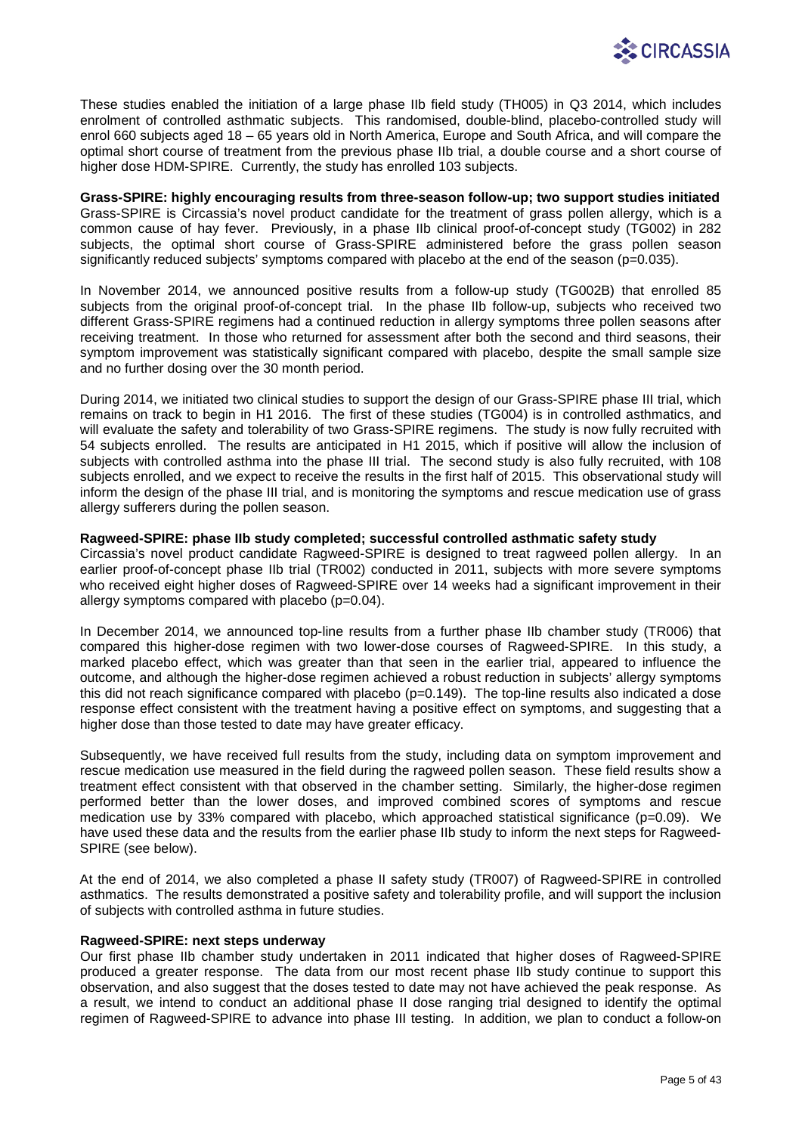

These studies enabled the initiation of a large phase IIb field study (TH005) in Q3 2014, which includes enrolment of controlled asthmatic subjects. This randomised, double-blind, placebo-controlled study will enrol 660 subjects aged 18 – 65 years old in North America, Europe and South Africa, and will compare the optimal short course of treatment from the previous phase IIb trial, a double course and a short course of higher dose HDM-SPIRE. Currently, the study has enrolled 103 subjects.

**Grass-SPIRE: highly encouraging results from three-season follow-up; two support studies initiated** Grass-SPIRE is Circassia's novel product candidate for the treatment of grass pollen allergy, which is a common cause of hay fever. Previously, in a phase IIb clinical proof-of-concept study (TG002) in 282 subjects, the optimal short course of Grass-SPIRE administered before the grass pollen season significantly reduced subjects' symptoms compared with placebo at the end of the season (p=0.035).

In November 2014, we announced positive results from a follow-up study (TG002B) that enrolled 85 subjects from the original proof-of-concept trial. In the phase IIb follow-up, subjects who received two different Grass-SPIRE regimens had a continued reduction in allergy symptoms three pollen seasons after receiving treatment. In those who returned for assessment after both the second and third seasons, their symptom improvement was statistically significant compared with placebo, despite the small sample size and no further dosing over the 30 month period.

During 2014, we initiated two clinical studies to support the design of our Grass-SPIRE phase III trial, which remains on track to begin in H1 2016. The first of these studies (TG004) is in controlled asthmatics, and will evaluate the safety and tolerability of two Grass-SPIRE regimens. The study is now fully recruited with 54 subjects enrolled. The results are anticipated in H1 2015, which if positive will allow the inclusion of subjects with controlled asthma into the phase III trial. The second study is also fully recruited, with 108 subjects enrolled, and we expect to receive the results in the first half of 2015. This observational study will inform the design of the phase III trial, and is monitoring the symptoms and rescue medication use of grass allergy sufferers during the pollen season.

## **Ragweed-SPIRE: phase IIb study completed; successful controlled asthmatic safety study**

Circassia's novel product candidate Ragweed-SPIRE is designed to treat ragweed pollen allergy. In an earlier proof-of-concept phase IIb trial (TR002) conducted in 2011, subjects with more severe symptoms who received eight higher doses of Ragweed-SPIRE over 14 weeks had a significant improvement in their allergy symptoms compared with placebo (p=0.04).

In December 2014, we announced top-line results from a further phase IIb chamber study (TR006) that compared this higher-dose regimen with two lower-dose courses of Ragweed-SPIRE. In this study, a marked placebo effect, which was greater than that seen in the earlier trial, appeared to influence the outcome, and although the higher-dose regimen achieved a robust reduction in subjects' allergy symptoms this did not reach significance compared with placebo (p=0.149). The top-line results also indicated a dose response effect consistent with the treatment having a positive effect on symptoms, and suggesting that a higher dose than those tested to date may have greater efficacy.

Subsequently, we have received full results from the study, including data on symptom improvement and rescue medication use measured in the field during the ragweed pollen season. These field results show a treatment effect consistent with that observed in the chamber setting. Similarly, the higher-dose regimen performed better than the lower doses, and improved combined scores of symptoms and rescue medication use by 33% compared with placebo, which approached statistical significance (p=0.09). We have used these data and the results from the earlier phase IIb study to inform the next steps for Ragweed-SPIRE (see below).

At the end of 2014, we also completed a phase II safety study (TR007) of Ragweed-SPIRE in controlled asthmatics. The results demonstrated a positive safety and tolerability profile, and will support the inclusion of subjects with controlled asthma in future studies.

### **Ragweed-SPIRE: next steps underway**

Our first phase IIb chamber study undertaken in 2011 indicated that higher doses of Ragweed-SPIRE produced a greater response. The data from our most recent phase IIb study continue to support this observation, and also suggest that the doses tested to date may not have achieved the peak response. As a result, we intend to conduct an additional phase II dose ranging trial designed to identify the optimal regimen of Ragweed-SPIRE to advance into phase III testing. In addition, we plan to conduct a follow-on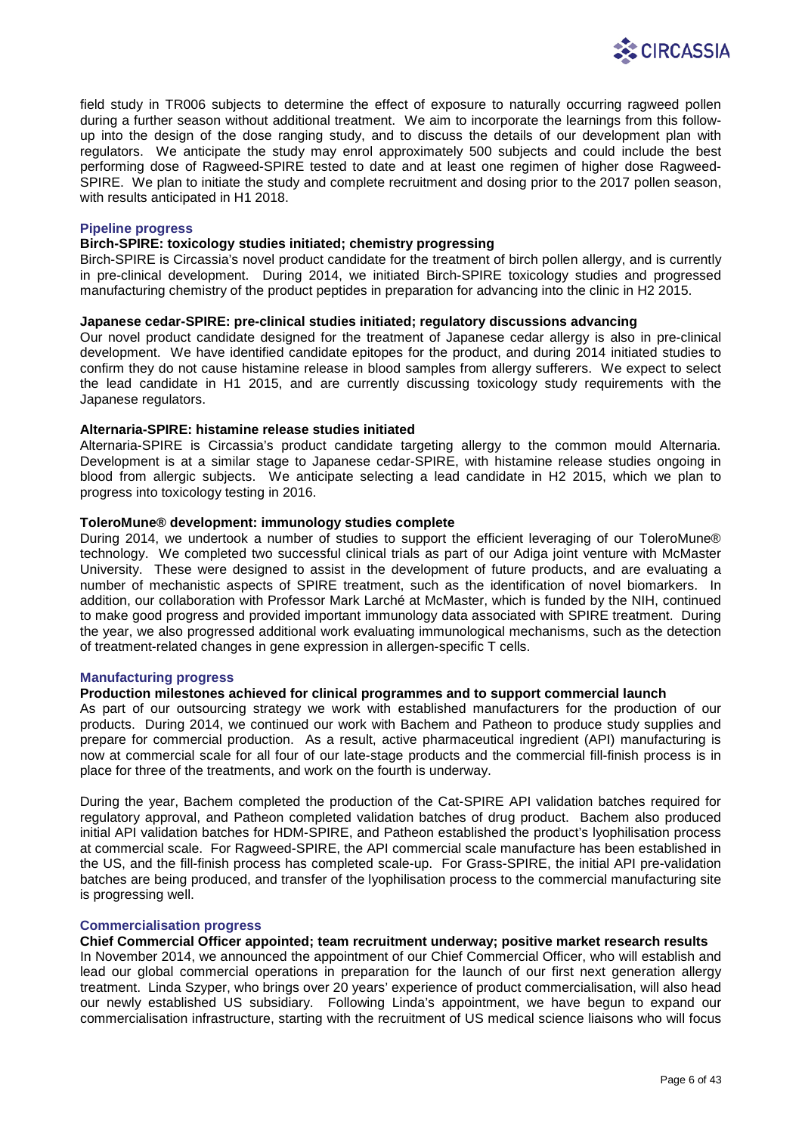

field study in TR006 subjects to determine the effect of exposure to naturally occurring ragweed pollen during a further season without additional treatment. We aim to incorporate the learnings from this followup into the design of the dose ranging study, and to discuss the details of our development plan with regulators. We anticipate the study may enrol approximately 500 subjects and could include the best performing dose of Ragweed-SPIRE tested to date and at least one regimen of higher dose Ragweed-SPIRE. We plan to initiate the study and complete recruitment and dosing prior to the 2017 pollen season, with results anticipated in H1 2018.

### **Pipeline progress**

## **Birch-SPIRE: toxicology studies initiated; chemistry progressing**

Birch-SPIRE is Circassia's novel product candidate for the treatment of birch pollen allergy, and is currently in pre-clinical development. During 2014, we initiated Birch-SPIRE toxicology studies and progressed manufacturing chemistry of the product peptides in preparation for advancing into the clinic in H2 2015.

## **Japanese cedar-SPIRE: pre-clinical studies initiated; regulatory discussions advancing**

Our novel product candidate designed for the treatment of Japanese cedar allergy is also in pre-clinical development. We have identified candidate epitopes for the product, and during 2014 initiated studies to confirm they do not cause histamine release in blood samples from allergy sufferers. We expect to select the lead candidate in H1 2015, and are currently discussing toxicology study requirements with the Japanese regulators.

## **Alternaria-SPIRE: histamine release studies initiated**

Alternaria-SPIRE is Circassia's product candidate targeting allergy to the common mould Alternaria. Development is at a similar stage to Japanese cedar-SPIRE, with histamine release studies ongoing in blood from allergic subjects. We anticipate selecting a lead candidate in H2 2015, which we plan to progress into toxicology testing in 2016.

## **ToleroMune® development: immunology studies complete**

During 2014, we undertook a number of studies to support the efficient leveraging of our ToleroMune® technology. We completed two successful clinical trials as part of our Adiga joint venture with McMaster University. These were designed to assist in the development of future products, and are evaluating a number of mechanistic aspects of SPIRE treatment, such as the identification of novel biomarkers. In addition, our collaboration with Professor Mark Larché at McMaster, which is funded by the NIH, continued to make good progress and provided important immunology data associated with SPIRE treatment. During the year, we also progressed additional work evaluating immunological mechanisms, such as the detection of treatment-related changes in gene expression in allergen-specific T cells.

## **Manufacturing progress**

## **Production milestones achieved for clinical programmes and to support commercial launch**

As part of our outsourcing strategy we work with established manufacturers for the production of our products. During 2014, we continued our work with Bachem and Patheon to produce study supplies and prepare for commercial production. As a result, active pharmaceutical ingredient (API) manufacturing is now at commercial scale for all four of our late-stage products and the commercial fill-finish process is in place for three of the treatments, and work on the fourth is underway.

During the year, Bachem completed the production of the Cat-SPIRE API validation batches required for regulatory approval, and Patheon completed validation batches of drug product. Bachem also produced initial API validation batches for HDM-SPIRE, and Patheon established the product's lyophilisation process at commercial scale. For Ragweed-SPIRE, the API commercial scale manufacture has been established in the US, and the fill-finish process has completed scale-up. For Grass-SPIRE, the initial API pre-validation batches are being produced, and transfer of the lyophilisation process to the commercial manufacturing site is progressing well.

### **Commercialisation progress**

## **Chief Commercial Officer appointed; team recruitment underway; positive market research results**

In November 2014, we announced the appointment of our Chief Commercial Officer, who will establish and lead our global commercial operations in preparation for the launch of our first next generation allergy treatment. Linda Szyper, who brings over 20 years' experience of product commercialisation, will also head our newly established US subsidiary. Following Linda's appointment, we have begun to expand our commercialisation infrastructure, starting with the recruitment of US medical science liaisons who will focus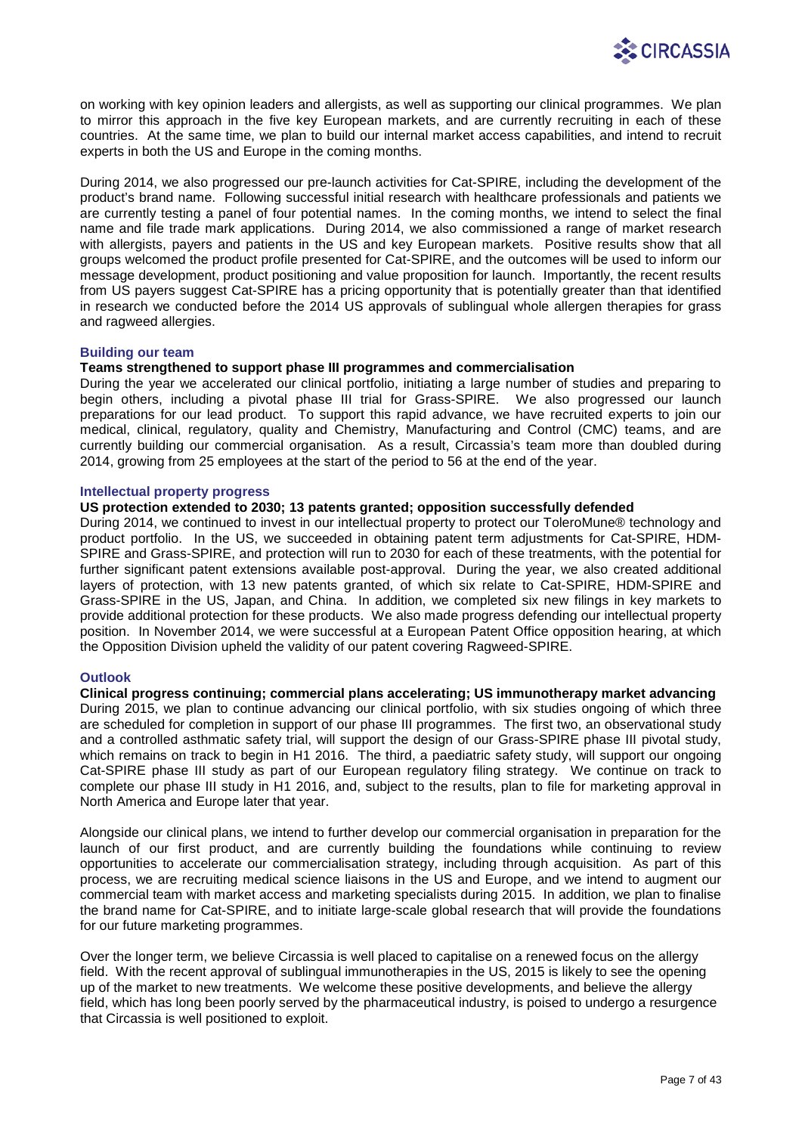

on working with key opinion leaders and allergists, as well as supporting our clinical programmes. We plan to mirror this approach in the five key European markets, and are currently recruiting in each of these countries. At the same time, we plan to build our internal market access capabilities, and intend to recruit experts in both the US and Europe in the coming months.

During 2014, we also progressed our pre-launch activities for Cat-SPIRE, including the development of the product's brand name. Following successful initial research with healthcare professionals and patients we are currently testing a panel of four potential names. In the coming months, we intend to select the final name and file trade mark applications. During 2014, we also commissioned a range of market research with allergists, payers and patients in the US and key European markets. Positive results show that all groups welcomed the product profile presented for Cat-SPIRE, and the outcomes will be used to inform our message development, product positioning and value proposition for launch. Importantly, the recent results from US payers suggest Cat-SPIRE has a pricing opportunity that is potentially greater than that identified in research we conducted before the 2014 US approvals of sublingual whole allergen therapies for grass and ragweed allergies.

## **Building our team**

## **Teams strengthened to support phase III programmes and commercialisation**

During the year we accelerated our clinical portfolio, initiating a large number of studies and preparing to begin others, including a pivotal phase III trial for Grass-SPIRE. We also progressed our launch preparations for our lead product. To support this rapid advance, we have recruited experts to join our medical, clinical, regulatory, quality and Chemistry, Manufacturing and Control (CMC) teams, and are currently building our commercial organisation. As a result, Circassia's team more than doubled during 2014, growing from 25 employees at the start of the period to 56 at the end of the year.

## **Intellectual property progress**

## **US protection extended to 2030; 13 patents granted; opposition successfully defended**

During 2014, we continued to invest in our intellectual property to protect our ToleroMune® technology and product portfolio. In the US, we succeeded in obtaining patent term adjustments for Cat-SPIRE, HDM-SPIRE and Grass-SPIRE, and protection will run to 2030 for each of these treatments, with the potential for further significant patent extensions available post-approval. During the year, we also created additional layers of protection, with 13 new patents granted, of which six relate to Cat-SPIRE, HDM-SPIRE and Grass-SPIRE in the US, Japan, and China. In addition, we completed six new filings in key markets to provide additional protection for these products. We also made progress defending our intellectual property position. In November 2014, we were successful at a European Patent Office opposition hearing, at which the Opposition Division upheld the validity of our patent covering Ragweed-SPIRE.

## **Outlook**

**Clinical progress continuing; commercial plans accelerating; US immunotherapy market advancing** During 2015, we plan to continue advancing our clinical portfolio, with six studies ongoing of which three are scheduled for completion in support of our phase III programmes. The first two, an observational study and a controlled asthmatic safety trial, will support the design of our Grass-SPIRE phase III pivotal study, which remains on track to begin in H1 2016. The third, a paediatric safety study, will support our ongoing Cat-SPIRE phase III study as part of our European regulatory filing strategy. We continue on track to complete our phase III study in H1 2016, and, subject to the results, plan to file for marketing approval in North America and Europe later that year.

Alongside our clinical plans, we intend to further develop our commercial organisation in preparation for the launch of our first product, and are currently building the foundations while continuing to review opportunities to accelerate our commercialisation strategy, including through acquisition. As part of this process, we are recruiting medical science liaisons in the US and Europe, and we intend to augment our commercial team with market access and marketing specialists during 2015. In addition, we plan to finalise the brand name for Cat-SPIRE, and to initiate large-scale global research that will provide the foundations for our future marketing programmes.

Over the longer term, we believe Circassia is well placed to capitalise on a renewed focus on the allergy field. With the recent approval of sublingual immunotherapies in the US, 2015 is likely to see the opening up of the market to new treatments. We welcome these positive developments, and believe the allergy field, which has long been poorly served by the pharmaceutical industry, is poised to undergo a resurgence that Circassia is well positioned to exploit.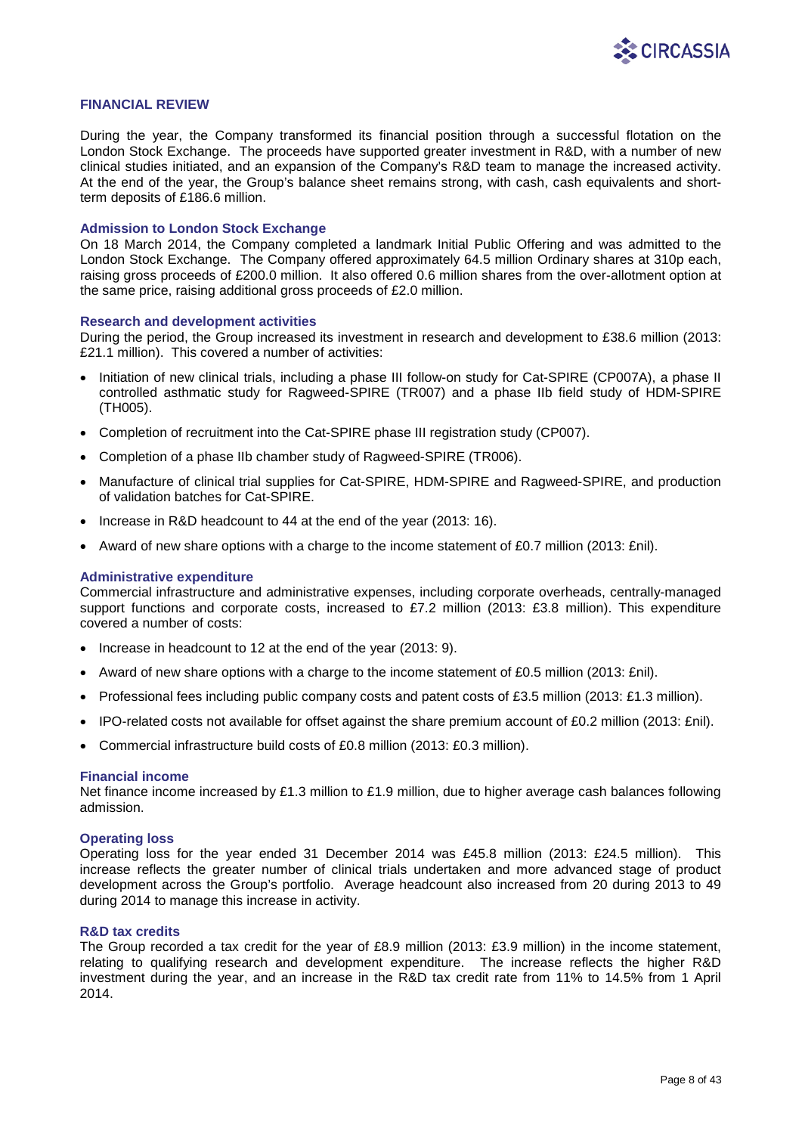

## **FINANCIAL REVIEW**

During the year, the Company transformed its financial position through a successful flotation on the London Stock Exchange. The proceeds have supported greater investment in R&D, with a number of new clinical studies initiated, and an expansion of the Company's R&D team to manage the increased activity. At the end of the year, the Group's balance sheet remains strong, with cash, cash equivalents and shortterm deposits of £186.6 million.

### **Admission to London Stock Exchange**

On 18 March 2014, the Company completed a landmark Initial Public Offering and was admitted to the London Stock Exchange. The Company offered approximately 64.5 million Ordinary shares at 310p each, raising gross proceeds of £200.0 million. It also offered 0.6 million shares from the over-allotment option at the same price, raising additional gross proceeds of £2.0 million.

#### **Research and development activities**

During the period, the Group increased its investment in research and development to £38.6 million (2013: £21.1 million). This covered a number of activities:

- Initiation of new clinical trials, including a phase III follow-on study for Cat-SPIRE (CP007A), a phase II controlled asthmatic study for Ragweed-SPIRE (TR007) and a phase IIb field study of HDM-SPIRE (TH005).
- Completion of recruitment into the Cat-SPIRE phase III registration study (CP007).
- Completion of a phase IIb chamber study of Ragweed-SPIRE (TR006).
- Manufacture of clinical trial supplies for Cat-SPIRE, HDM-SPIRE and Ragweed-SPIRE, and production of validation batches for Cat-SPIRE.
- Increase in R&D headcount to 44 at the end of the year (2013: 16).
- Award of new share options with a charge to the income statement of £0.7 million (2013: £nil).

#### **Administrative expenditure**

Commercial infrastructure and administrative expenses, including corporate overheads, centrally-managed support functions and corporate costs, increased to £7.2 million (2013: £3.8 million). This expenditure covered a number of costs:

- Increase in headcount to 12 at the end of the year (2013: 9).
- Award of new share options with a charge to the income statement of £0.5 million (2013: £nil).
- Professional fees including public company costs and patent costs of £3.5 million (2013: £1.3 million).
- IPO-related costs not available for offset against the share premium account of £0.2 million (2013: £nil).
- Commercial infrastructure build costs of £0.8 million (2013: £0.3 million).

#### **Financial income**

Net finance income increased by £1.3 million to £1.9 million, due to higher average cash balances following admission.

#### **Operating loss**

Operating loss for the year ended 31 December 2014 was £45.8 million (2013: £24.5 million). This increase reflects the greater number of clinical trials undertaken and more advanced stage of product development across the Group's portfolio. Average headcount also increased from 20 during 2013 to 49 during 2014 to manage this increase in activity.

#### **R&D tax credits**

The Group recorded a tax credit for the year of £8.9 million (2013: £3.9 million) in the income statement, relating to qualifying research and development expenditure. The increase reflects the higher R&D investment during the year, and an increase in the R&D tax credit rate from 11% to 14.5% from 1 April 2014.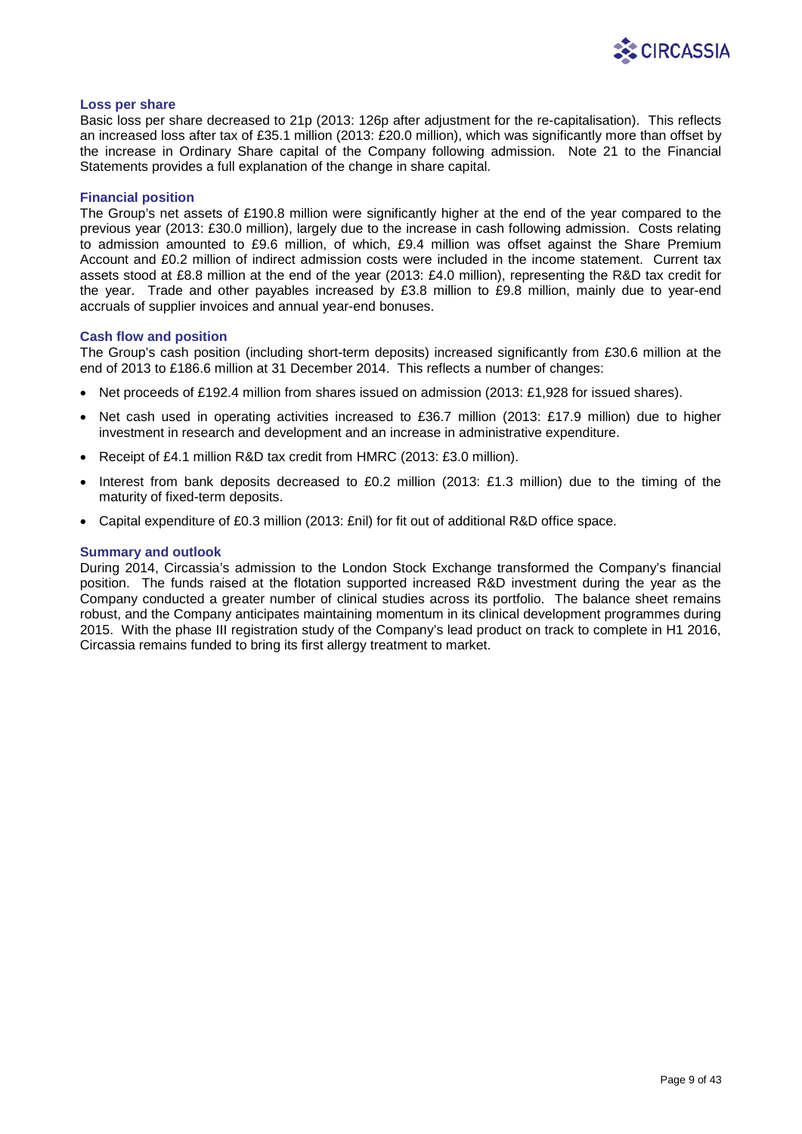

### **Loss per share**

Basic loss per share decreased to 21p (2013: 126p after adjustment for the re-capitalisation). This reflects an increased loss after tax of £35.1 million (2013: £20.0 million), which was significantly more than offset by the increase in Ordinary Share capital of the Company following admission. Note 21 to the Financial Statements provides a full explanation of the change in share capital.

### **Financial position**

The Group's net assets of £190.8 million were significantly higher at the end of the year compared to the previous year (2013: £30.0 million), largely due to the increase in cash following admission. Costs relating to admission amounted to £9.6 million, of which, £9.4 million was offset against the Share Premium Account and £0.2 million of indirect admission costs were included in the income statement. Current tax assets stood at £8.8 million at the end of the year (2013: £4.0 million), representing the R&D tax credit for the year. Trade and other payables increased by £3.8 million to £9.8 million, mainly due to year-end accruals of supplier invoices and annual year-end bonuses.

## **Cash flow and position**

The Group's cash position (including short-term deposits) increased significantly from £30.6 million at the end of 2013 to £186.6 million at 31 December 2014. This reflects a number of changes:

- Net proceeds of £192.4 million from shares issued on admission (2013: £1,928 for issued shares).
- Net cash used in operating activities increased to £36.7 million (2013: £17.9 million) due to higher investment in research and development and an increase in administrative expenditure.
- Receipt of £4.1 million R&D tax credit from HMRC (2013: £3.0 million).
- Interest from bank deposits decreased to £0.2 million (2013: £1.3 million) due to the timing of the maturity of fixed-term deposits.
- Capital expenditure of £0.3 million (2013: £nil) for fit out of additional R&D office space.

## **Summary and outlook**

During 2014, Circassia's admission to the London Stock Exchange transformed the Company's financial position. The funds raised at the flotation supported increased R&D investment during the year as the Company conducted a greater number of clinical studies across its portfolio. The balance sheet remains robust, and the Company anticipates maintaining momentum in its clinical development programmes during 2015. With the phase III registration study of the Company's lead product on track to complete in H1 2016, Circassia remains funded to bring its first allergy treatment to market.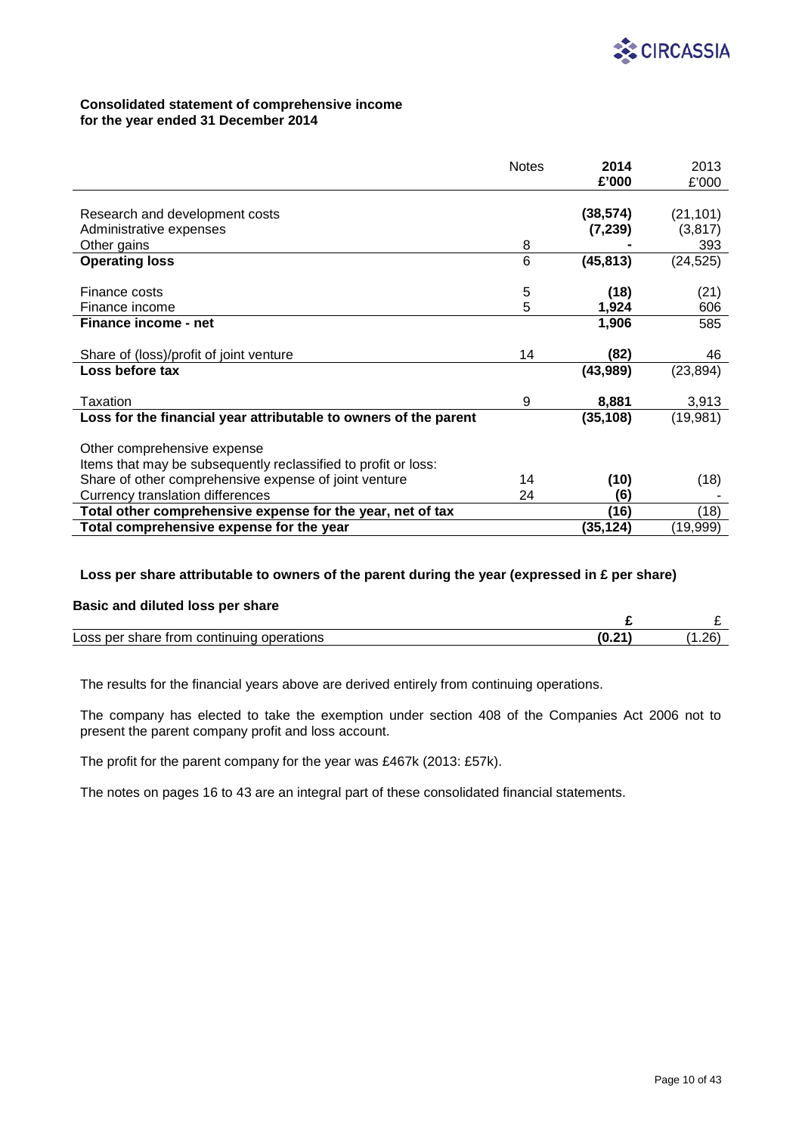

## **Consolidated statement of comprehensive income for the year ended 31 December 2014**

|                                                                  | <b>Notes</b> | 2014      | 2013      |
|------------------------------------------------------------------|--------------|-----------|-----------|
|                                                                  |              | £'000     | £'000     |
|                                                                  |              |           |           |
| Research and development costs                                   |              | (38, 574) | (21, 101) |
| Administrative expenses                                          |              | (7, 239)  | (3, 817)  |
| Other gains                                                      | 8            |           | 393       |
| <b>Operating loss</b>                                            | 6            | (45, 813) | (24, 525) |
|                                                                  |              |           |           |
| Finance costs                                                    | 5            | (18)      | (21)      |
| Finance income                                                   | 5            | 1,924     | 606       |
| Finance income - net                                             |              | 1,906     | 585       |
|                                                                  |              |           |           |
| Share of (loss)/profit of joint venture                          | 14           | (82)      | 46        |
| Loss before tax                                                  |              | (43, 989) | (23, 894) |
|                                                                  |              |           |           |
| Taxation                                                         | 9            | 8,881     | 3,913     |
| Loss for the financial year attributable to owners of the parent |              | (35, 108) | (19,981)  |
|                                                                  |              |           |           |
| Other comprehensive expense                                      |              |           |           |
| Items that may be subsequently reclassified to profit or loss:   |              |           |           |
| Share of other comprehensive expense of joint venture            | 14           | (10)      | (18)      |
| Currency translation differences                                 | 24           | (6)       |           |
| Total other comprehensive expense for the year, net of tax       |              | (16)      | (18)      |
| Total comprehensive expense for the year                         |              | (35,124)  | (19,999)  |

## **Loss per share attributable to owners of the parent during the year (expressed in £ per share)**

## **Basic and diluted loss per share**

| $-$<br>ıuınc<br>Loss<br>$\cdots$<br>----<br>ner<br>opera <sup>.</sup><br>auons<br>.an×<br>זו זי<br>1 e<br>ד - | (0.2) | റ<br>ں ے ، |
|---------------------------------------------------------------------------------------------------------------|-------|------------|

The results for the financial years above are derived entirely from continuing operations.

The company has elected to take the exemption under section 408 of the Companies Act 2006 not to present the parent company profit and loss account.

The profit for the parent company for the year was £467k (2013: £57k).

The notes on pages 16 to 43 are an integral part of these consolidated financial statements.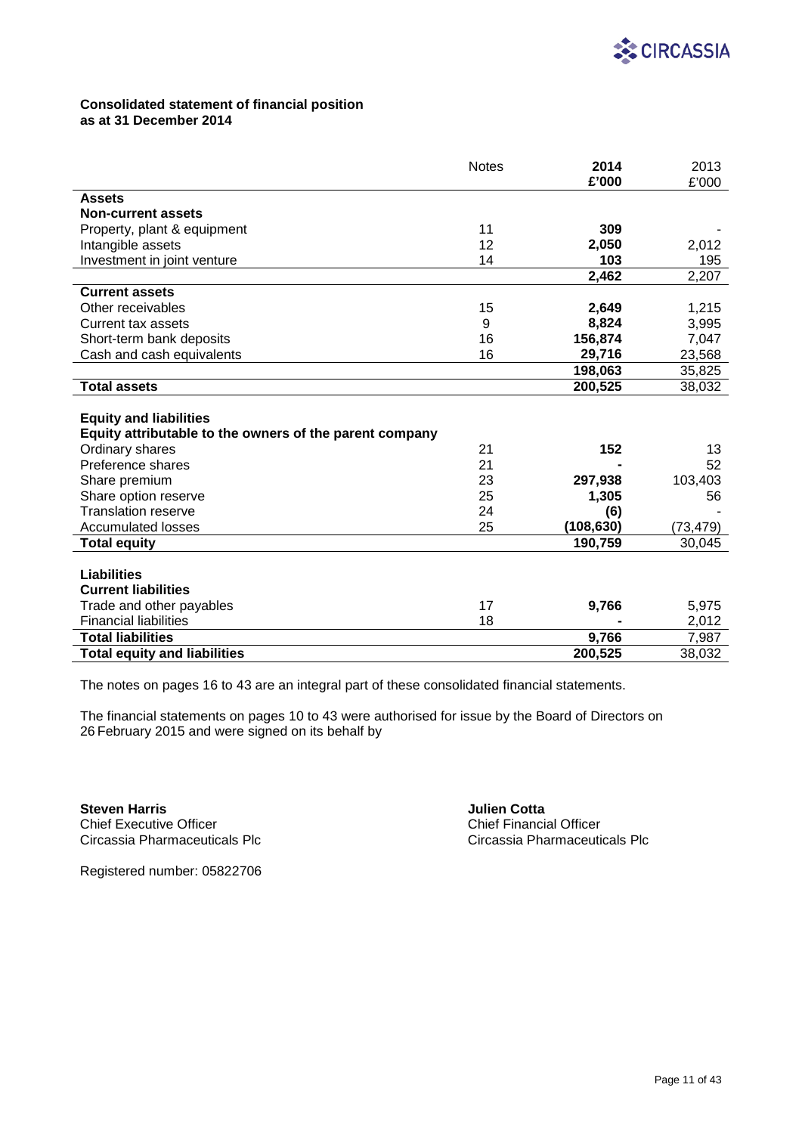

## **Consolidated statement of financial position as at 31 December 2014**

|                                                         | <b>Notes</b> | 2014       | 2013     |
|---------------------------------------------------------|--------------|------------|----------|
|                                                         |              | £'000      | £'000    |
| <b>Assets</b>                                           |              |            |          |
| <b>Non-current assets</b>                               |              |            |          |
| Property, plant & equipment                             | 11           | 309        |          |
| Intangible assets                                       | 12           | 2,050      | 2,012    |
| Investment in joint venture                             | 14           | 103        | 195      |
|                                                         |              | 2,462      | 2,207    |
| <b>Current assets</b>                                   |              |            |          |
| Other receivables                                       | 15           | 2,649      | 1,215    |
| Current tax assets                                      | 9            | 8,824      | 3,995    |
| Short-term bank deposits                                | 16           | 156,874    | 7,047    |
| Cash and cash equivalents                               | 16           | 29,716     | 23,568   |
|                                                         |              | 198,063    | 35,825   |
| <b>Total assets</b>                                     |              | 200,525    | 38,032   |
|                                                         |              |            |          |
| <b>Equity and liabilities</b>                           |              |            |          |
| Equity attributable to the owners of the parent company |              |            |          |
| Ordinary shares                                         | 21           | 152        | 13       |
| Preference shares                                       | 21           |            | 52       |
| Share premium                                           | 23           | 297,938    | 103,403  |
| Share option reserve                                    | 25           | 1,305      | 56       |
| <b>Translation reserve</b>                              | 24           | (6)        |          |
| <b>Accumulated losses</b>                               | 25           | (108, 630) | (73,479) |
| <b>Total equity</b>                                     |              | 190,759    | 30,045   |
|                                                         |              |            |          |
| <b>Liabilities</b>                                      |              |            |          |
| <b>Current liabilities</b>                              |              |            |          |
| Trade and other payables                                | 17           | 9,766      | 5,975    |
| <b>Financial liabilities</b>                            | 18           |            | 2,012    |
| <b>Total liabilities</b>                                |              | 9,766      | 7,987    |
| <b>Total equity and liabilities</b>                     |              | 200,525    | 38,032   |
|                                                         |              |            |          |

The notes on pages 16 to 43 are an integral part of these consolidated financial statements.

The financial statements on pages 10 to 43 were authorised for issue by the Board of Directors on 26 February 2015 and were signed on its behalf by

**Steven Harris Chief Executive Officer <b>Conta Chief Executive Officer Chief Executive Officer Chief Financial Officer** Chief Executive Officer<br>Circassia Pharmaceuticals Plc<br>Circassia Pharmaceuticals Plc Circassia Pharmaceuticals Plc

Registered number: 05822706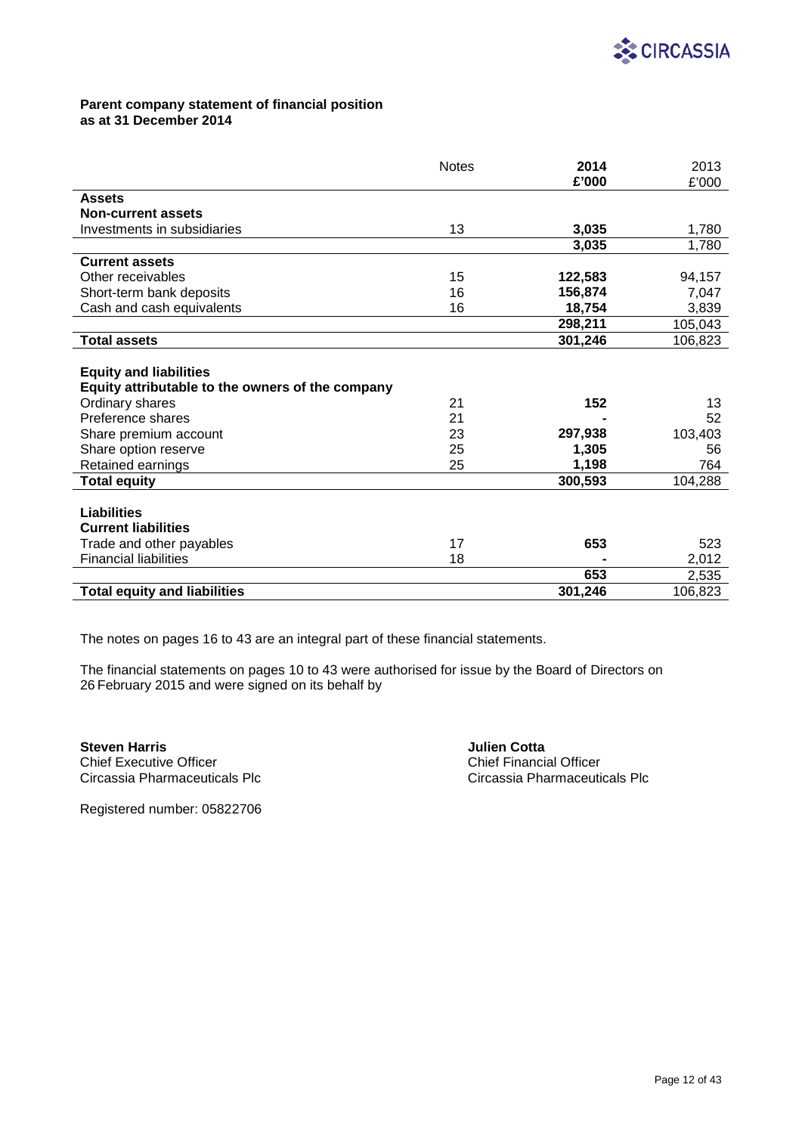

## **Parent company statement of financial position as at 31 December 2014**

|                                                  | <b>Notes</b> | 2014    | 2013    |
|--------------------------------------------------|--------------|---------|---------|
|                                                  |              | £'000   | £'000   |
| <b>Assets</b>                                    |              |         |         |
| <b>Non-current assets</b>                        |              |         |         |
| Investments in subsidiaries                      | 13           | 3,035   | 1,780   |
|                                                  |              | 3,035   | 1,780   |
| <b>Current assets</b>                            |              |         |         |
| Other receivables                                | 15           | 122,583 | 94,157  |
| Short-term bank deposits                         | 16           | 156,874 | 7,047   |
| Cash and cash equivalents                        | 16           | 18,754  | 3,839   |
|                                                  |              | 298,211 | 105,043 |
| <b>Total assets</b>                              |              | 301,246 | 106,823 |
|                                                  |              |         |         |
| <b>Equity and liabilities</b>                    |              |         |         |
| Equity attributable to the owners of the company |              |         |         |
| Ordinary shares                                  | 21           | 152     | 13      |
| Preference shares                                | 21           |         | 52      |
| Share premium account                            | 23           | 297,938 | 103,403 |
| Share option reserve                             | 25           | 1,305   | 56      |
| Retained earnings                                | 25           | 1,198   | 764     |
| <b>Total equity</b>                              |              | 300,593 | 104,288 |
|                                                  |              |         |         |
| <b>Liabilities</b>                               |              |         |         |
| <b>Current liabilities</b>                       |              |         |         |
| Trade and other payables                         | 17           | 653     | 523     |
| <b>Financial liabilities</b>                     | 18           |         | 2,012   |
|                                                  |              | 653     | 2,535   |
| <b>Total equity and liabilities</b>              |              | 301,246 | 106,823 |

The notes on pages 16 to 43 are an integral part of these financial statements.

The financial statements on pages 10 to 43 were authorised for issue by the Board of Directors on 26 February 2015 and were signed on its behalf by

**Steven Harris**<br> **Steven Harris Chief Executive Officer**<br> **Chief Executive Officer** Circassia Pharmaceuticals Plc

Chief Executive Officer<br>
Circassia Pharmaceuticals Plc<br>
Circassia Pharmaceuticals Plc

Registered number: 05822706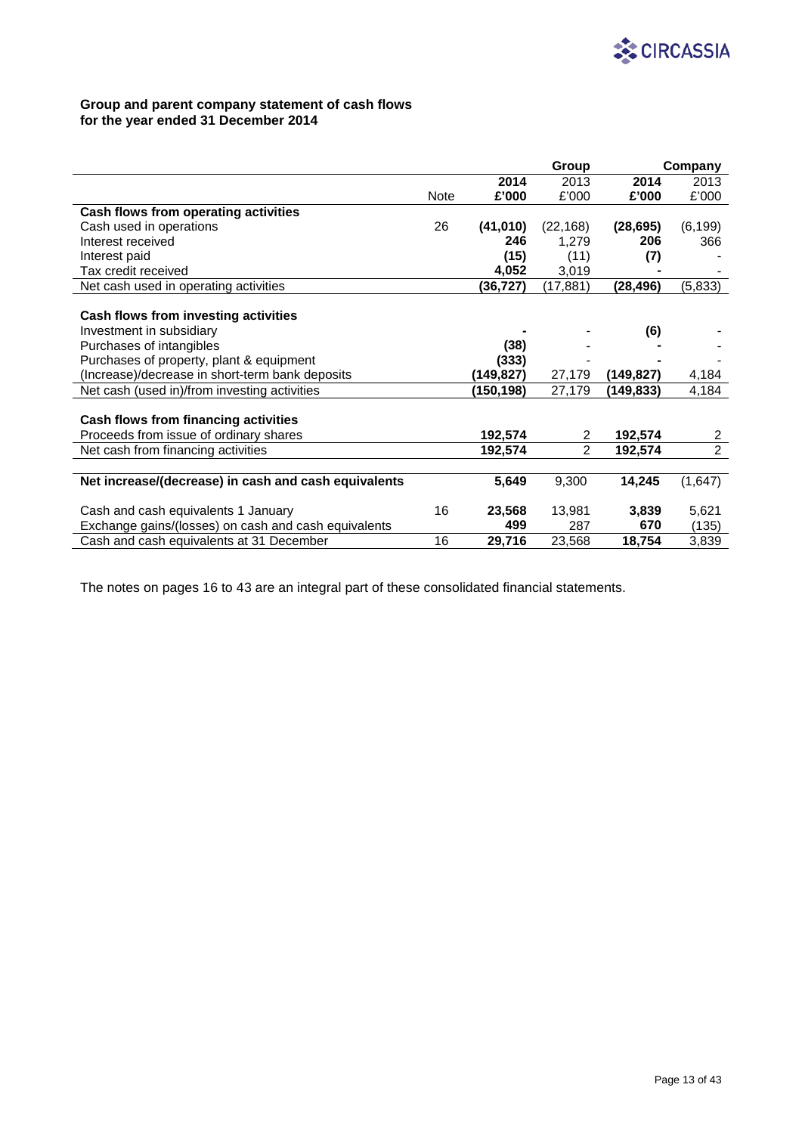

# **Group and parent company statement of cash flows for the year ended 31 December 2014**

|                                                      |             |           | Group          |            | Company        |
|------------------------------------------------------|-------------|-----------|----------------|------------|----------------|
|                                                      |             | 2014      | 2013           | 2014       | 2013           |
|                                                      | <b>Note</b> | £'000     | £'000          | £'000      | £'000          |
| Cash flows from operating activities                 |             |           |                |            |                |
| Cash used in operations                              | 26          | (41, 010) | (22, 168)      | (28, 695)  | (6, 199)       |
| Interest received                                    |             | 246       | 1,279          | 206        | 366            |
| Interest paid                                        |             | (15)      | (11)           | (7)        |                |
| Tax credit received                                  |             | 4,052     | 3,019          |            |                |
| Net cash used in operating activities                |             | (36,727)  | (17, 881)      | (28,496)   | (5, 833)       |
|                                                      |             |           |                |            |                |
| Cash flows from investing activities                 |             |           |                |            |                |
| Investment in subsidiary                             |             |           |                | (6)        |                |
| Purchases of intangibles                             |             | (38)      |                |            |                |
| Purchases of property, plant & equipment             |             | (333)     |                |            |                |
| (Increase)/decrease in short-term bank deposits      |             | (149,827) | 27,179         | (149, 827) | 4,184          |
| Net cash (used in)/from investing activities         |             | (150,198) | 27,179         | (149, 833) | 4,184          |
|                                                      |             |           |                |            |                |
| Cash flows from financing activities                 |             |           |                |            |                |
| Proceeds from issue of ordinary shares               |             | 192,574   | 2              | 192,574    | 2              |
| Net cash from financing activities                   |             | 192,574   | $\overline{2}$ | 192,574    | $\overline{2}$ |
|                                                      |             |           |                |            |                |
| Net increase/(decrease) in cash and cash equivalents |             | 5,649     | 9,300          | 14,245     | (1,647)        |
|                                                      |             |           |                |            |                |
| Cash and cash equivalents 1 January                  | 16          | 23,568    | 13,981         | 3,839      | 5,621          |
| Exchange gains/(losses) on cash and cash equivalents |             | 499       | 287            | 670        | (135)          |
| Cash and cash equivalents at 31 December             | 16          | 29,716    | 23,568         | 18,754     | 3,839          |

The notes on pages 16 to 43 are an integral part of these consolidated financial statements.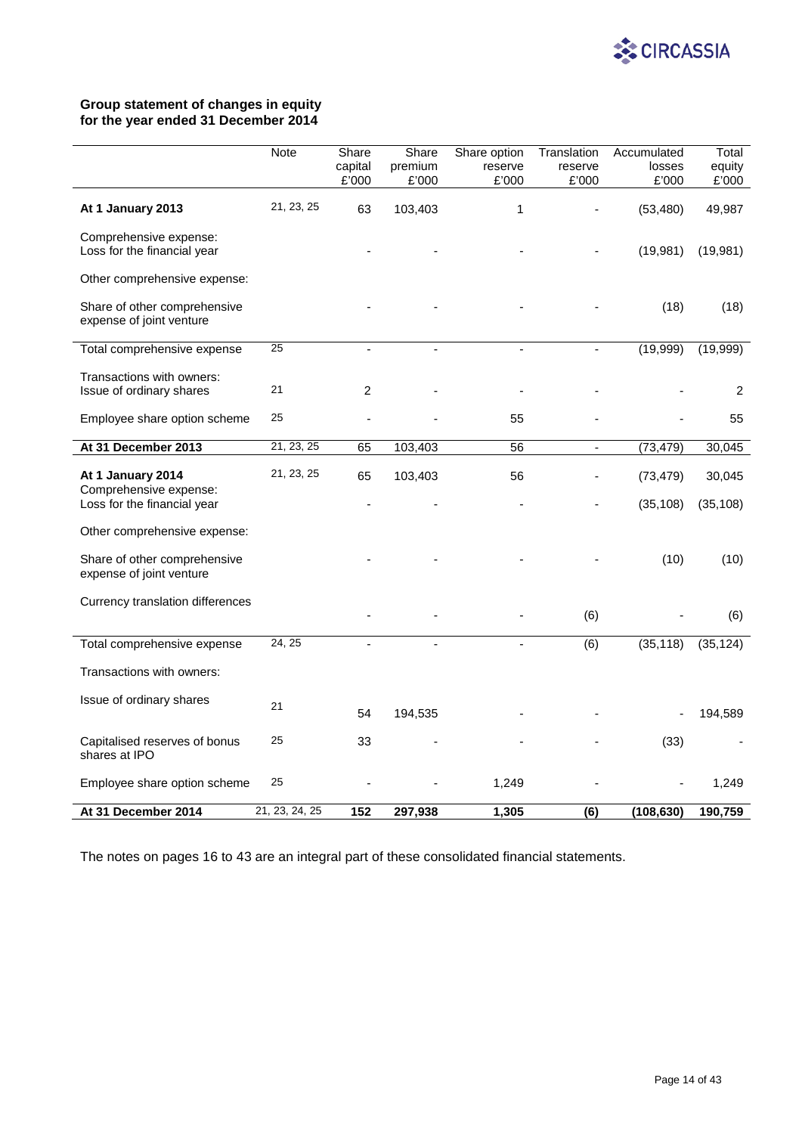

# **Group statement of changes in equity for the year ended 31 December 2014**

|                                                          | Note           | Share            | Share            | Share option<br>reserve | Translation<br>reserve | Accumulated<br>losses | Total           |
|----------------------------------------------------------|----------------|------------------|------------------|-------------------------|------------------------|-----------------------|-----------------|
|                                                          |                | capital<br>£'000 | premium<br>£'000 | £'000                   | £'000                  | £'000                 | equity<br>£'000 |
| At 1 January 2013                                        | 21, 23, 25     | 63               | 103,403          | $\mathbf{1}$            |                        | (53, 480)             | 49,987          |
| Comprehensive expense:<br>Loss for the financial year    |                |                  |                  |                         |                        | (19, 981)             | (19,981)        |
| Other comprehensive expense:                             |                |                  |                  |                         |                        |                       |                 |
| Share of other comprehensive<br>expense of joint venture |                |                  |                  |                         |                        | (18)                  | (18)            |
| Total comprehensive expense                              | 25             |                  |                  | ÷.                      |                        | (19,999)              | (19,999)        |
| Transactions with owners:<br>Issue of ordinary shares    | 21             | $\overline{c}$   |                  |                         |                        |                       | 2               |
| Employee share option scheme                             | 25             |                  |                  | 55                      |                        |                       | 55              |
| At 31 December 2013                                      | 21, 23, 25     | 65               | 103,403          | 56                      | $\blacksquare$         | (73, 479)             | 30,045          |
| At 1 January 2014                                        | 21, 23, 25     | 65               | 103,403          | 56                      |                        | (73, 479)             | 30,045          |
| Comprehensive expense:<br>Loss for the financial year    |                |                  |                  |                         |                        | (35, 108)             | (35, 108)       |
| Other comprehensive expense:                             |                |                  |                  |                         |                        |                       |                 |
| Share of other comprehensive<br>expense of joint venture |                |                  |                  |                         |                        | (10)                  | (10)            |
| Currency translation differences                         |                |                  |                  |                         | (6)                    |                       | (6)             |
| Total comprehensive expense                              | 24, 25         |                  |                  |                         | (6)                    | (35, 118)             | (35, 124)       |
| Transactions with owners:                                |                |                  |                  |                         |                        |                       |                 |
| Issue of ordinary shares                                 | 21             | 54               | 194,535          |                         |                        |                       | 194,589         |
| Capitalised reserves of bonus<br>shares at IPO           | 25             | 33               |                  |                         |                        | (33)                  |                 |
| Employee share option scheme                             | 25             |                  |                  | 1,249                   |                        |                       | 1,249           |
| At 31 December 2014                                      | 21, 23, 24, 25 | 152              | 297,938          | 1,305                   | (6)                    | (108, 630)            | 190,759         |

The notes on pages 16 to 43 are an integral part of these consolidated financial statements.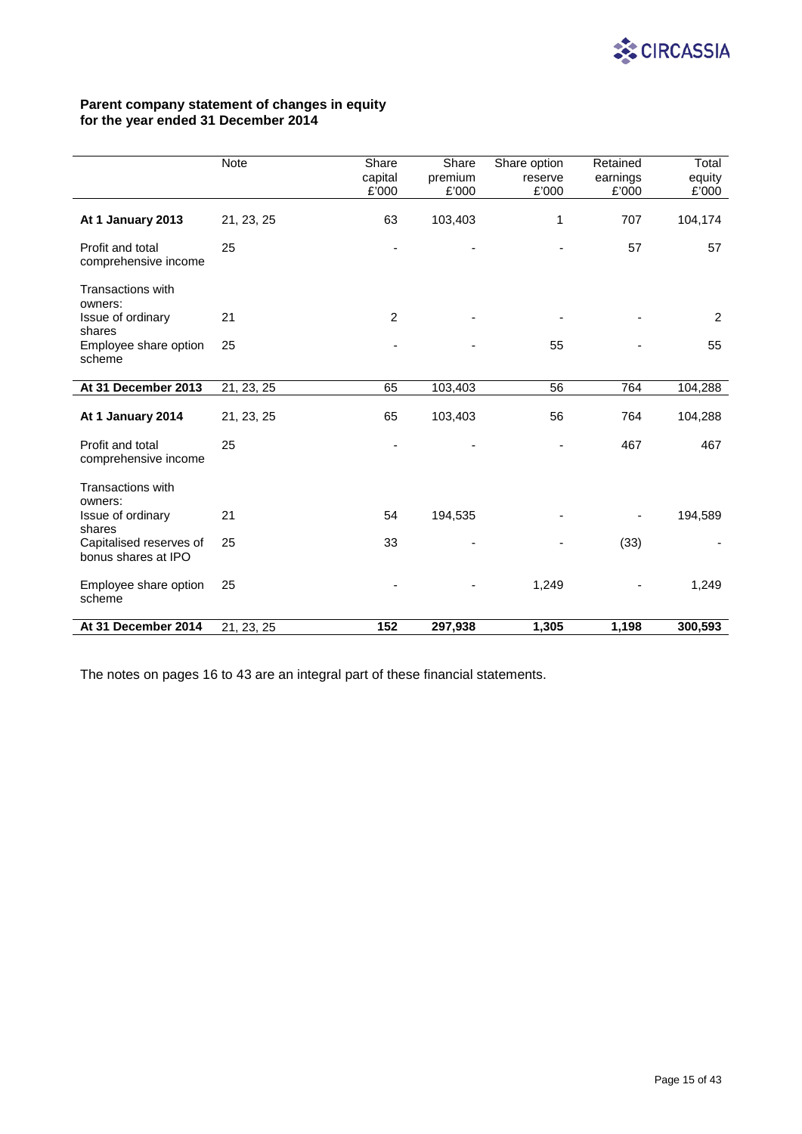

# **Parent company statement of changes in equity for the year ended 31 December 2014**

|                                                | Note       | Share<br>capital<br>£'000 | Share<br>premium<br>£'000 | Share option<br>reserve<br>£'000 | Retained<br>earnings<br>£'000 | Total<br>equity<br>£'000 |
|------------------------------------------------|------------|---------------------------|---------------------------|----------------------------------|-------------------------------|--------------------------|
| At 1 January 2013                              | 21, 23, 25 | 63                        | 103,403                   | 1                                | 707                           | 104,174                  |
| Profit and total<br>comprehensive income       | 25         |                           |                           |                                  | 57                            | 57                       |
| <b>Transactions with</b><br>owners:            |            |                           |                           |                                  |                               |                          |
| Issue of ordinary<br>shares                    | 21         | $\overline{2}$            |                           |                                  |                               | 2                        |
| Employee share option<br>scheme                | 25         |                           |                           | 55                               |                               | 55                       |
| At 31 December 2013                            | 21, 23, 25 | 65                        | 103,403                   | 56                               | 764                           | 104,288                  |
| At 1 January 2014                              | 21, 23, 25 | 65                        | 103,403                   | 56                               | 764                           | 104,288                  |
| Profit and total<br>comprehensive income       | 25         |                           |                           |                                  | 467                           | 467                      |
| <b>Transactions with</b><br>owners:            |            |                           |                           |                                  |                               |                          |
| Issue of ordinary<br>shares                    | 21         | 54                        | 194,535                   |                                  |                               | 194,589                  |
| Capitalised reserves of<br>bonus shares at IPO | 25         | 33                        |                           |                                  | (33)                          |                          |
| Employee share option<br>scheme                | 25         |                           |                           | 1,249                            |                               | 1,249                    |
| At 31 December 2014                            | 21, 23, 25 | 152                       | 297,938                   | 1,305                            | 1,198                         | 300,593                  |

The notes on pages 16 to 43 are an integral part of these financial statements.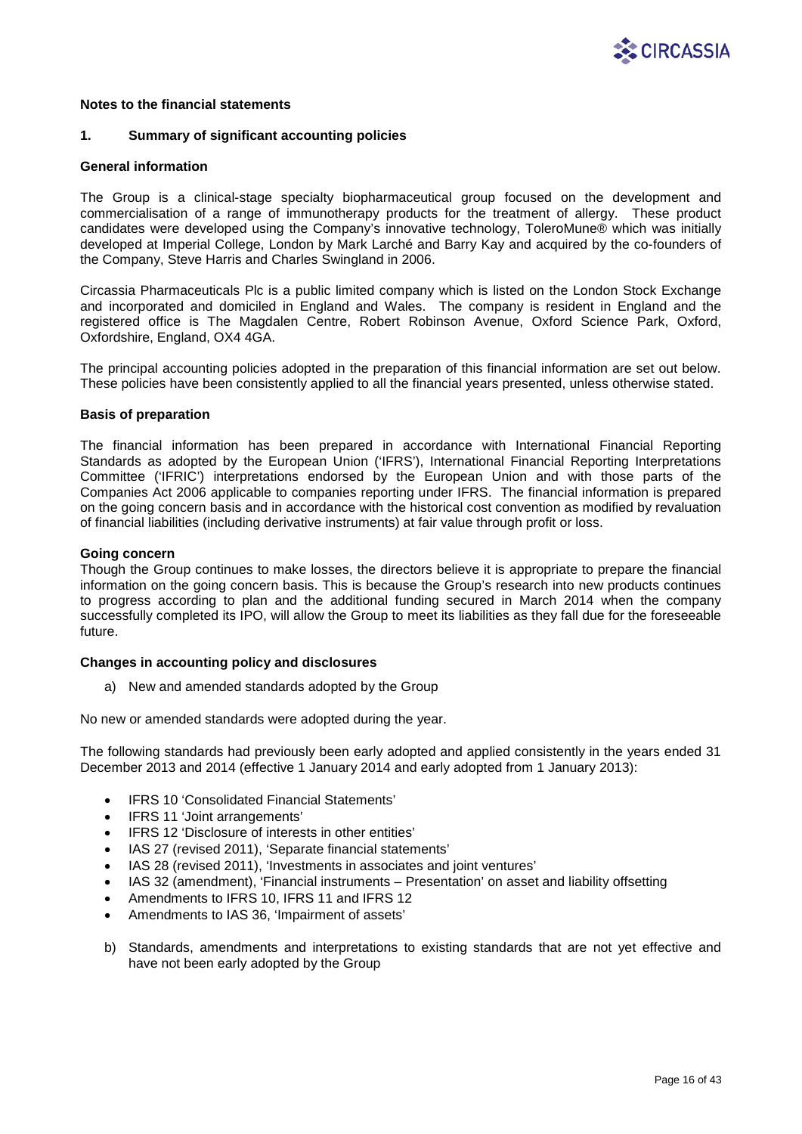

## **1. Summary of significant accounting policies**

### **General information**

The Group is a clinical-stage specialty biopharmaceutical group focused on the development and commercialisation of a range of immunotherapy products for the treatment of allergy. These product candidates were developed using the Company's innovative technology, ToleroMune® which was initially developed at Imperial College, London by Mark Larché and Barry Kay and acquired by the co-founders of the Company, Steve Harris and Charles Swingland in 2006.

Circassia Pharmaceuticals Plc is a public limited company which is listed on the London Stock Exchange and incorporated and domiciled in England and Wales. The company is resident in England and the registered office is The Magdalen Centre, Robert Robinson Avenue, Oxford Science Park, Oxford, Oxfordshire, England, OX4 4GA.

The principal accounting policies adopted in the preparation of this financial information are set out below. These policies have been consistently applied to all the financial years presented, unless otherwise stated.

## **Basis of preparation**

The financial information has been prepared in accordance with International Financial Reporting Standards as adopted by the European Union ('IFRS'), International Financial Reporting Interpretations Committee ('IFRIC') interpretations endorsed by the European Union and with those parts of the Companies Act 2006 applicable to companies reporting under IFRS. The financial information is prepared on the going concern basis and in accordance with the historical cost convention as modified by revaluation of financial liabilities (including derivative instruments) at fair value through profit or loss.

## **Going concern**

Though the Group continues to make losses, the directors believe it is appropriate to prepare the financial information on the going concern basis. This is because the Group's research into new products continues to progress according to plan and the additional funding secured in March 2014 when the company successfully completed its IPO, will allow the Group to meet its liabilities as they fall due for the foreseeable future.

### **Changes in accounting policy and disclosures**

a) New and amended standards adopted by the Group

No new or amended standards were adopted during the year.

The following standards had previously been early adopted and applied consistently in the years ended 31 December 2013 and 2014 (effective 1 January 2014 and early adopted from 1 January 2013):

- IFRS 10 'Consolidated Financial Statements'
- IFRS 11 'Joint arrangements'
- IFRS 12 'Disclosure of interests in other entities'
- IAS 27 (revised 2011), 'Separate financial statements'
- IAS 28 (revised 2011), 'Investments in associates and joint ventures'
- IAS 32 (amendment), 'Financial instruments Presentation' on asset and liability offsetting
- Amendments to IFRS 10, IFRS 11 and IFRS 12
- Amendments to IAS 36, 'Impairment of assets'
- b) Standards, amendments and interpretations to existing standards that are not yet effective and have not been early adopted by the Group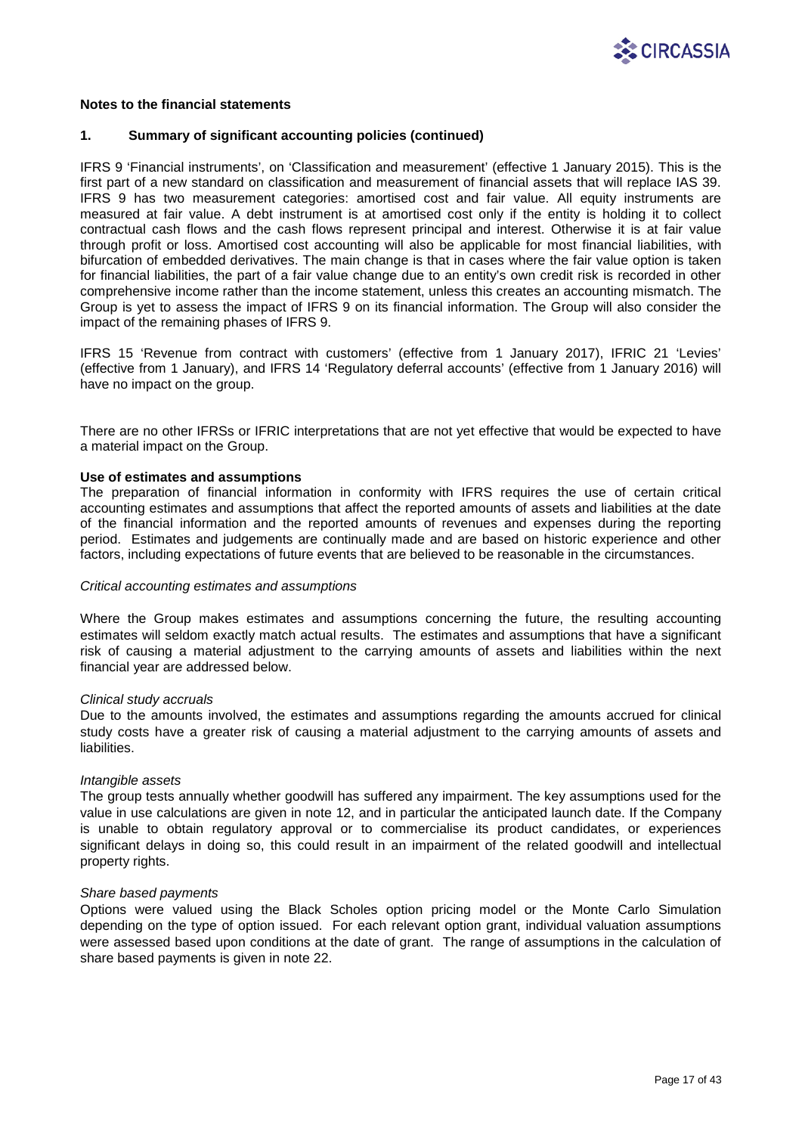

### **1. Summary of significant accounting policies (continued)**

IFRS 9 'Financial instruments', on 'Classification and measurement' (effective 1 January 2015). This is the first part of a new standard on classification and measurement of financial assets that will replace IAS 39. IFRS 9 has two measurement categories: amortised cost and fair value. All equity instruments are measured at fair value. A debt instrument is at amortised cost only if the entity is holding it to collect contractual cash flows and the cash flows represent principal and interest. Otherwise it is at fair value through profit or loss. Amortised cost accounting will also be applicable for most financial liabilities, with bifurcation of embedded derivatives. The main change is that in cases where the fair value option is taken for financial liabilities, the part of a fair value change due to an entity's own credit risk is recorded in other comprehensive income rather than the income statement, unless this creates an accounting mismatch. The Group is yet to assess the impact of IFRS 9 on its financial information. The Group will also consider the impact of the remaining phases of IFRS 9.

IFRS 15 'Revenue from contract with customers' (effective from 1 January 2017), IFRIC 21 'Levies' (effective from 1 January), and IFRS 14 'Regulatory deferral accounts' (effective from 1 January 2016) will have no impact on the group.

There are no other IFRSs or IFRIC interpretations that are not yet effective that would be expected to have a material impact on the Group.

### **Use of estimates and assumptions**

The preparation of financial information in conformity with IFRS requires the use of certain critical accounting estimates and assumptions that affect the reported amounts of assets and liabilities at the date of the financial information and the reported amounts of revenues and expenses during the reporting period. Estimates and judgements are continually made and are based on historic experience and other factors, including expectations of future events that are believed to be reasonable in the circumstances.

### *Critical accounting estimates and assumptions*

Where the Group makes estimates and assumptions concerning the future, the resulting accounting estimates will seldom exactly match actual results. The estimates and assumptions that have a significant risk of causing a material adjustment to the carrying amounts of assets and liabilities within the next financial year are addressed below.

### *Clinical study accruals*

Due to the amounts involved, the estimates and assumptions regarding the amounts accrued for clinical study costs have a greater risk of causing a material adjustment to the carrying amounts of assets and liabilities.

### *Intangible assets*

The group tests annually whether goodwill has suffered any impairment. The key assumptions used for the value in use calculations are given in note 12, and in particular the anticipated launch date. If the Company is unable to obtain regulatory approval or to commercialise its product candidates, or experiences significant delays in doing so, this could result in an impairment of the related goodwill and intellectual property rights.

## *Share based payments*

Options were valued using the Black Scholes option pricing model or the Monte Carlo Simulation depending on the type of option issued. For each relevant option grant, individual valuation assumptions were assessed based upon conditions at the date of grant. The range of assumptions in the calculation of share based payments is given in note 22.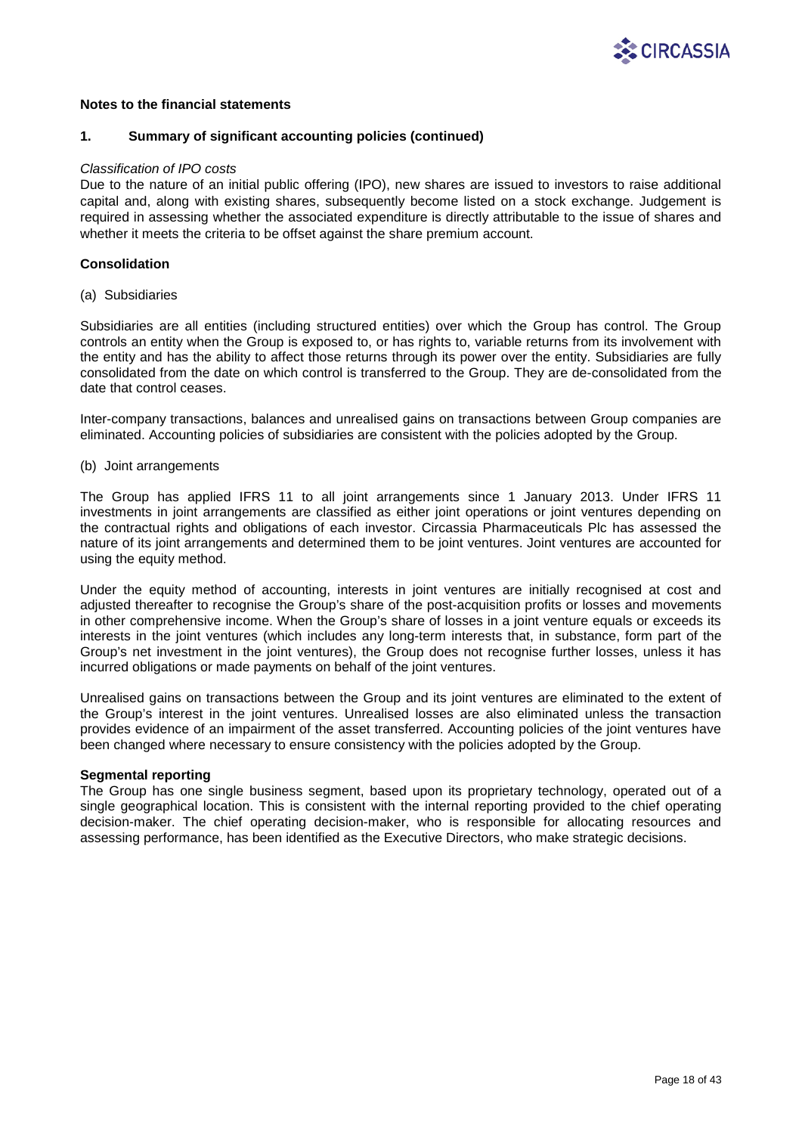

## **1. Summary of significant accounting policies (continued)**

### *Classification of IPO costs*

Due to the nature of an initial public offering (IPO), new shares are issued to investors to raise additional capital and, along with existing shares, subsequently become listed on a stock exchange. Judgement is required in assessing whether the associated expenditure is directly attributable to the issue of shares and whether it meets the criteria to be offset against the share premium account.

## **Consolidation**

(a) Subsidiaries

Subsidiaries are all entities (including structured entities) over which the Group has control. The Group controls an entity when the Group is exposed to, or has rights to, variable returns from its involvement with the entity and has the ability to affect those returns through its power over the entity. Subsidiaries are fully consolidated from the date on which control is transferred to the Group. They are de-consolidated from the date that control ceases.

Inter-company transactions, balances and unrealised gains on transactions between Group companies are eliminated. Accounting policies of subsidiaries are consistent with the policies adopted by the Group.

## (b) Joint arrangements

The Group has applied IFRS 11 to all joint arrangements since 1 January 2013. Under IFRS 11 investments in joint arrangements are classified as either joint operations or joint ventures depending on the contractual rights and obligations of each investor. Circassia Pharmaceuticals Plc has assessed the nature of its joint arrangements and determined them to be joint ventures. Joint ventures are accounted for using the equity method.

Under the equity method of accounting, interests in joint ventures are initially recognised at cost and adjusted thereafter to recognise the Group's share of the post-acquisition profits or losses and movements in other comprehensive income. When the Group's share of losses in a joint venture equals or exceeds its interests in the joint ventures (which includes any long-term interests that, in substance, form part of the Group's net investment in the joint ventures), the Group does not recognise further losses, unless it has incurred obligations or made payments on behalf of the joint ventures.

Unrealised gains on transactions between the Group and its joint ventures are eliminated to the extent of the Group's interest in the joint ventures. Unrealised losses are also eliminated unless the transaction provides evidence of an impairment of the asset transferred. Accounting policies of the joint ventures have been changed where necessary to ensure consistency with the policies adopted by the Group.

### **Segmental reporting**

The Group has one single business segment, based upon its proprietary technology, operated out of a single geographical location. This is consistent with the internal reporting provided to the chief operating decision-maker. The chief operating decision-maker, who is responsible for allocating resources and assessing performance, has been identified as the Executive Directors, who make strategic decisions.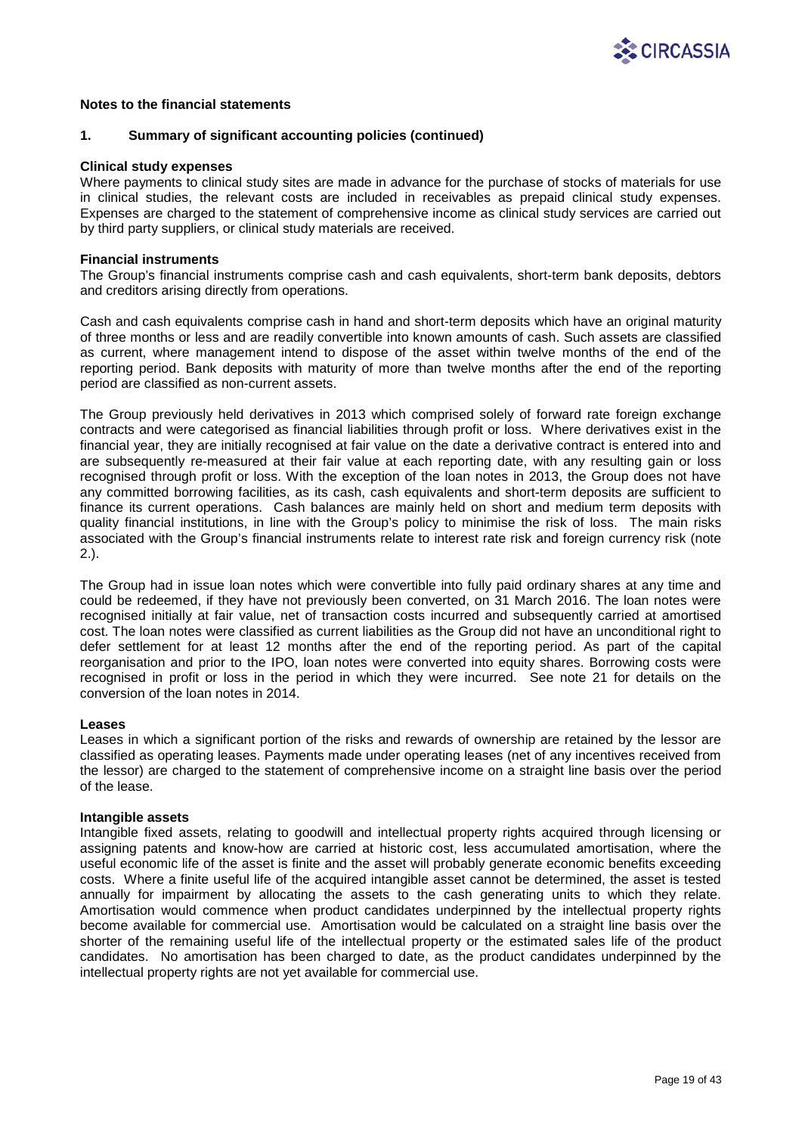

### **1. Summary of significant accounting policies (continued)**

### **Clinical study expenses**

Where payments to clinical study sites are made in advance for the purchase of stocks of materials for use in clinical studies, the relevant costs are included in receivables as prepaid clinical study expenses. Expenses are charged to the statement of comprehensive income as clinical study services are carried out by third party suppliers, or clinical study materials are received.

### **Financial instruments**

The Group's financial instruments comprise cash and cash equivalents, short-term bank deposits, debtors and creditors arising directly from operations.

Cash and cash equivalents comprise cash in hand and short-term deposits which have an original maturity of three months or less and are readily convertible into known amounts of cash. Such assets are classified as current, where management intend to dispose of the asset within twelve months of the end of the reporting period. Bank deposits with maturity of more than twelve months after the end of the reporting period are classified as non-current assets.

The Group previously held derivatives in 2013 which comprised solely of forward rate foreign exchange contracts and were categorised as financial liabilities through profit or loss. Where derivatives exist in the financial year, they are initially recognised at fair value on the date a derivative contract is entered into and are subsequently re-measured at their fair value at each reporting date, with any resulting gain or loss recognised through profit or loss. With the exception of the loan notes in 2013, the Group does not have any committed borrowing facilities, as its cash, cash equivalents and short-term deposits are sufficient to finance its current operations. Cash balances are mainly held on short and medium term deposits with quality financial institutions, in line with the Group's policy to minimise the risk of loss. The main risks associated with the Group's financial instruments relate to interest rate risk and foreign currency risk (note 2.).

The Group had in issue loan notes which were convertible into fully paid ordinary shares at any time and could be redeemed, if they have not previously been converted, on 31 March 2016. The loan notes were recognised initially at fair value, net of transaction costs incurred and subsequently carried at amortised cost. The loan notes were classified as current liabilities as the Group did not have an unconditional right to defer settlement for at least 12 months after the end of the reporting period. As part of the capital reorganisation and prior to the IPO, loan notes were converted into equity shares. Borrowing costs were recognised in profit or loss in the period in which they were incurred. See note 21 for details on the conversion of the loan notes in 2014.

### **Leases**

Leases in which a significant portion of the risks and rewards of ownership are retained by the lessor are classified as operating leases. Payments made under operating leases (net of any incentives received from the lessor) are charged to the statement of comprehensive income on a straight line basis over the period of the lease.

### **Intangible assets**

Intangible fixed assets, relating to goodwill and intellectual property rights acquired through licensing or assigning patents and know-how are carried at historic cost, less accumulated amortisation, where the useful economic life of the asset is finite and the asset will probably generate economic benefits exceeding costs. Where a finite useful life of the acquired intangible asset cannot be determined, the asset is tested annually for impairment by allocating the assets to the cash generating units to which they relate. Amortisation would commence when product candidates underpinned by the intellectual property rights become available for commercial use. Amortisation would be calculated on a straight line basis over the shorter of the remaining useful life of the intellectual property or the estimated sales life of the product candidates. No amortisation has been charged to date, as the product candidates underpinned by the intellectual property rights are not yet available for commercial use.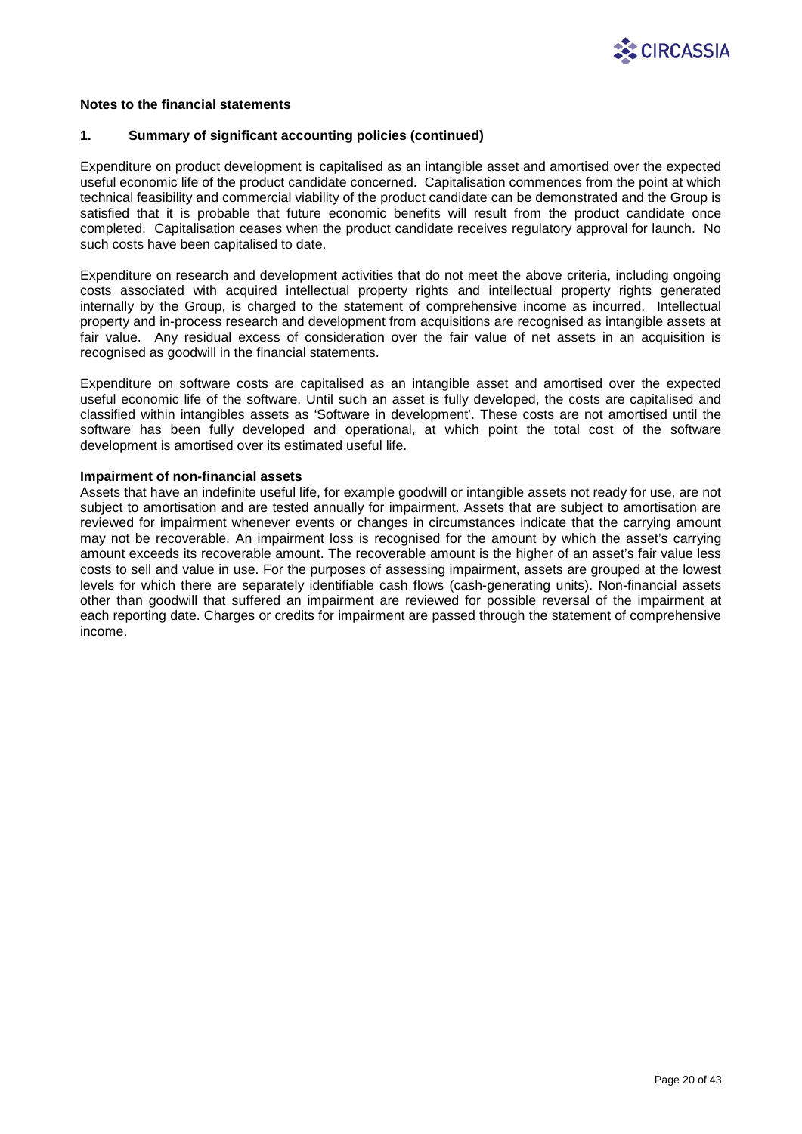

## **1. Summary of significant accounting policies (continued)**

Expenditure on product development is capitalised as an intangible asset and amortised over the expected useful economic life of the product candidate concerned. Capitalisation commences from the point at which technical feasibility and commercial viability of the product candidate can be demonstrated and the Group is satisfied that it is probable that future economic benefits will result from the product candidate once completed. Capitalisation ceases when the product candidate receives regulatory approval for launch. No such costs have been capitalised to date.

Expenditure on research and development activities that do not meet the above criteria, including ongoing costs associated with acquired intellectual property rights and intellectual property rights generated internally by the Group, is charged to the statement of comprehensive income as incurred. Intellectual property and in-process research and development from acquisitions are recognised as intangible assets at fair value. Any residual excess of consideration over the fair value of net assets in an acquisition is recognised as goodwill in the financial statements.

Expenditure on software costs are capitalised as an intangible asset and amortised over the expected useful economic life of the software. Until such an asset is fully developed, the costs are capitalised and classified within intangibles assets as 'Software in development'. These costs are not amortised until the software has been fully developed and operational, at which point the total cost of the software development is amortised over its estimated useful life.

### **Impairment of non-financial assets**

Assets that have an indefinite useful life, for example goodwill or intangible assets not ready for use, are not subject to amortisation and are tested annually for impairment. Assets that are subject to amortisation are reviewed for impairment whenever events or changes in circumstances indicate that the carrying amount may not be recoverable. An impairment loss is recognised for the amount by which the asset's carrying amount exceeds its recoverable amount. The recoverable amount is the higher of an asset's fair value less costs to sell and value in use. For the purposes of assessing impairment, assets are grouped at the lowest levels for which there are separately identifiable cash flows (cash-generating units). Non-financial assets other than goodwill that suffered an impairment are reviewed for possible reversal of the impairment at each reporting date. Charges or credits for impairment are passed through the statement of comprehensive income.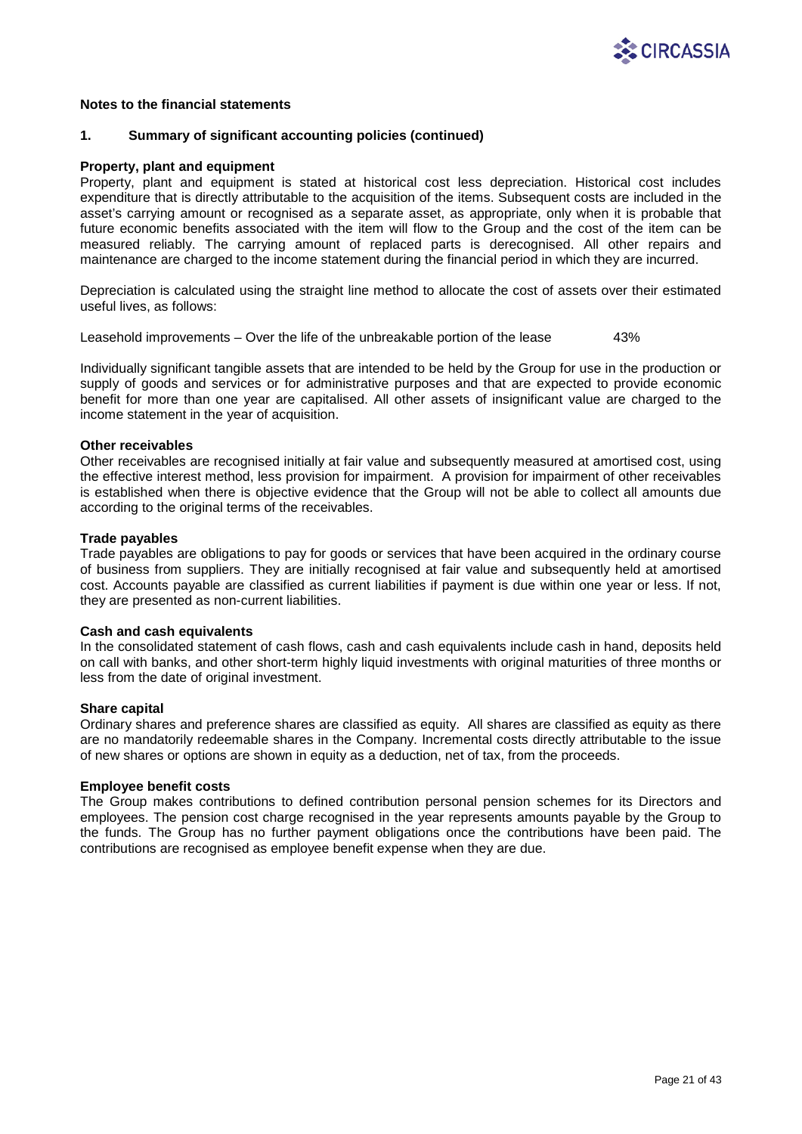

## **1. Summary of significant accounting policies (continued)**

### **Property, plant and equipment**

Property, plant and equipment is stated at historical cost less depreciation. Historical cost includes expenditure that is directly attributable to the acquisition of the items. Subsequent costs are included in the asset's carrying amount or recognised as a separate asset, as appropriate, only when it is probable that future economic benefits associated with the item will flow to the Group and the cost of the item can be measured reliably. The carrying amount of replaced parts is derecognised. All other repairs and maintenance are charged to the income statement during the financial period in which they are incurred.

Depreciation is calculated using the straight line method to allocate the cost of assets over their estimated useful lives, as follows:

Leasehold improvements – Over the life of the unbreakable portion of the lease 43%

Individually significant tangible assets that are intended to be held by the Group for use in the production or supply of goods and services or for administrative purposes and that are expected to provide economic benefit for more than one year are capitalised. All other assets of insignificant value are charged to the income statement in the year of acquisition.

### **Other receivables**

Other receivables are recognised initially at fair value and subsequently measured at amortised cost, using the effective interest method, less provision for impairment. A provision for impairment of other receivables is established when there is objective evidence that the Group will not be able to collect all amounts due according to the original terms of the receivables.

### **Trade payables**

Trade payables are obligations to pay for goods or services that have been acquired in the ordinary course of business from suppliers. They are initially recognised at fair value and subsequently held at amortised cost. Accounts payable are classified as current liabilities if payment is due within one year or less. If not, they are presented as non-current liabilities.

### **Cash and cash equivalents**

In the consolidated statement of cash flows, cash and cash equivalents include cash in hand, deposits held on call with banks, and other short-term highly liquid investments with original maturities of three months or less from the date of original investment.

### **Share capital**

Ordinary shares and preference shares are classified as equity. All shares are classified as equity as there are no mandatorily redeemable shares in the Company. Incremental costs directly attributable to the issue of new shares or options are shown in equity as a deduction, net of tax, from the proceeds.

### **Employee benefit costs**

The Group makes contributions to defined contribution personal pension schemes for its Directors and employees. The pension cost charge recognised in the year represents amounts payable by the Group to the funds. The Group has no further payment obligations once the contributions have been paid. The contributions are recognised as employee benefit expense when they are due.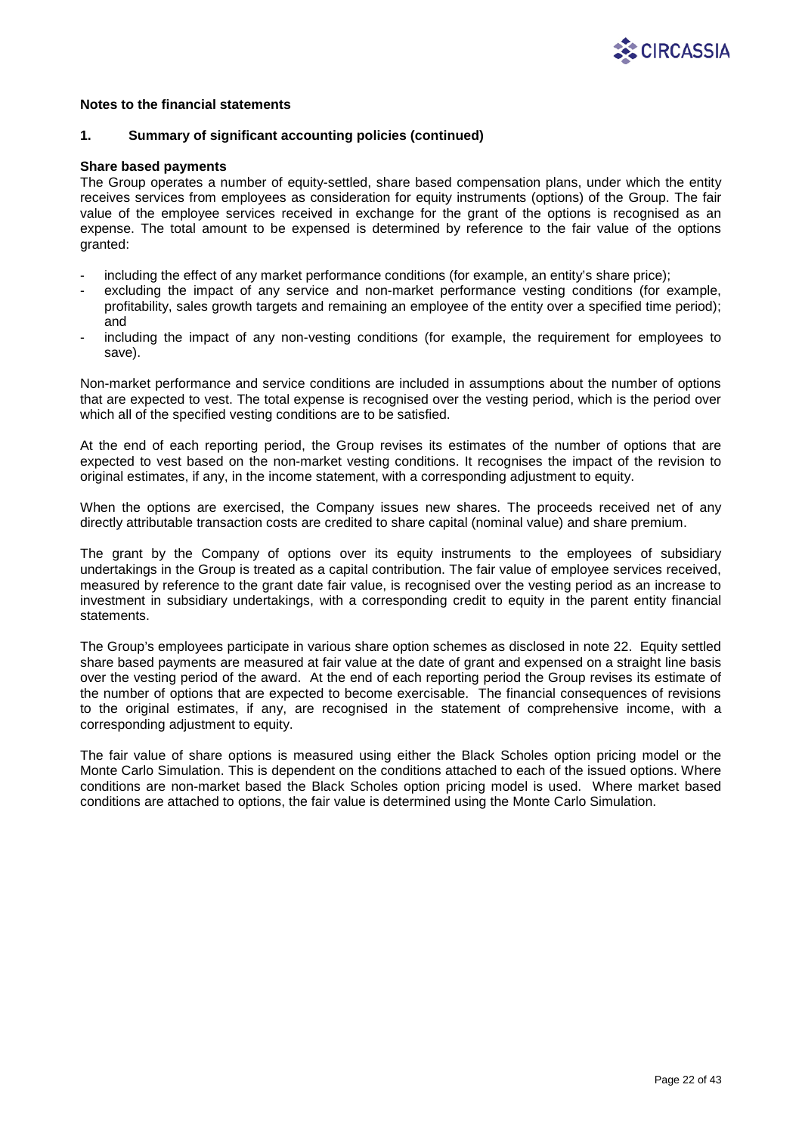

### **1. Summary of significant accounting policies (continued)**

#### **Share based payments**

The Group operates a number of equity-settled, share based compensation plans, under which the entity receives services from employees as consideration for equity instruments (options) of the Group. The fair value of the employee services received in exchange for the grant of the options is recognised as an expense. The total amount to be expensed is determined by reference to the fair value of the options granted:

- including the effect of any market performance conditions (for example, an entity's share price);
- excluding the impact of any service and non-market performance vesting conditions (for example, profitability, sales growth targets and remaining an employee of the entity over a specified time period); and
- including the impact of any non-vesting conditions (for example, the requirement for employees to save).

Non-market performance and service conditions are included in assumptions about the number of options that are expected to vest. The total expense is recognised over the vesting period, which is the period over which all of the specified vesting conditions are to be satisfied.

At the end of each reporting period, the Group revises its estimates of the number of options that are expected to vest based on the non-market vesting conditions. It recognises the impact of the revision to original estimates, if any, in the income statement, with a corresponding adjustment to equity.

When the options are exercised, the Company issues new shares. The proceeds received net of any directly attributable transaction costs are credited to share capital (nominal value) and share premium.

The grant by the Company of options over its equity instruments to the employees of subsidiary undertakings in the Group is treated as a capital contribution. The fair value of employee services received, measured by reference to the grant date fair value, is recognised over the vesting period as an increase to investment in subsidiary undertakings, with a corresponding credit to equity in the parent entity financial statements.

The Group's employees participate in various share option schemes as disclosed in note 22. Equity settled share based payments are measured at fair value at the date of grant and expensed on a straight line basis over the vesting period of the award. At the end of each reporting period the Group revises its estimate of the number of options that are expected to become exercisable. The financial consequences of revisions to the original estimates, if any, are recognised in the statement of comprehensive income, with a corresponding adjustment to equity.

The fair value of share options is measured using either the Black Scholes option pricing model or the Monte Carlo Simulation. This is dependent on the conditions attached to each of the issued options. Where conditions are non-market based the Black Scholes option pricing model is used. Where market based conditions are attached to options, the fair value is determined using the Monte Carlo Simulation.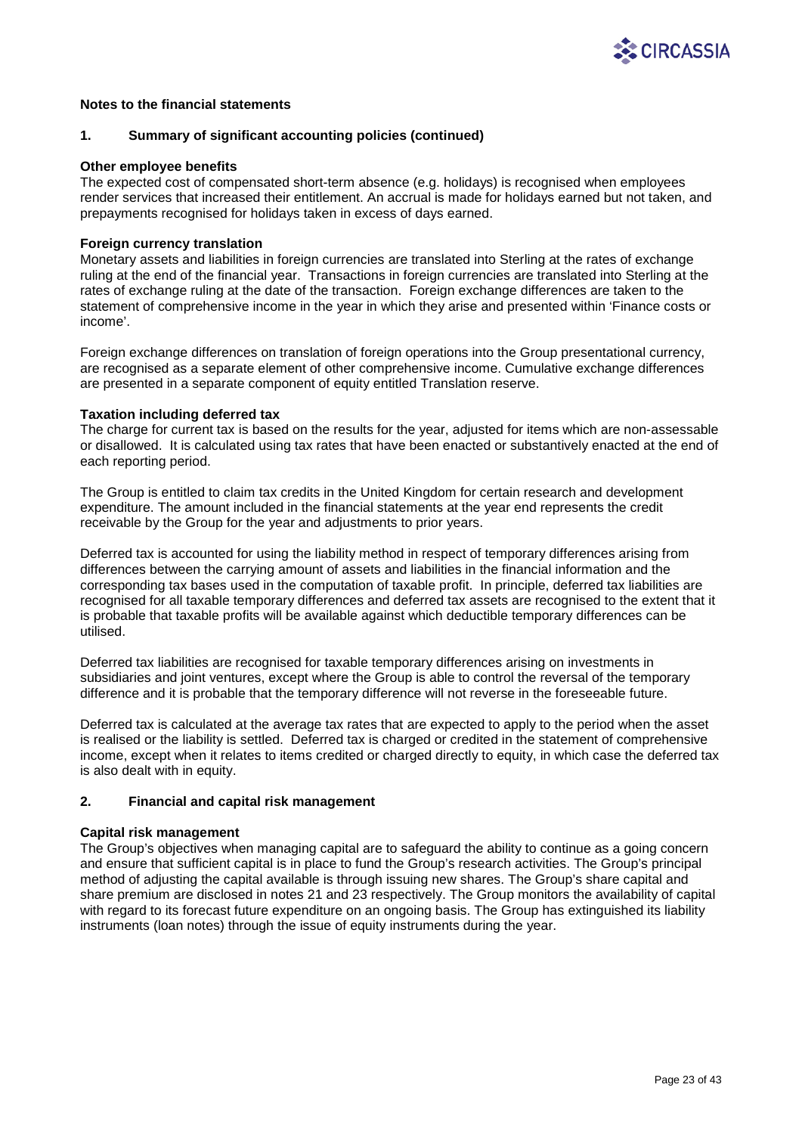

## **1. Summary of significant accounting policies (continued)**

### **Other employee benefits**

The expected cost of compensated short-term absence (e.g. holidays) is recognised when employees render services that increased their entitlement. An accrual is made for holidays earned but not taken, and prepayments recognised for holidays taken in excess of days earned.

### **Foreign currency translation**

Monetary assets and liabilities in foreign currencies are translated into Sterling at the rates of exchange ruling at the end of the financial year. Transactions in foreign currencies are translated into Sterling at the rates of exchange ruling at the date of the transaction. Foreign exchange differences are taken to the statement of comprehensive income in the year in which they arise and presented within 'Finance costs or income'.

Foreign exchange differences on translation of foreign operations into the Group presentational currency, are recognised as a separate element of other comprehensive income. Cumulative exchange differences are presented in a separate component of equity entitled Translation reserve.

### **Taxation including deferred tax**

The charge for current tax is based on the results for the year, adjusted for items which are non-assessable or disallowed. It is calculated using tax rates that have been enacted or substantively enacted at the end of each reporting period.

The Group is entitled to claim tax credits in the United Kingdom for certain research and development expenditure. The amount included in the financial statements at the year end represents the credit receivable by the Group for the year and adjustments to prior years.

Deferred tax is accounted for using the liability method in respect of temporary differences arising from differences between the carrying amount of assets and liabilities in the financial information and the corresponding tax bases used in the computation of taxable profit. In principle, deferred tax liabilities are recognised for all taxable temporary differences and deferred tax assets are recognised to the extent that it is probable that taxable profits will be available against which deductible temporary differences can be utilised.

Deferred tax liabilities are recognised for taxable temporary differences arising on investments in subsidiaries and joint ventures, except where the Group is able to control the reversal of the temporary difference and it is probable that the temporary difference will not reverse in the foreseeable future.

Deferred tax is calculated at the average tax rates that are expected to apply to the period when the asset is realised or the liability is settled. Deferred tax is charged or credited in the statement of comprehensive income, except when it relates to items credited or charged directly to equity, in which case the deferred tax is also dealt with in equity.

## **2. Financial and capital risk management**

## **Capital risk management**

The Group's objectives when managing capital are to safeguard the ability to continue as a going concern and ensure that sufficient capital is in place to fund the Group's research activities. The Group's principal method of adjusting the capital available is through issuing new shares. The Group's share capital and share premium are disclosed in notes 21 and 23 respectively. The Group monitors the availability of capital with regard to its forecast future expenditure on an ongoing basis. The Group has extinguished its liability instruments (loan notes) through the issue of equity instruments during the year.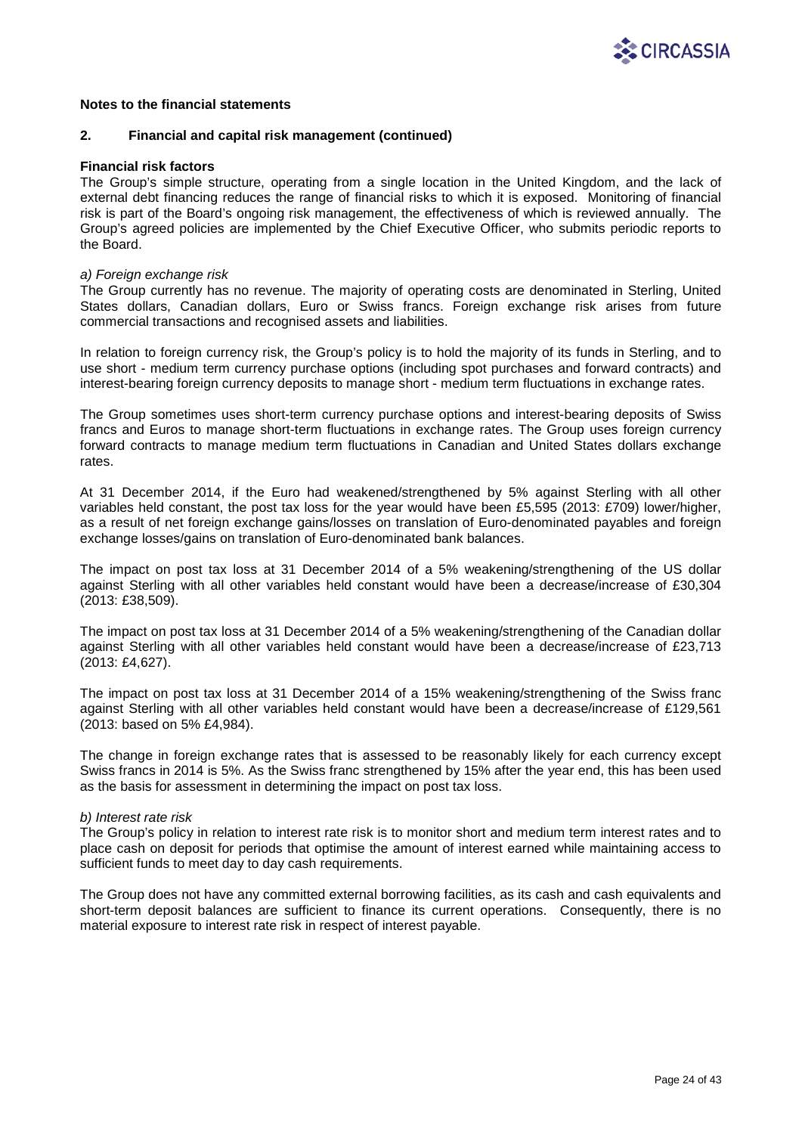

### **2. Financial and capital risk management (continued)**

### **Financial risk factors**

The Group's simple structure, operating from a single location in the United Kingdom, and the lack of external debt financing reduces the range of financial risks to which it is exposed. Monitoring of financial risk is part of the Board's ongoing risk management, the effectiveness of which is reviewed annually. The Group's agreed policies are implemented by the Chief Executive Officer, who submits periodic reports to the Board.

#### *a) Foreign exchange risk*

The Group currently has no revenue. The majority of operating costs are denominated in Sterling, United States dollars, Canadian dollars, Euro or Swiss francs. Foreign exchange risk arises from future commercial transactions and recognised assets and liabilities.

In relation to foreign currency risk, the Group's policy is to hold the majority of its funds in Sterling, and to use short - medium term currency purchase options (including spot purchases and forward contracts) and interest-bearing foreign currency deposits to manage short - medium term fluctuations in exchange rates.

The Group sometimes uses short-term currency purchase options and interest-bearing deposits of Swiss francs and Euros to manage short-term fluctuations in exchange rates. The Group uses foreign currency forward contracts to manage medium term fluctuations in Canadian and United States dollars exchange rates.

At 31 December 2014, if the Euro had weakened/strengthened by 5% against Sterling with all other variables held constant, the post tax loss for the year would have been £5,595 (2013: £709) lower/higher, as a result of net foreign exchange gains/losses on translation of Euro-denominated payables and foreign exchange losses/gains on translation of Euro-denominated bank balances.

The impact on post tax loss at 31 December 2014 of a 5% weakening/strengthening of the US dollar against Sterling with all other variables held constant would have been a decrease/increase of £30,304 (2013: £38,509).

The impact on post tax loss at 31 December 2014 of a 5% weakening/strengthening of the Canadian dollar against Sterling with all other variables held constant would have been a decrease/increase of £23,713 (2013: £4,627).

The impact on post tax loss at 31 December 2014 of a 15% weakening/strengthening of the Swiss franc against Sterling with all other variables held constant would have been a decrease/increase of £129,561 (2013: based on 5% £4,984).

The change in foreign exchange rates that is assessed to be reasonably likely for each currency except Swiss francs in 2014 is 5%. As the Swiss franc strengthened by 15% after the year end, this has been used as the basis for assessment in determining the impact on post tax loss.

### *b) Interest rate risk*

The Group's policy in relation to interest rate risk is to monitor short and medium term interest rates and to place cash on deposit for periods that optimise the amount of interest earned while maintaining access to sufficient funds to meet day to day cash requirements.

The Group does not have any committed external borrowing facilities, as its cash and cash equivalents and short-term deposit balances are sufficient to finance its current operations. Consequently, there is no material exposure to interest rate risk in respect of interest payable.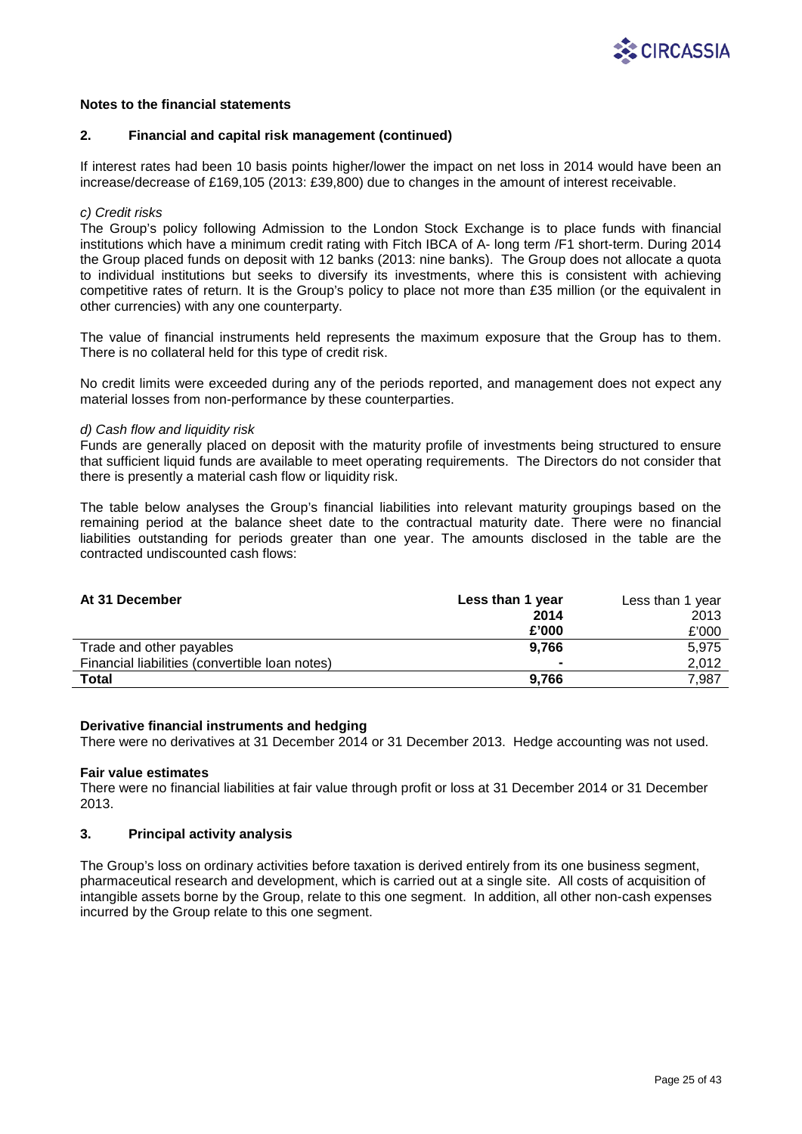

### **2. Financial and capital risk management (continued)**

If interest rates had been 10 basis points higher/lower the impact on net loss in 2014 would have been an increase/decrease of £169,105 (2013: £39,800) due to changes in the amount of interest receivable.

### *c) Credit risks*

The Group's policy following Admission to the London Stock Exchange is to place funds with financial institutions which have a minimum credit rating with Fitch IBCA of A- long term /F1 short-term. During 2014 the Group placed funds on deposit with 12 banks (2013: nine banks). The Group does not allocate a quota to individual institutions but seeks to diversify its investments, where this is consistent with achieving competitive rates of return. It is the Group's policy to place not more than £35 million (or the equivalent in other currencies) with any one counterparty.

The value of financial instruments held represents the maximum exposure that the Group has to them. There is no collateral held for this type of credit risk.

No credit limits were exceeded during any of the periods reported, and management does not expect any material losses from non-performance by these counterparties.

## *d) Cash flow and liquidity risk*

Funds are generally placed on deposit with the maturity profile of investments being structured to ensure that sufficient liquid funds are available to meet operating requirements. The Directors do not consider that there is presently a material cash flow or liquidity risk.

The table below analyses the Group's financial liabilities into relevant maturity groupings based on the remaining period at the balance sheet date to the contractual maturity date. There were no financial liabilities outstanding for periods greater than one year. The amounts disclosed in the table are the contracted undiscounted cash flows:

| At 31 December                                 | Less than 1 year | Less than 1 year |
|------------------------------------------------|------------------|------------------|
|                                                | 2014             | 2013             |
|                                                | £'000            | £'000            |
| Trade and other payables                       | 9.766            | 5.975            |
| Financial liabilities (convertible loan notes) | $\blacksquare$   | 2,012            |
| Total                                          | 9.766            | 7,987            |

### **Derivative financial instruments and hedging**

There were no derivatives at 31 December 2014 or 31 December 2013. Hedge accounting was not used.

### **Fair value estimates**

There were no financial liabilities at fair value through profit or loss at 31 December 2014 or 31 December 2013.

### **3. Principal activity analysis**

The Group's loss on ordinary activities before taxation is derived entirely from its one business segment, pharmaceutical research and development, which is carried out at a single site. All costs of acquisition of intangible assets borne by the Group, relate to this one segment. In addition, all other non-cash expenses incurred by the Group relate to this one segment.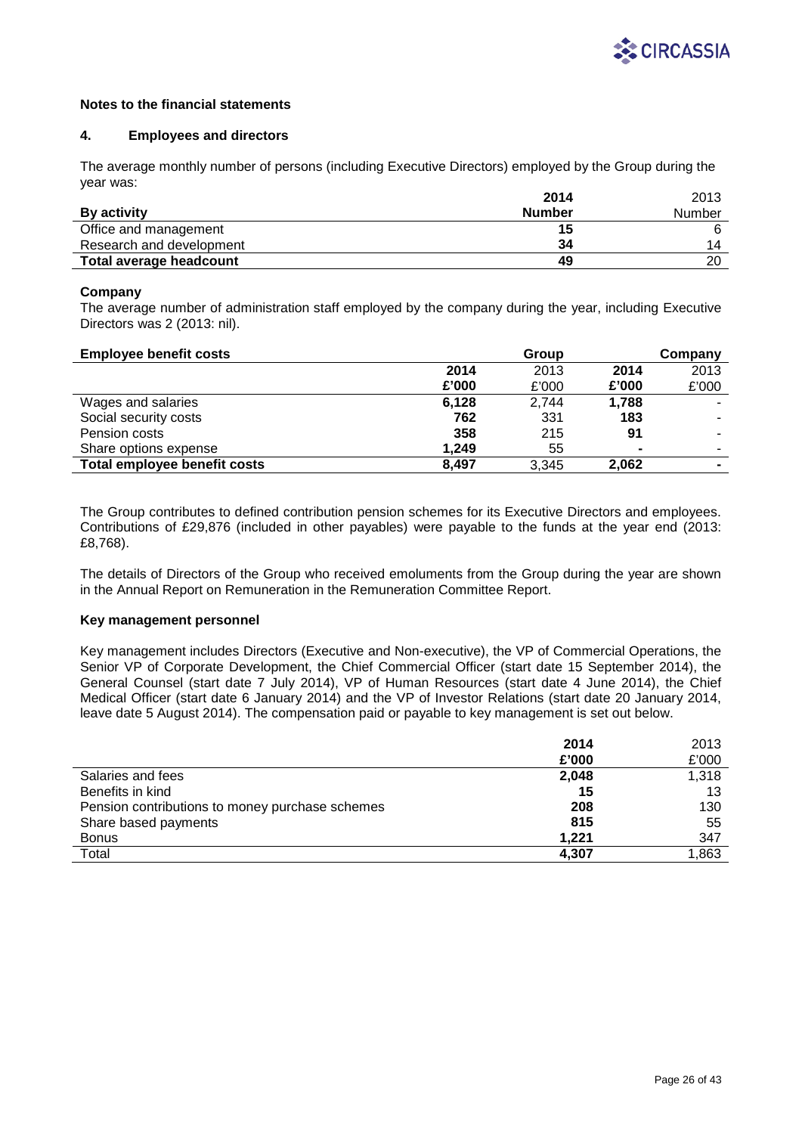

### **4. Employees and directors**

The average monthly number of persons (including Executive Directors) employed by the Group during the year was:

|                          | 2014          | 2013   |
|--------------------------|---------------|--------|
| <b>By activity</b>       | <b>Number</b> | Number |
| Office and management    | 15            |        |
| Research and development | 34            | 14     |
| Total average headcount  | 49            | 20     |

## **Company**

The average number of administration staff employed by the company during the year, including Executive Directors was 2 (2013: nil).

| <b>Employee benefit costs</b> |       | Group |                | Company        |
|-------------------------------|-------|-------|----------------|----------------|
|                               | 2014  | 2013  | 2014           | 2013           |
|                               | £'000 | £'000 | £'000          | £'000          |
| Wages and salaries            | 6.128 | 2,744 | 1,788          |                |
| Social security costs         | 762   | 331   | 183            |                |
| Pension costs                 | 358   | 215   | 91             |                |
| Share options expense         | 1.249 | 55    | $\blacksquare$ |                |
| Total employee benefit costs  | 8.497 | 3,345 | 2,062          | $\blacksquare$ |

The Group contributes to defined contribution pension schemes for its Executive Directors and employees. Contributions of £29,876 (included in other payables) were payable to the funds at the year end (2013: £8,768).

The details of Directors of the Group who received emoluments from the Group during the year are shown in the Annual Report on Remuneration in the Remuneration Committee Report.

## **Key management personnel**

Key management includes Directors (Executive and Non-executive), the VP of Commercial Operations, the Senior VP of Corporate Development, the Chief Commercial Officer (start date 15 September 2014), the General Counsel (start date 7 July 2014), VP of Human Resources (start date 4 June 2014), the Chief Medical Officer (start date 6 January 2014) and the VP of Investor Relations (start date 20 January 2014, leave date 5 August 2014). The compensation paid or payable to key management is set out below.

|                                                 | 2014  | 2013  |
|-------------------------------------------------|-------|-------|
|                                                 | £'000 | £'000 |
| Salaries and fees                               | 2,048 | 1,318 |
| Benefits in kind                                | 15    | 13    |
| Pension contributions to money purchase schemes | 208   | 130   |
| Share based payments                            | 815   | 55    |
| <b>Bonus</b>                                    | 1.221 | 347   |
| Total                                           | 4.307 | 1,863 |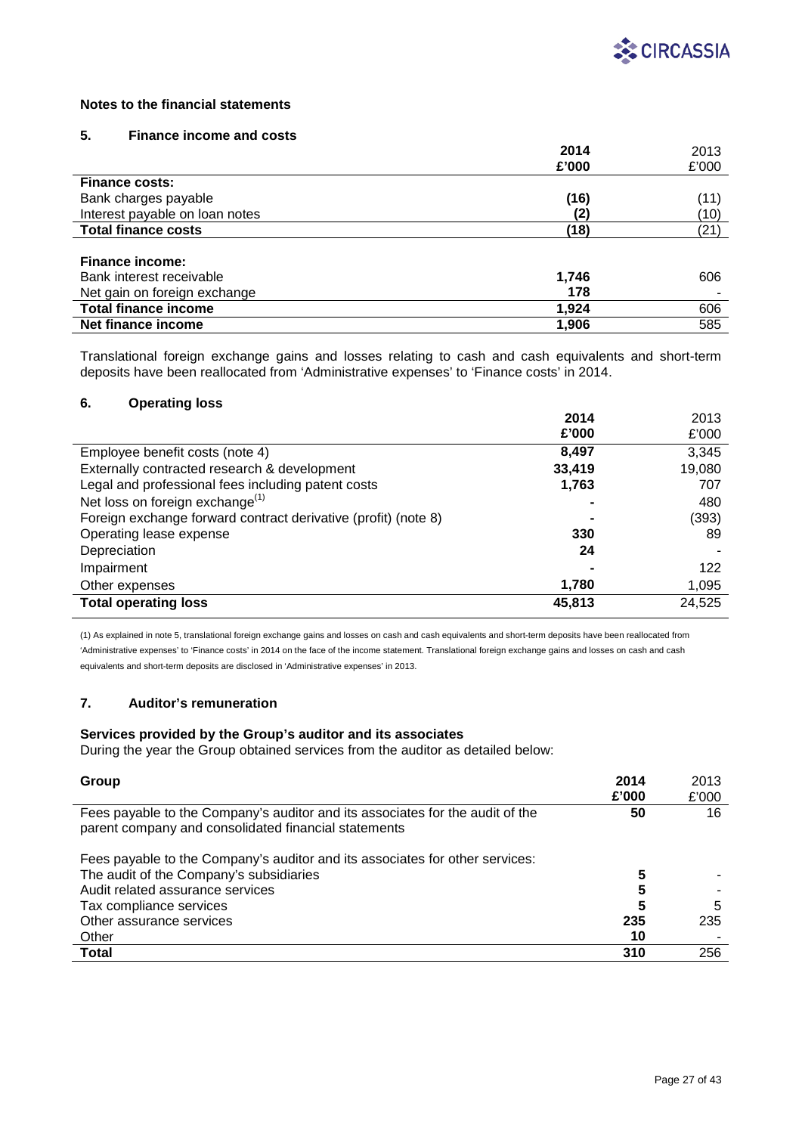

## **5. Finance income and costs**

|                                | 2014  | 2013  |
|--------------------------------|-------|-------|
|                                | £'000 | £'000 |
| <b>Finance costs:</b>          |       |       |
| Bank charges payable           | (16)  | (11)  |
| Interest payable on loan notes | (2)   | (10)  |
| <b>Total finance costs</b>     | (18)  | (21)  |
|                                |       |       |
| <b>Finance income:</b>         |       |       |
| Bank interest receivable       | 1,746 | 606   |
| Net gain on foreign exchange   | 178   |       |
| <b>Total finance income</b>    | 1.924 | 606   |
| Net finance income             | 1,906 | 585   |

Translational foreign exchange gains and losses relating to cash and cash equivalents and short-term deposits have been reallocated from 'Administrative expenses' to 'Finance costs' in 2014.

## **6. Operating loss**

|                                                                | 2014   | 2013   |
|----------------------------------------------------------------|--------|--------|
|                                                                | £'000  | £'000  |
| Employee benefit costs (note 4)                                | 8,497  | 3,345  |
| Externally contracted research & development                   | 33,419 | 19,080 |
| Legal and professional fees including patent costs             | 1,763  | 707    |
| Net loss on foreign exchange <sup>(1)</sup>                    |        | 480    |
| Foreign exchange forward contract derivative (profit) (note 8) |        | (393)  |
| Operating lease expense                                        | 330    | 89     |
| Depreciation                                                   | 24     |        |
| Impairment                                                     |        | 122    |
| Other expenses                                                 | 1,780  | 1,095  |
| <b>Total operating loss</b>                                    | 45,813 | 24,525 |

(1) As explained in note 5, translational foreign exchange gains and losses on cash and cash equivalents and short-term deposits have been reallocated from 'Administrative expenses' to 'Finance costs' in 2014 on the face of the income statement. Translational foreign exchange gains and losses on cash and cash equivalents and short-term deposits are disclosed in 'Administrative expenses' in 2013.

# **7. Auditor's remuneration**

l,

## **Services provided by the Group's auditor and its associates**

During the year the Group obtained services from the auditor as detailed below:

| 2014<br>Group<br>£'000                                                                                                                      | 2013<br>£'000 |
|---------------------------------------------------------------------------------------------------------------------------------------------|---------------|
| Fees payable to the Company's auditor and its associates for the audit of the<br>50<br>parent company and consolidated financial statements | 16            |
| Fees payable to the Company's auditor and its associates for other services:                                                                |               |
| The audit of the Company's subsidiaries<br>5                                                                                                |               |
| Audit related assurance services<br>5                                                                                                       |               |
| 5<br>Tax compliance services                                                                                                                | 5             |
| Other assurance services<br>235                                                                                                             | 235           |
| Other<br>10                                                                                                                                 |               |
| <b>Total</b><br>310                                                                                                                         | 256           |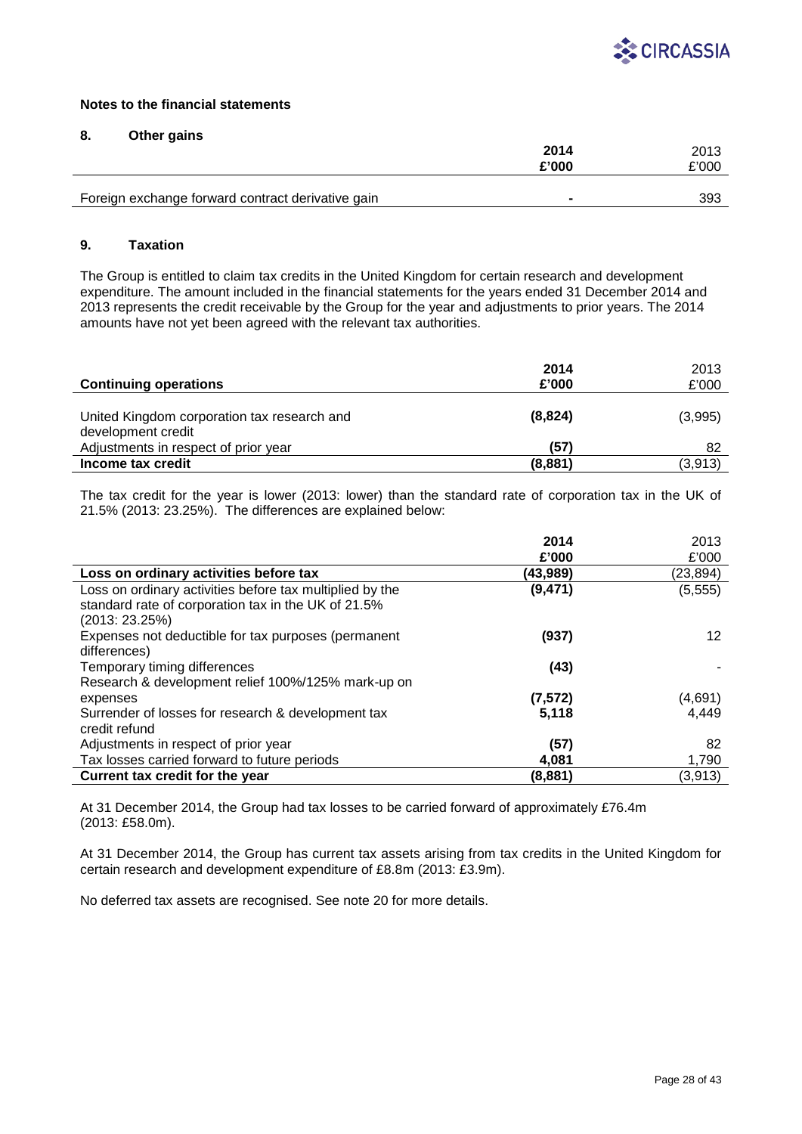

## **8. Other gains**

|                                                   | 2014   |       |
|---------------------------------------------------|--------|-------|
|                                                   | £'000  | £'000 |
|                                                   |        |       |
| Foreign exchange forward contract derivative gain | $\sim$ | 393   |

## **9. Taxation**

The Group is entitled to claim tax credits in the United Kingdom for certain research and development expenditure. The amount included in the financial statements for the years ended 31 December 2014 and 2013 represents the credit receivable by the Group for the year and adjustments to prior years. The 2014 amounts have not yet been agreed with the relevant tax authorities.

| <b>Continuing operations</b>                                      | 2014<br>£'000 | 2013<br>£'000 |
|-------------------------------------------------------------------|---------------|---------------|
| United Kingdom corporation tax research and<br>development credit | (8,824)       | (3,995)       |
| Adjustments in respect of prior year                              | (57)          | 82            |
| Income tax credit                                                 | (8, 881)      | (3,913)       |

The tax credit for the year is lower (2013: lower) than the standard rate of corporation tax in the UK of 21.5% (2013: 23.25%). The differences are explained below:

|                                                          | 2014     | 2013            |
|----------------------------------------------------------|----------|-----------------|
|                                                          | £'000    | £'000           |
| Loss on ordinary activities before tax                   | (43,989) | (23, 894)       |
| Loss on ordinary activities before tax multiplied by the | (9, 471) | (5, 555)        |
| standard rate of corporation tax in the UK of 21.5%      |          |                 |
| (2013: 23.25%)                                           |          |                 |
| Expenses not deductible for tax purposes (permanent      | (937)    | 12 <sup>°</sup> |
| differences)                                             |          |                 |
| Temporary timing differences                             | (43)     |                 |
| Research & development relief 100%/125% mark-up on       |          |                 |
| expenses                                                 | (7, 572) | (4,691)         |
| Surrender of losses for research & development tax       | 5,118    | 4,449           |
| credit refund                                            |          |                 |
| Adjustments in respect of prior year                     | (57)     | 82              |
| Tax losses carried forward to future periods             | 4,081    | 1,790           |
| Current tax credit for the year                          | (8,881)  | (3,913)         |

At 31 December 2014, the Group had tax losses to be carried forward of approximately £76.4m (2013: £58.0m).

At 31 December 2014, the Group has current tax assets arising from tax credits in the United Kingdom for certain research and development expenditure of £8.8m (2013: £3.9m).

No deferred tax assets are recognised. See note 20 for more details.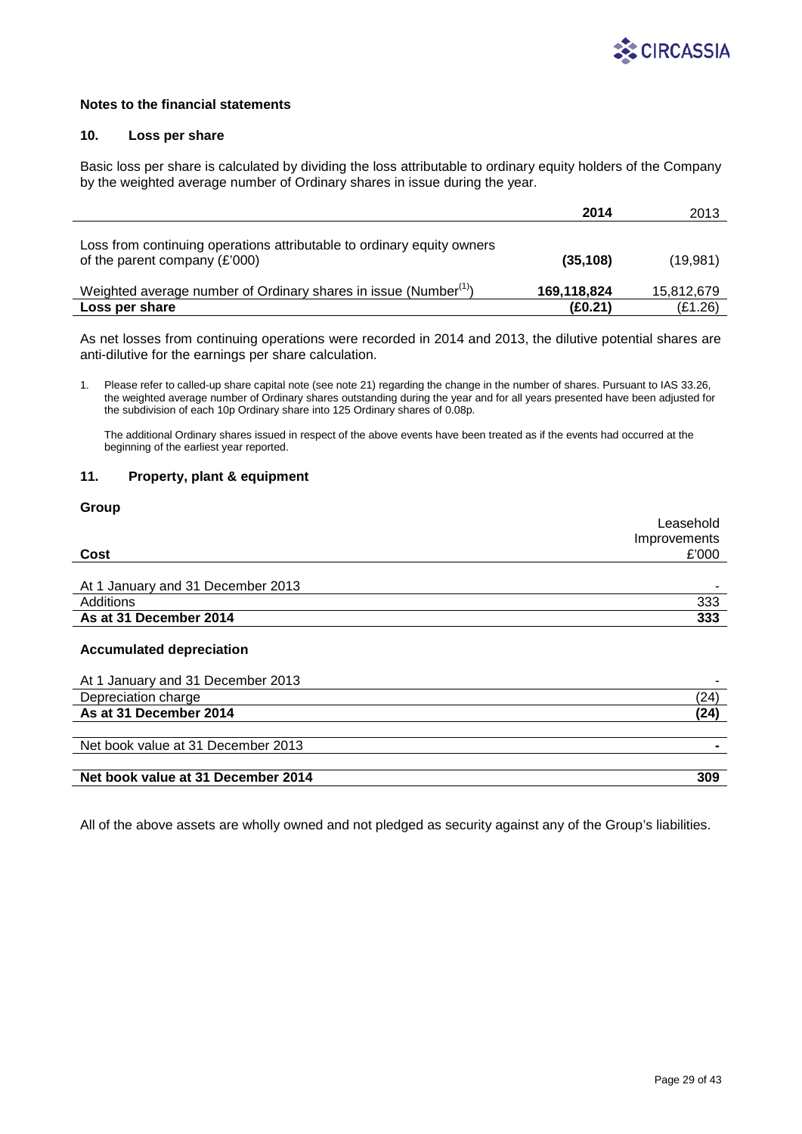

## **10. Loss per share**

Basic loss per share is calculated by dividing the loss attributable to ordinary equity holders of the Company by the weighted average number of Ordinary shares in issue during the year.

|                                                                                                           | 2014        | 2013       |
|-----------------------------------------------------------------------------------------------------------|-------------|------------|
| Loss from continuing operations attributable to ordinary equity owners<br>of the parent company $(E'000)$ | (35, 108)   | (19,981)   |
| Weighted average number of Ordinary shares in issue (Number <sup>(1)</sup> )                              | 169,118,824 | 15,812,679 |
| Loss per share                                                                                            | (E0.21)     | (E1.26)    |

As net losses from continuing operations were recorded in 2014 and 2013, the dilutive potential shares are anti-dilutive for the earnings per share calculation.

1. Please refer to called-up share capital note (see note 21) regarding the change in the number of shares. Pursuant to IAS 33.26, the weighted average number of Ordinary shares outstanding during the year and for all years presented have been adjusted for the subdivision of each 10p Ordinary share into 125 Ordinary shares of 0.08p.

The additional Ordinary shares issued in respect of the above events have been treated as if the events had occurred at the beginning of the earliest year reported.

### **11. Property, plant & equipment**

# **Group**

|                                   | Leasehold    |
|-----------------------------------|--------------|
|                                   | Improvements |
| Cost                              | £'000        |
|                                   |              |
| At 1 January and 31 December 2013 | -            |
| Additions                         | 333          |
| As at 31 December 2014            | 333          |
|                                   |              |

### **Accumulated depreciation**

| '24  |
|------|
| (24) |
|      |
|      |
|      |
| 309  |
|      |

All of the above assets are wholly owned and not pledged as security against any of the Group's liabilities.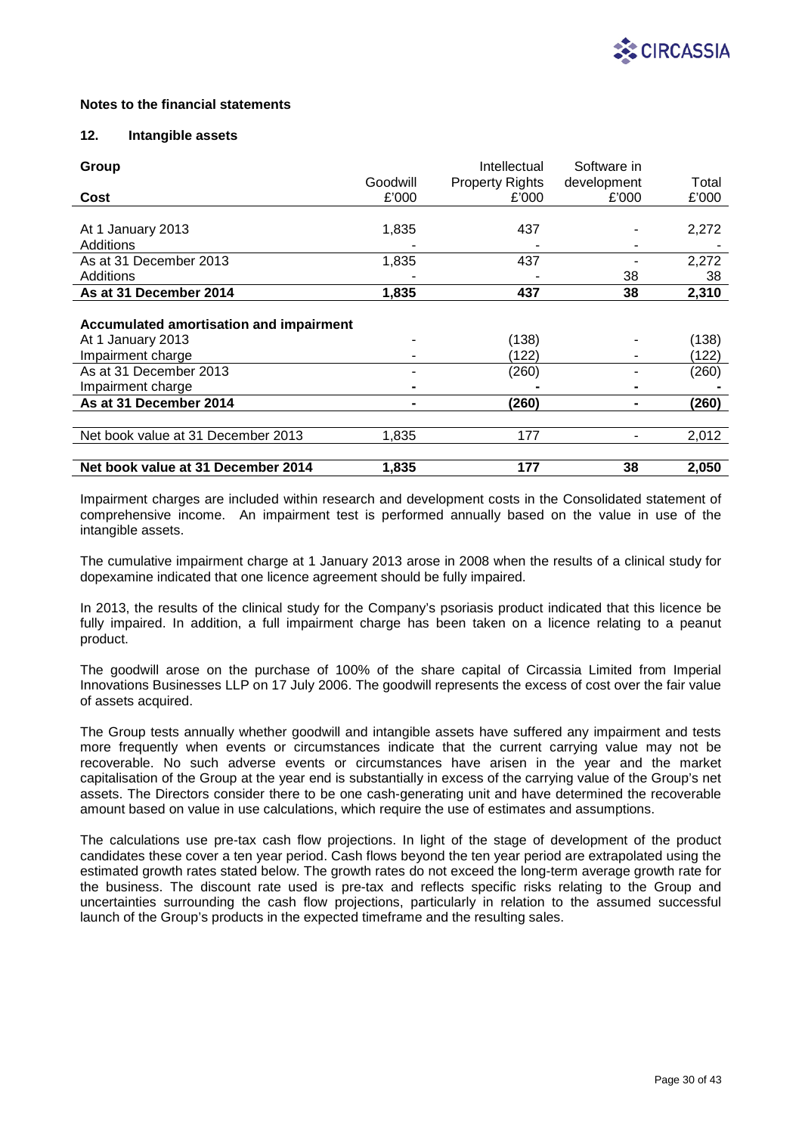

## **12. Intangible assets**

| Group                                          |          | Intellectual           | Software in |       |
|------------------------------------------------|----------|------------------------|-------------|-------|
|                                                | Goodwill | <b>Property Rights</b> | development | Total |
| Cost                                           | £'000    | £'000                  | £'000       | £'000 |
|                                                |          |                        |             |       |
| At 1 January 2013                              | 1,835    | 437                    |             | 2,272 |
| Additions                                      |          |                        |             |       |
| As at 31 December 2013                         | 1,835    | 437                    |             | 2,272 |
| Additions                                      |          |                        | 38          | 38    |
| As at 31 December 2014                         | 1,835    | 437                    | 38          | 2,310 |
|                                                |          |                        |             |       |
| <b>Accumulated amortisation and impairment</b> |          |                        |             |       |
| At 1 January 2013                              |          | (138)                  |             | (138) |
| Impairment charge                              |          | (122)                  |             | (122) |
| As at 31 December 2013                         |          | (260)                  |             | (260) |
| Impairment charge                              |          |                        |             |       |
| As at 31 December 2014                         |          | (260)                  |             | (260) |
|                                                |          |                        |             |       |
| Net book value at 31 December 2013             | 1,835    | 177                    |             | 2,012 |
|                                                |          |                        |             |       |
| Net book value at 31 December 2014             | 1,835    | 177                    | 38          | 2,050 |

Impairment charges are included within research and development costs in the Consolidated statement of comprehensive income. An impairment test is performed annually based on the value in use of the intangible assets.

The cumulative impairment charge at 1 January 2013 arose in 2008 when the results of a clinical study for dopexamine indicated that one licence agreement should be fully impaired.

In 2013, the results of the clinical study for the Company's psoriasis product indicated that this licence be fully impaired. In addition, a full impairment charge has been taken on a licence relating to a peanut product.

The goodwill arose on the purchase of 100% of the share capital of Circassia Limited from Imperial Innovations Businesses LLP on 17 July 2006. The goodwill represents the excess of cost over the fair value of assets acquired.

The Group tests annually whether goodwill and intangible assets have suffered any impairment and tests more frequently when events or circumstances indicate that the current carrying value may not be recoverable. No such adverse events or circumstances have arisen in the year and the market capitalisation of the Group at the year end is substantially in excess of the carrying value of the Group's net assets. The Directors consider there to be one cash-generating unit and have determined the recoverable amount based on value in use calculations, which require the use of estimates and assumptions.

The calculations use pre-tax cash flow projections. In light of the stage of development of the product candidates these cover a ten year period. Cash flows beyond the ten year period are extrapolated using the estimated growth rates stated below. The growth rates do not exceed the long-term average growth rate for the business. The discount rate used is pre-tax and reflects specific risks relating to the Group and uncertainties surrounding the cash flow projections, particularly in relation to the assumed successful launch of the Group's products in the expected timeframe and the resulting sales.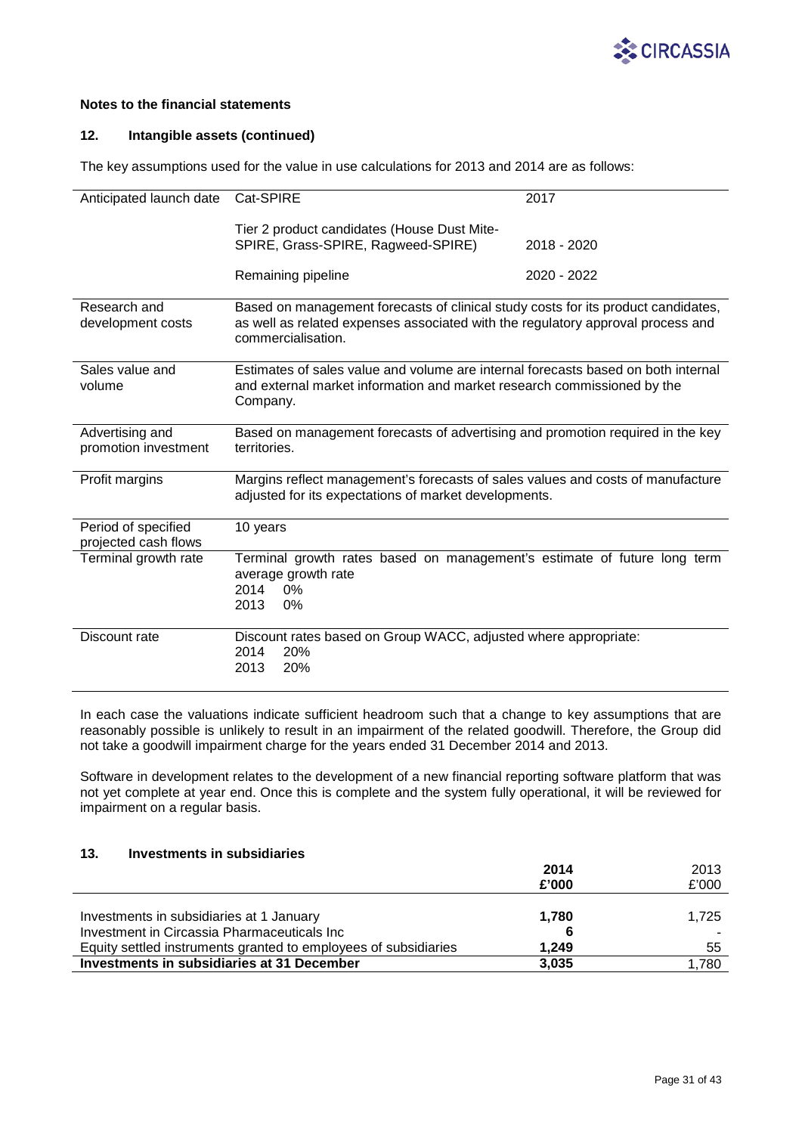

## **12. Intangible assets (continued)**

The key assumptions used for the value in use calculations for 2013 and 2014 are as follows:

| Anticipated launch date                     | Cat-SPIRE                                                                                                                                                            | 2017        |
|---------------------------------------------|----------------------------------------------------------------------------------------------------------------------------------------------------------------------|-------------|
|                                             | Tier 2 product candidates (House Dust Mite-                                                                                                                          |             |
|                                             | SPIRE, Grass-SPIRE, Ragweed-SPIRE)                                                                                                                                   | 2018 - 2020 |
|                                             |                                                                                                                                                                      |             |
|                                             | Remaining pipeline                                                                                                                                                   | 2020 - 2022 |
| Research and                                |                                                                                                                                                                      |             |
| development costs                           | Based on management forecasts of clinical study costs for its product candidates,<br>as well as related expenses associated with the regulatory approval process and |             |
|                                             | commercialisation.                                                                                                                                                   |             |
|                                             |                                                                                                                                                                      |             |
| Sales value and                             | Estimates of sales value and volume are internal forecasts based on both internal                                                                                    |             |
| volume                                      | and external market information and market research commissioned by the                                                                                              |             |
|                                             | Company.                                                                                                                                                             |             |
| Advertising and                             | Based on management forecasts of advertising and promotion required in the key                                                                                       |             |
| promotion investment                        | territories.                                                                                                                                                         |             |
|                                             |                                                                                                                                                                      |             |
| Profit margins                              | Margins reflect management's forecasts of sales values and costs of manufacture                                                                                      |             |
|                                             | adjusted for its expectations of market developments.                                                                                                                |             |
|                                             |                                                                                                                                                                      |             |
| Period of specified<br>projected cash flows | 10 years                                                                                                                                                             |             |
| Terminal growth rate                        | Terminal growth rates based on management's estimate of future long term                                                                                             |             |
|                                             | average growth rate                                                                                                                                                  |             |
|                                             | 2014<br>0%                                                                                                                                                           |             |
|                                             | 2013<br>0%                                                                                                                                                           |             |
|                                             |                                                                                                                                                                      |             |
| Discount rate                               | Discount rates based on Group WACC, adjusted where appropriate:                                                                                                      |             |
|                                             | 20%<br>2014                                                                                                                                                          |             |
|                                             | 20%<br>2013                                                                                                                                                          |             |

In each case the valuations indicate sufficient headroom such that a change to key assumptions that are reasonably possible is unlikely to result in an impairment of the related goodwill. Therefore, the Group did not take a goodwill impairment charge for the years ended 31 December 2014 and 2013.

Software in development relates to the development of a new financial reporting software platform that was not yet complete at year end. Once this is complete and the system fully operational, it will be reviewed for impairment on a regular basis.

# **13. Investments in subsidiaries**

| £'000 |
|-------|
|       |
| 1.725 |
|       |
| 55    |
| 1.780 |
|       |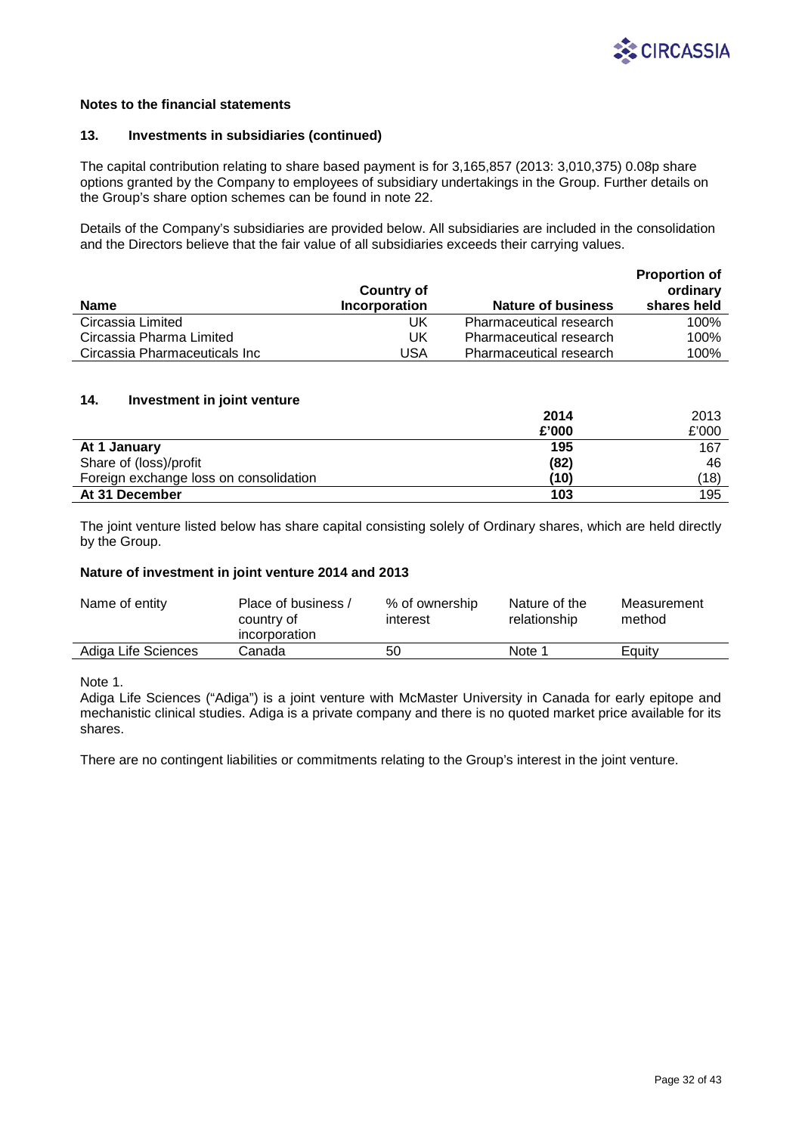

### **13. Investments in subsidiaries (continued)**

The capital contribution relating to share based payment is for 3,165,857 (2013: 3,010,375) 0.08p share options granted by the Company to employees of subsidiary undertakings in the Group. Further details on the Group's share option schemes can be found in note 22.

Details of the Company's subsidiaries are provided below. All subsidiaries are included in the consolidation and the Directors believe that the fair value of all subsidiaries exceeds their carrying values.

|                               | <b>Country of</b> |                                | <b>Proportion of</b><br>ordinary |
|-------------------------------|-------------------|--------------------------------|----------------------------------|
| <b>Name</b>                   | Incorporation     | <b>Nature of business</b>      | shares held                      |
| Circassia Limited             | UK                | <b>Pharmaceutical research</b> | 100%                             |
| Circassia Pharma Limited      | UK                | <b>Pharmaceutical research</b> | 100%                             |
| Circassia Pharmaceuticals Inc | USA               | <b>Pharmaceutical research</b> | 100%                             |

## **14. Investment in joint venture**

|                                        | 2014  | 2013  |
|----------------------------------------|-------|-------|
|                                        | £'000 | £'000 |
| At 1 January                           | 195   | 167   |
| Share of (loss)/profit                 | (82)  | 46    |
| Foreign exchange loss on consolidation | (10)  | (18)  |
| At 31 December                         | 103   | 195   |

The joint venture listed below has share capital consisting solely of Ordinary shares, which are held directly by the Group.

### **Nature of investment in joint venture 2014 and 2013**

| Name of entity      | Place of business /<br>country of<br>incorporation | % of ownership<br>interest | Nature of the<br>relationship | Measurement<br>method |
|---------------------|----------------------------------------------------|----------------------------|-------------------------------|-----------------------|
| Adiga Life Sciences | Canada                                             | 50                         | Note 1                        | Equity                |

Note 1.

Adiga Life Sciences ("Adiga") is a joint venture with McMaster University in Canada for early epitope and mechanistic clinical studies. Adiga is a private company and there is no quoted market price available for its shares.

There are no contingent liabilities or commitments relating to the Group's interest in the joint venture.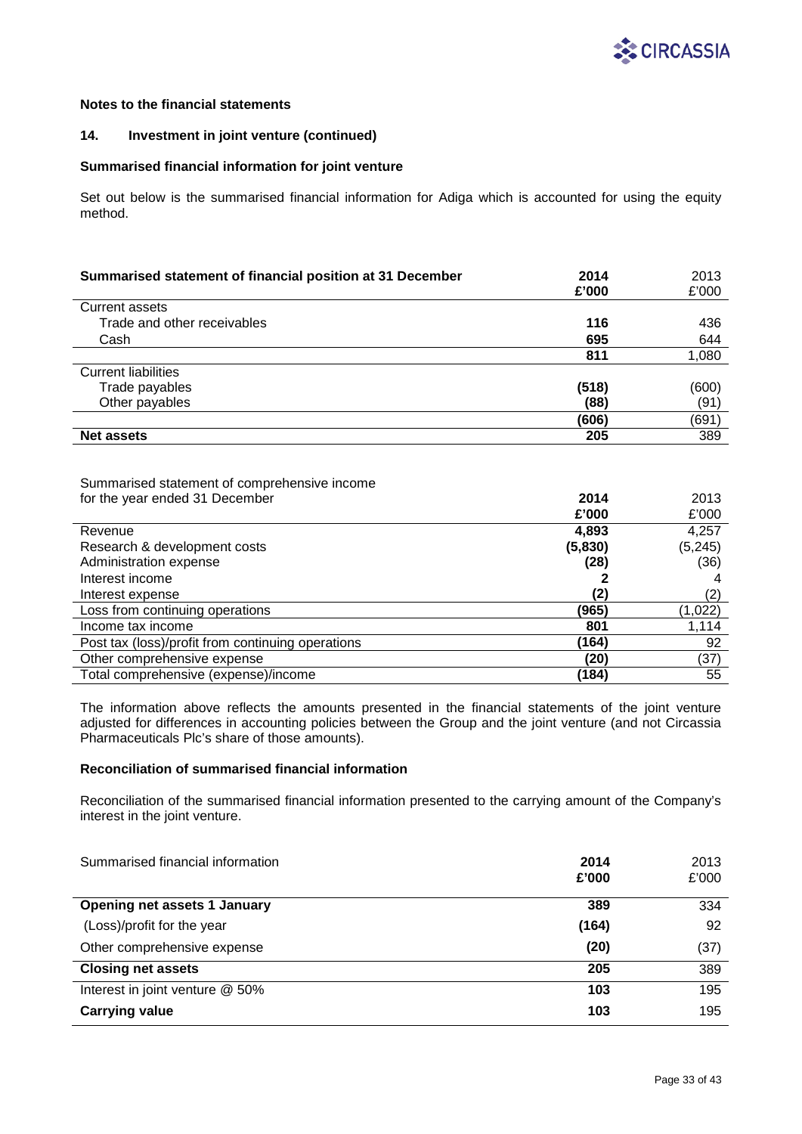

## **14. Investment in joint venture (continued)**

### **Summarised financial information for joint venture**

Set out below is the summarised financial information for Adiga which is accounted for using the equity method.

| Summarised statement of financial position at 31 December | 2014<br>£'000 | 2013<br>£'000 |
|-----------------------------------------------------------|---------------|---------------|
| <b>Current assets</b>                                     |               |               |
| Trade and other receivables                               | 116           | 436           |
| Cash                                                      | 695           | 644           |
|                                                           | 811           | 1,080         |
| <b>Current liabilities</b>                                |               |               |
| Trade payables                                            | (518)         | (600)         |
| Other payables                                            | (88)          | (91)          |
|                                                           | (606)         | (691)         |
| <b>Net assets</b>                                         | 205           | 389           |

#### Summarised statement of comprehensive income for the year ended 31 December **2014**

| for the year ended 31 December                    | 2014    | 2013     |
|---------------------------------------------------|---------|----------|
|                                                   | £'000   | £'000    |
| Revenue                                           | 4,893   | 4,257    |
| Research & development costs                      | (5,830) | (5, 245) |
| Administration expense                            | (28)    | (36)     |
| Interest income                                   |         |          |
| Interest expense                                  | (2)     | (2)      |
| Loss from continuing operations                   | (965)   | (1,022)  |
| Income tax income                                 | 801     | 1,114    |
| Post tax (loss)/profit from continuing operations | (164)   | 92       |
| Other comprehensive expense                       | (20)    | (37)     |
| Total comprehensive (expense)/income              | (184)   | 55       |

The information above reflects the amounts presented in the financial statements of the joint venture adjusted for differences in accounting policies between the Group and the joint venture (and not Circassia Pharmaceuticals Plc's share of those amounts).

## **Reconciliation of summarised financial information**

Reconciliation of the summarised financial information presented to the carrying amount of the Company's interest in the joint venture.

| Summarised financial information    | 2014<br>£'000 | 2013<br>£'000 |
|-------------------------------------|---------------|---------------|
| <b>Opening net assets 1 January</b> | 389           | 334           |
| (Loss)/profit for the year          | (164)         | 92            |
| Other comprehensive expense         | (20)          | (37)          |
| <b>Closing net assets</b>           | 205           | 389           |
| Interest in joint venture @ 50%     | 103           | 195           |
| <b>Carrying value</b>               | 103           | 195           |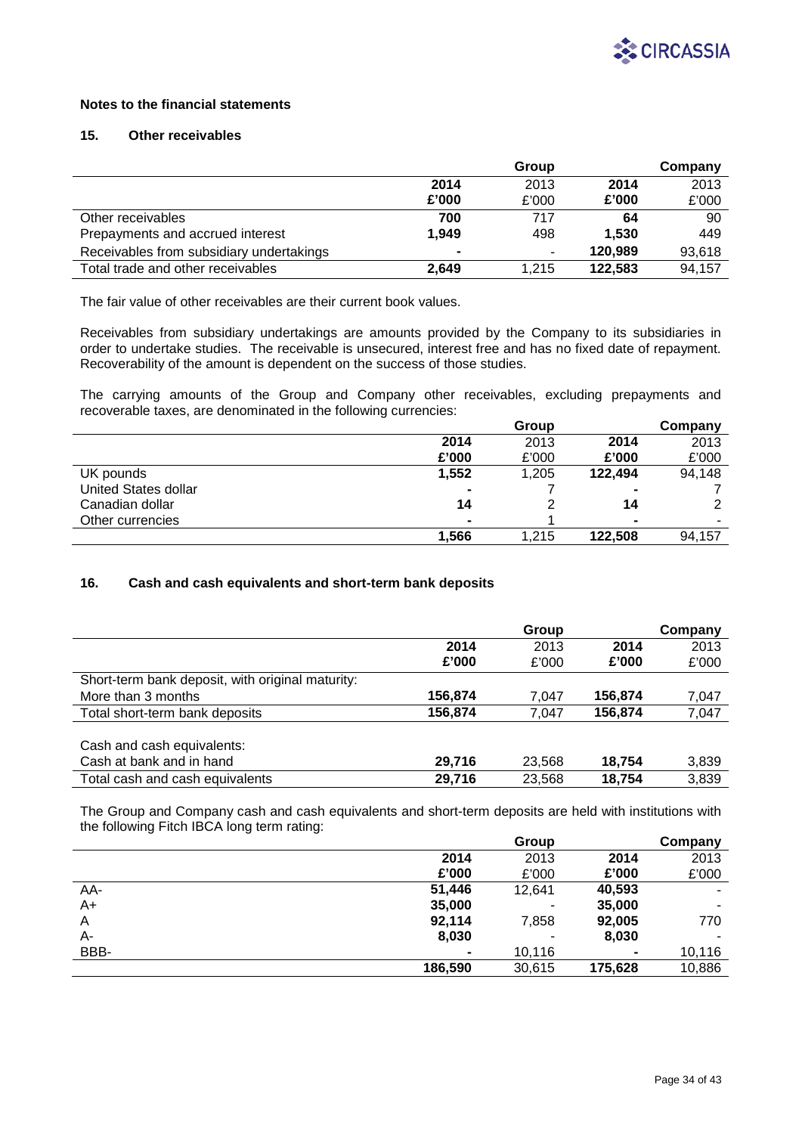

## **15. Other receivables**

|                                          |       | Group                    |         | Company |
|------------------------------------------|-------|--------------------------|---------|---------|
|                                          | 2014  | 2013                     | 2014    | 2013    |
|                                          | £'000 | £'000                    | £'000   | £'000   |
| Other receivables                        | 700   | 717                      | 64      | 90      |
| Prepayments and accrued interest         | 1.949 | 498                      | 1.530   | 449     |
| Receivables from subsidiary undertakings |       | $\overline{\phantom{a}}$ | 120.989 | 93,618  |
| Total trade and other receivables        | 2.649 | 1.215                    | 122.583 | 94,157  |

The fair value of other receivables are their current book values.

Receivables from subsidiary undertakings are amounts provided by the Company to its subsidiaries in order to undertake studies. The receivable is unsecured, interest free and has no fixed date of repayment. Recoverability of the amount is dependent on the success of those studies.

The carrying amounts of the Group and Company other receivables, excluding prepayments and recoverable taxes, are denominated in the following currencies:

|                      |                | Group |                | Company |
|----------------------|----------------|-------|----------------|---------|
|                      | 2014           | 2013  | 2014           | 2013    |
|                      | £'000          | £'000 | £'000          | £'000   |
| UK pounds            | 1,552          | 1,205 | 122.494        | 94,148  |
| United States dollar | $\blacksquare$ |       |                |         |
| Canadian dollar      | 14             |       | 14             |         |
| Other currencies     | $\blacksquare$ |       | $\blacksquare$ |         |
|                      | 1,566          | 1,215 | 122,508        | 94,157  |

## **16. Cash and cash equivalents and short-term bank deposits**

|                                                  |         | Group  |         | Company |
|--------------------------------------------------|---------|--------|---------|---------|
|                                                  | 2014    | 2013   | 2014    | 2013    |
|                                                  | £'000   | £'000  | £'000   | £'000   |
| Short-term bank deposit, with original maturity: |         |        |         |         |
| More than 3 months                               | 156,874 | 7.047  | 156,874 | 7,047   |
| Total short-term bank deposits                   | 156,874 | 7.047  | 156,874 | 7,047   |
|                                                  |         |        |         |         |
| Cash and cash equivalents:                       |         |        |         |         |
| Cash at bank and in hand                         | 29,716  | 23,568 | 18,754  | 3,839   |
| Total cash and cash equivalents                  | 29,716  | 23.568 | 18,754  | 3,839   |

The Group and Company cash and cash equivalents and short-term deposits are held with institutions with the following Fitch IBCA long term rating:

|      |                | Group  |         | Company |
|------|----------------|--------|---------|---------|
|      | 2014           | 2013   | 2014    | 2013    |
|      | £'000          | £'000  | £'000   | £'000   |
| AA-  | 51,446         | 12,641 | 40,593  |         |
| A+   | 35,000         | -      | 35,000  |         |
| A    | 92,114         | 7,858  | 92,005  | 770     |
| А-   | 8,030          | -      | 8,030   |         |
| BBB- | $\blacksquare$ | 10,116 | ۰       | 10,116  |
|      | 186,590        | 30,615 | 175,628 | 10,886  |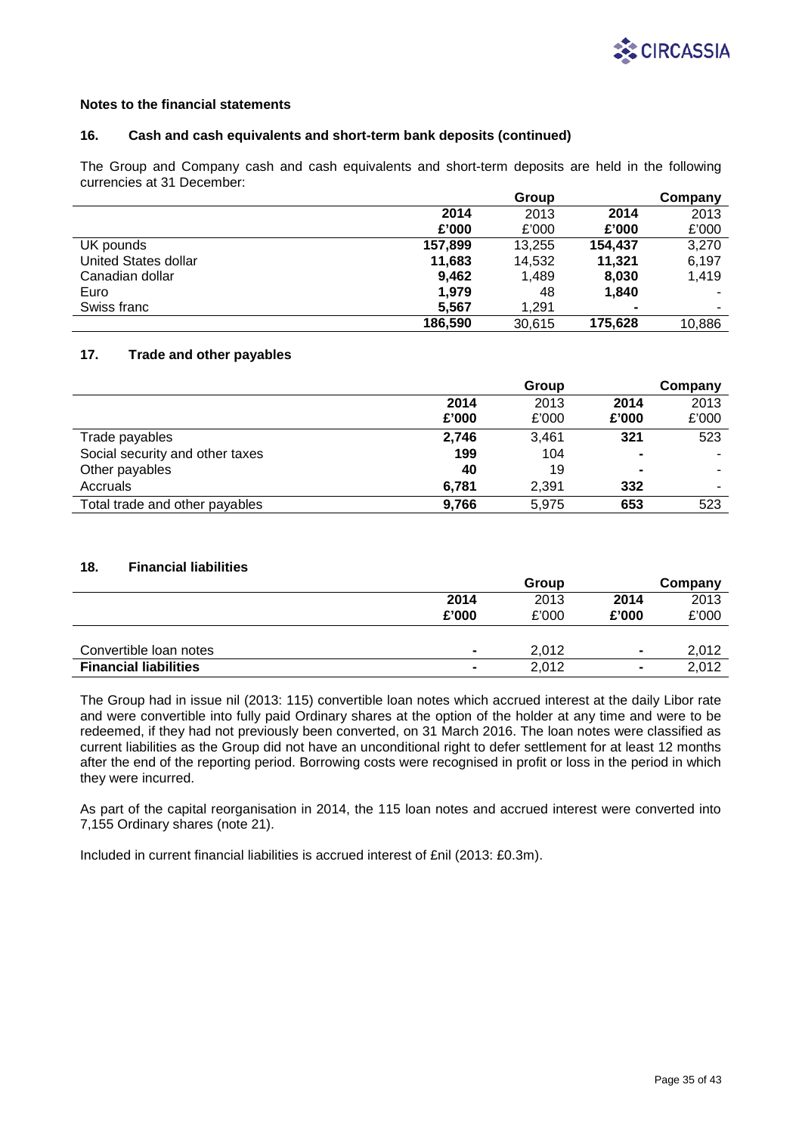

### **16. Cash and cash equivalents and short-term bank deposits (continued)**

The Group and Company cash and cash equivalents and short-term deposits are held in the following currencies at 31 December:

|                      |         | Group  |                | Company |
|----------------------|---------|--------|----------------|---------|
|                      | 2014    | 2013   | 2014           | 2013    |
|                      | £'000   | £'000  | £'000          | £'000   |
| UK pounds            | 157,899 | 13.255 | 154.437        | 3,270   |
| United States dollar | 11,683  | 14.532 | 11.321         | 6,197   |
| Canadian dollar      | 9.462   | 1.489  | 8,030          | 1.419   |
| Euro                 | 1.979   | 48     | 1,840          |         |
| Swiss franc          | 5.567   | 1.291  | $\blacksquare$ | ۰       |
|                      | 186.590 | 30,615 | 175,628        | 10,886  |

## **17. Trade and other payables**

|                                 |       | Group |                | Company |
|---------------------------------|-------|-------|----------------|---------|
|                                 | 2014  | 2013  | 2014           | 2013    |
|                                 | £'000 | £'000 | £'000          | £'000   |
| Trade payables                  | 2,746 | 3.461 | 321            | 523     |
| Social security and other taxes | 199   | 104   | $\blacksquare$ |         |
| Other payables                  | 40    | 19    | $\blacksquare$ | ۰       |
| Accruals                        | 6,781 | 2,391 | 332            |         |
| Total trade and other payables  | 9,766 | 5.975 | 653            | 523     |

## **18. Financial liabilities**

|                              |                | Group |                | Company |
|------------------------------|----------------|-------|----------------|---------|
|                              | 2014           | 2013  | 2014           | 2013    |
|                              | £'000          | £'000 | £'000          | £'000   |
|                              |                |       |                |         |
| Convertible loan notes       | $\blacksquare$ | 2.012 | $\blacksquare$ | 2,012   |
| <b>Financial liabilities</b> | $\blacksquare$ | 2.012 | $\blacksquare$ | 2.012   |

The Group had in issue nil (2013: 115) convertible loan notes which accrued interest at the daily Libor rate and were convertible into fully paid Ordinary shares at the option of the holder at any time and were to be redeemed, if they had not previously been converted, on 31 March 2016. The loan notes were classified as current liabilities as the Group did not have an unconditional right to defer settlement for at least 12 months after the end of the reporting period. Borrowing costs were recognised in profit or loss in the period in which they were incurred.

As part of the capital reorganisation in 2014, the 115 loan notes and accrued interest were converted into 7,155 Ordinary shares (note 21).

Included in current financial liabilities is accrued interest of £nil (2013: £0.3m).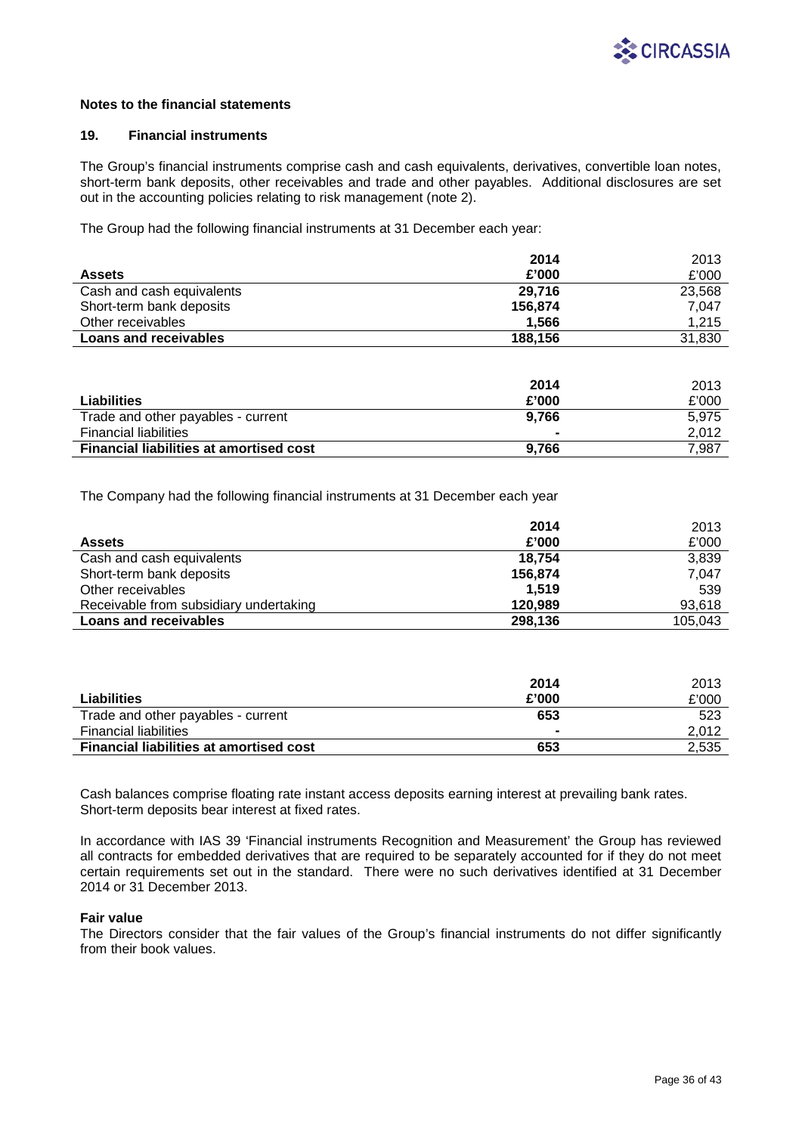

### **19. Financial instruments**

The Group's financial instruments comprise cash and cash equivalents, derivatives, convertible loan notes, short-term bank deposits, other receivables and trade and other payables. Additional disclosures are set out in the accounting policies relating to risk management (note 2).

The Group had the following financial instruments at 31 December each year:

|                              | 2014    | 2013   |
|------------------------------|---------|--------|
| <b>Assets</b>                | £'000   | £'000  |
| Cash and cash equivalents    | 29.716  | 23.568 |
| Short-term bank deposits     | 156,874 | 7.047  |
| Other receivables            | 1.566   | 1,215  |
| <b>Loans and receivables</b> | 188,156 | 31,830 |

|                                                | 2014  | 2013  |
|------------------------------------------------|-------|-------|
| Liabilities                                    | £'000 | £'000 |
| Trade and other payables - current             | 9.766 | 5.975 |
| <b>Financial liabilities</b>                   |       | 2.012 |
| <b>Financial liabilities at amortised cost</b> | 9.766 | 7.987 |

The Company had the following financial instruments at 31 December each year

|                                        | 2014    | 2013    |
|----------------------------------------|---------|---------|
| <b>Assets</b>                          | £'000   | £'000   |
| Cash and cash equivalents              | 18.754  | 3,839   |
| Short-term bank deposits               | 156,874 | 7,047   |
| Other receivables                      | 1.519   | 539     |
| Receivable from subsidiary undertaking | 120,989 | 93,618  |
| <b>Loans and receivables</b>           | 298,136 | 105.043 |

|                                                | 2014  | 2013  |
|------------------------------------------------|-------|-------|
| Liabilities                                    | £'000 | £'000 |
| Trade and other payables - current             | 653   | 523   |
| <b>Financial liabilities</b>                   |       | 2.012 |
| <b>Financial liabilities at amortised cost</b> | 653   | 2,535 |

Cash balances comprise floating rate instant access deposits earning interest at prevailing bank rates. Short-term deposits bear interest at fixed rates.

In accordance with IAS 39 'Financial instruments Recognition and Measurement' the Group has reviewed all contracts for embedded derivatives that are required to be separately accounted for if they do not meet certain requirements set out in the standard. There were no such derivatives identified at 31 December 2014 or 31 December 2013.

### **Fair value**

The Directors consider that the fair values of the Group's financial instruments do not differ significantly from their book values.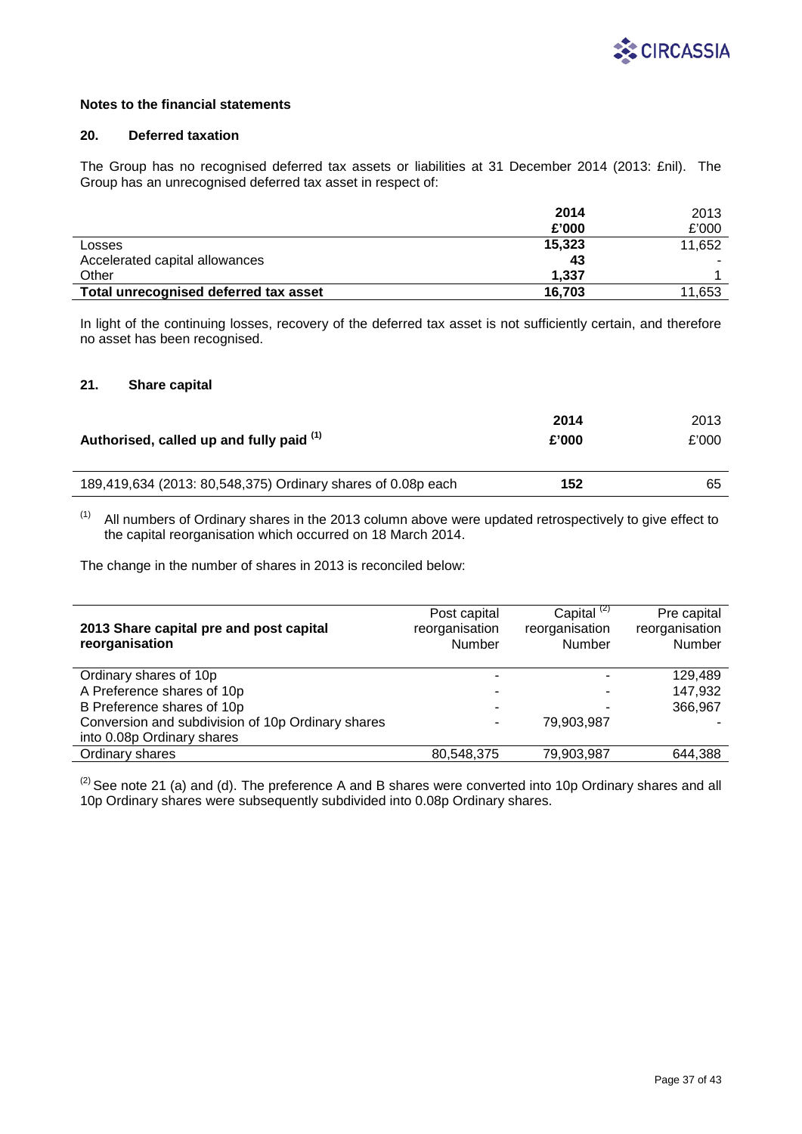

## **20. Deferred taxation**

The Group has no recognised deferred tax assets or liabilities at 31 December 2014 (2013: £nil). The Group has an unrecognised deferred tax asset in respect of:

|                                       | 2014   | 2013   |
|---------------------------------------|--------|--------|
|                                       | £'000  | £'000  |
| Losses                                | 15,323 | 11,652 |
| Accelerated capital allowances        | 43     |        |
| Other                                 | 1.337  |        |
| Total unrecognised deferred tax asset | 16.703 | 11,653 |

In light of the continuing losses, recovery of the deferred tax asset is not sufficiently certain, and therefore no asset has been recognised.

## **21. Share capital**

| Authorised, called up and fully paid (1)                     | 2014<br>£'000 | 2013<br>£'000 |
|--------------------------------------------------------------|---------------|---------------|
| 189,419,634 (2013: 80,548,375) Ordinary shares of 0.08p each | 152           | 65            |
|                                                              |               |               |

 $(1)$  All numbers of Ordinary shares in the 2013 column above were updated retrospectively to give effect to the capital reorganisation which occurred on 18 March 2014.

The change in the number of shares in 2013 is reconciled below:

| 2013 Share capital pre and post capital<br>reorganisation | Post capital<br>reorganisation<br>Number | Capital $(2)$<br>reorganisation<br>Number | Pre capital<br>reorganisation<br>Number |
|-----------------------------------------------------------|------------------------------------------|-------------------------------------------|-----------------------------------------|
| Ordinary shares of 10p                                    |                                          |                                           | 129,489                                 |
| A Preference shares of 10p                                |                                          |                                           | 147.932                                 |
| B Preference shares of 10p                                |                                          |                                           | 366,967                                 |
| Conversion and subdivision of 10p Ordinary shares         | ۰                                        | 79,903,987                                |                                         |
| into 0.08p Ordinary shares                                |                                          |                                           |                                         |
| Ordinary shares                                           | 80,548,375                               | 79,903,987                                | 644,388                                 |

 $^{(2)}$  See note 21 (a) and (d). The preference A and B shares were converted into 10p Ordinary shares and all 10p Ordinary shares were subsequently subdivided into 0.08p Ordinary shares.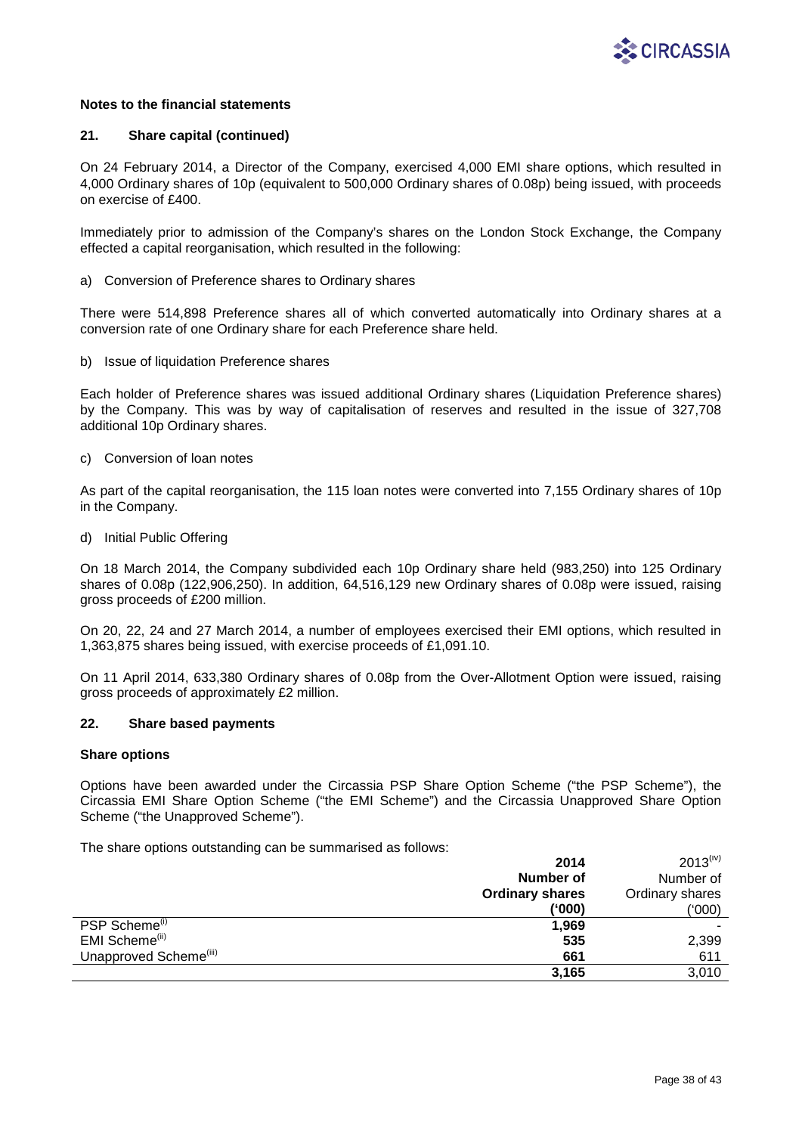

### **21. Share capital (continued)**

On 24 February 2014, a Director of the Company, exercised 4,000 EMI share options, which resulted in 4,000 Ordinary shares of 10p (equivalent to 500,000 Ordinary shares of 0.08p) being issued, with proceeds on exercise of £400.

Immediately prior to admission of the Company's shares on the London Stock Exchange, the Company effected a capital reorganisation, which resulted in the following:

a) Conversion of Preference shares to Ordinary shares

There were 514,898 Preference shares all of which converted automatically into Ordinary shares at a conversion rate of one Ordinary share for each Preference share held.

b) Issue of liquidation Preference shares

Each holder of Preference shares was issued additional Ordinary shares (Liquidation Preference shares) by the Company. This was by way of capitalisation of reserves and resulted in the issue of 327,708 additional 10p Ordinary shares.

c) Conversion of loan notes

As part of the capital reorganisation, the 115 loan notes were converted into 7,155 Ordinary shares of 10p in the Company.

d) Initial Public Offering

On 18 March 2014, the Company subdivided each 10p Ordinary share held (983,250) into 125 Ordinary shares of 0.08p (122,906,250). In addition, 64,516,129 new Ordinary shares of 0.08p were issued, raising gross proceeds of £200 million.

On 20, 22, 24 and 27 March 2014, a number of employees exercised their EMI options, which resulted in 1,363,875 shares being issued, with exercise proceeds of £1,091.10.

On 11 April 2014, 633,380 Ordinary shares of 0.08p from the Over-Allotment Option were issued, raising gross proceeds of approximately £2 million.

## **22. Share based payments**

### **Share options**

Options have been awarded under the Circassia PSP Share Option Scheme ("the PSP Scheme"), the Circassia EMI Share Option Scheme ("the EMI Scheme") and the Circassia Unapproved Share Option Scheme ("the Unapproved Scheme").

The share options outstanding can be summarised as follows:

|                                    | 2014                   | $2013^{(iv)}$   |
|------------------------------------|------------------------|-----------------|
|                                    | Number of              | Number of       |
|                                    | <b>Ordinary shares</b> | Ordinary shares |
|                                    | ('000)                 | ('000)          |
| PSP Scheme <sup>(i)</sup>          | 1,969                  |                 |
| EMI Scheme <sup>(ii)</sup>         | 535                    | 2,399           |
| Unapproved Scheme <sup>(iii)</sup> | 661                    | 611             |
|                                    | 3,165                  | 3,010           |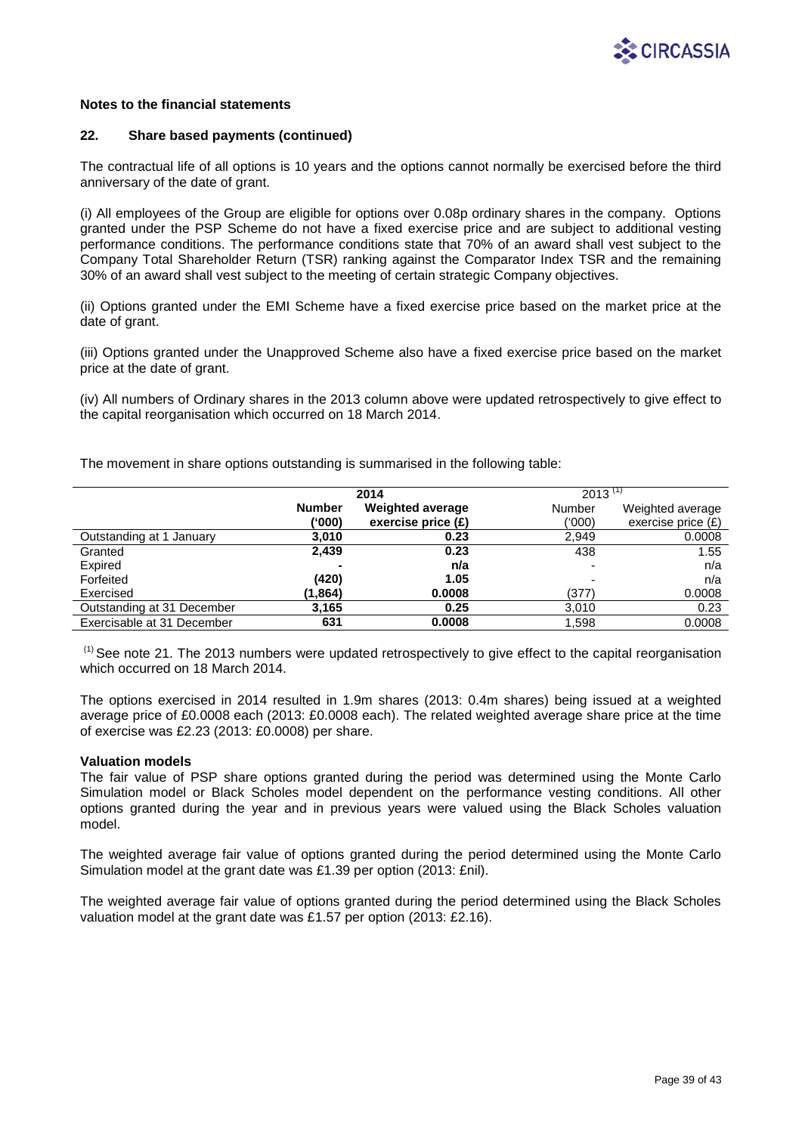

### **22. Share based payments (continued)**

The contractual life of all options is 10 years and the options cannot normally be exercised before the third anniversary of the date of grant.

(i) All employees of the Group are eligible for options over 0.08p ordinary shares in the company. Options granted under the PSP Scheme do not have a fixed exercise price and are subject to additional vesting performance conditions. The performance conditions state that 70% of an award shall vest subject to the Company Total Shareholder Return (TSR) ranking against the Comparator Index TSR and the remaining 30% of an award shall vest subject to the meeting of certain strategic Company objectives.

(ii) Options granted under the EMI Scheme have a fixed exercise price based on the market price at the date of grant.

(iii) Options granted under the Unapproved Scheme also have a fixed exercise price based on the market price at the date of grant.

(iv) All numbers of Ordinary shares in the 2013 column above were updated retrospectively to give effect to the capital reorganisation which occurred on 18 March 2014.

The movement in share options outstanding is summarised in the following table:

|                            | 2014          |                         | 2013   |                      |
|----------------------------|---------------|-------------------------|--------|----------------------|
|                            | <b>Number</b> | <b>Weighted average</b> | Number | Weighted average     |
|                            | ('000)        | exercise price $(E)$    | ('000) | exercise price $(E)$ |
| Outstanding at 1 January   | 3,010         | 0.23                    | 2,949  | 0.0008               |
| Granted                    | 2,439         | 0.23                    | 438    | 1.55                 |
| Expired                    |               | n/a                     | -      | n/a                  |
| Forfeited                  | (420)         | 1.05                    |        | n/a                  |
| Exercised                  | (1,864)       | 0.0008                  | (377)  | 0.0008               |
| Outstanding at 31 December | 3,165         | 0.25                    | 3.010  | 0.23                 |
| Exercisable at 31 December | 631           | 0.0008                  | 1,598  | 0.0008               |

<sup>(1)</sup> See note 21. The 2013 numbers were updated retrospectively to give effect to the capital reorganisation which occurred on 18 March 2014.

The options exercised in 2014 resulted in 1.9m shares (2013: 0.4m shares) being issued at a weighted average price of £0.0008 each (2013: £0.0008 each). The related weighted average share price at the time of exercise was £2.23 (2013: £0.0008) per share.

## **Valuation models**

The fair value of PSP share options granted during the period was determined using the Monte Carlo Simulation model or Black Scholes model dependent on the performance vesting conditions. All other options granted during the year and in previous years were valued using the Black Scholes valuation model.

The weighted average fair value of options granted during the period determined using the Monte Carlo Simulation model at the grant date was £1.39 per option (2013: £nil).

The weighted average fair value of options granted during the period determined using the Black Scholes valuation model at the grant date was £1.57 per option (2013: £2.16).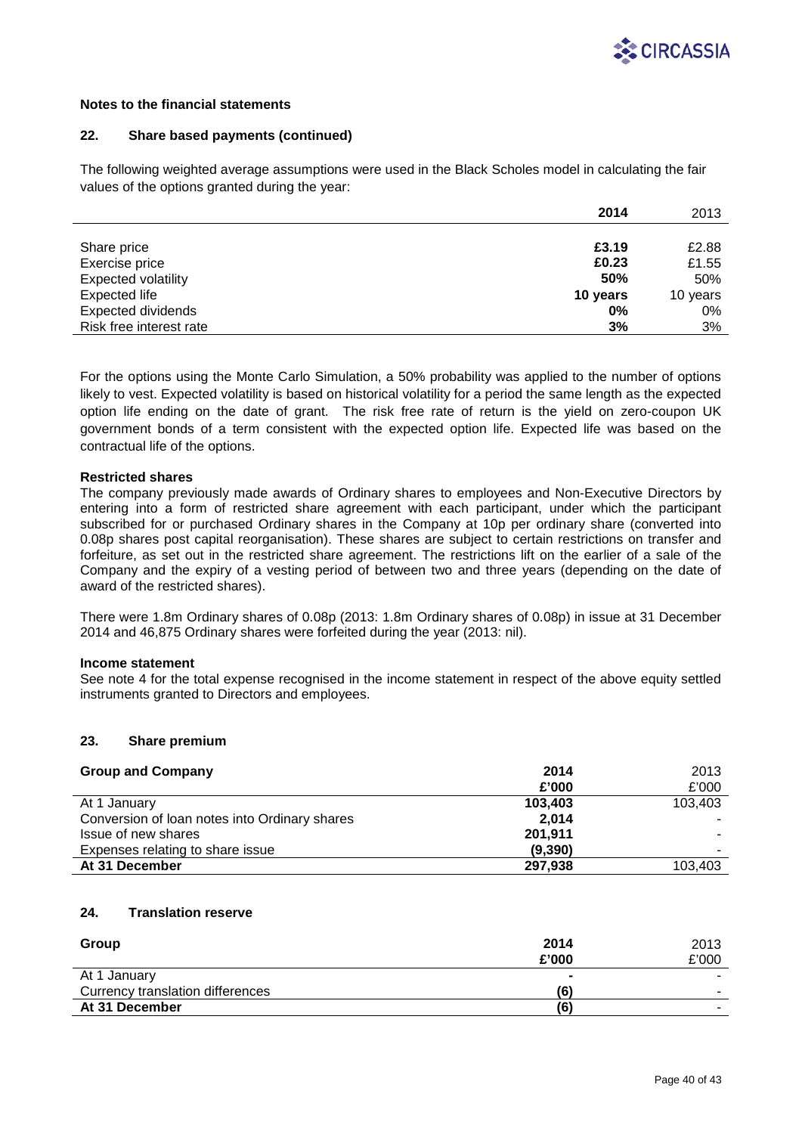

## **22. Share based payments (continued)**

The following weighted average assumptions were used in the Black Scholes model in calculating the fair values of the options granted during the year:

|                            | 2014       | 2013     |
|----------------------------|------------|----------|
|                            |            |          |
| Share price                | £3.19      | £2.88    |
| Exercise price             | £0.23      | £1.55    |
| <b>Expected volatility</b> | <b>50%</b> | 50%      |
| Expected life              | 10 years   | 10 years |
| <b>Expected dividends</b>  | 0%         | 0%       |
| Risk free interest rate    | 3%         | 3%       |

For the options using the Monte Carlo Simulation, a 50% probability was applied to the number of options likely to vest. Expected volatility is based on historical volatility for a period the same length as the expected option life ending on the date of grant. The risk free rate of return is the yield on zero-coupon UK government bonds of a term consistent with the expected option life. Expected life was based on the contractual life of the options.

## **Restricted shares**

The company previously made awards of Ordinary shares to employees and Non-Executive Directors by entering into a form of restricted share agreement with each participant, under which the participant subscribed for or purchased Ordinary shares in the Company at 10p per ordinary share (converted into 0.08p shares post capital reorganisation). These shares are subject to certain restrictions on transfer and forfeiture, as set out in the restricted share agreement. The restrictions lift on the earlier of a sale of the Company and the expiry of a vesting period of between two and three years (depending on the date of award of the restricted shares).

There were 1.8m Ordinary shares of 0.08p (2013: 1.8m Ordinary shares of 0.08p) in issue at 31 December 2014 and 46,875 Ordinary shares were forfeited during the year (2013: nil).

## **Income statement**

See note 4 for the total expense recognised in the income statement in respect of the above equity settled instruments granted to Directors and employees.

## **23. Share premium**

| <b>Group and Company</b>                      | 2014    | 2013    |
|-----------------------------------------------|---------|---------|
|                                               | £'000   | £'000   |
| At 1 January                                  | 103,403 | 103,403 |
| Conversion of Ioan notes into Ordinary shares | 2.014   |         |
| Issue of new shares                           | 201,911 |         |
| Expenses relating to share issue              | (9,390) |         |
| At 31 December                                | 297,938 | 103,403 |

## **24. Translation reserve**

| Group                            | 2014   | 2013  |
|----------------------------------|--------|-------|
|                                  | £'000  | £'000 |
| At 1 January                     | $\sim$ |       |
| Currency translation differences | (6)    |       |
| At 31 December                   | (6)    |       |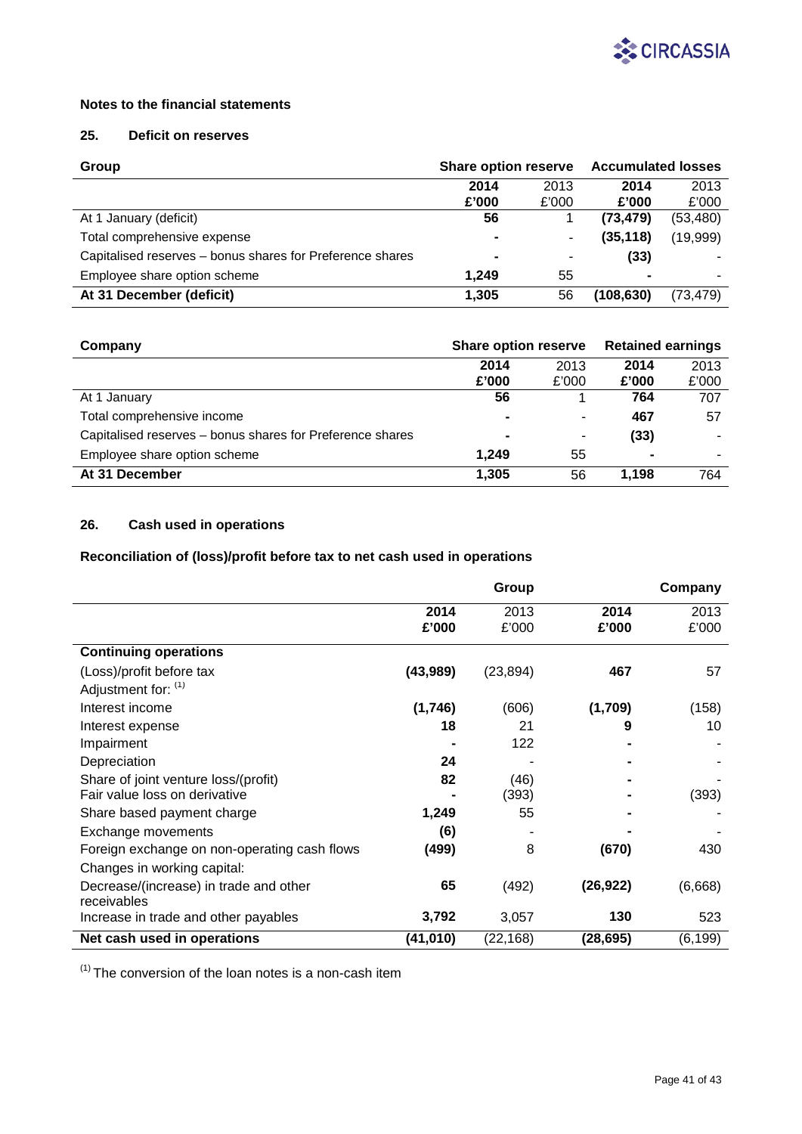

# **25. Deficit on reserves**

| Group                                                     | <b>Share option reserve</b> |       | <b>Accumulated losses</b> |           |
|-----------------------------------------------------------|-----------------------------|-------|---------------------------|-----------|
|                                                           | 2014                        | 2013  | 2014                      | 2013      |
|                                                           | £'000                       | £'000 | £'000                     | £'000     |
| At 1 January (deficit)                                    | 56                          |       | (73, 479)                 | (53,480)  |
| Total comprehensive expense                               | $\blacksquare$              | ۰     | (35, 118)                 | (19,999)  |
| Capitalised reserves – bonus shares for Preference shares | ۰                           | ٠     | (33)                      |           |
| Employee share option scheme                              | 1.249                       | 55    | $\blacksquare$            |           |
| At 31 December (deficit)                                  | 1,305                       | 56    | (108,630)                 | (73, 479) |

| Company                                                   | <b>Share option reserve</b> |       | <b>Retained earnings</b> |       |
|-----------------------------------------------------------|-----------------------------|-------|--------------------------|-------|
|                                                           | 2014                        | 2013  | 2014                     | 2013  |
|                                                           | £'000                       | £'000 | £'000                    | £'000 |
| At 1 January                                              | 56                          |       | 764                      | 707   |
| Total comprehensive income                                | $\blacksquare$              | ٠     | 467                      | 57    |
| Capitalised reserves – bonus shares for Preference shares | $\blacksquare$              | ۰     | (33)                     |       |
| Employee share option scheme                              | 1.249                       | 55    | $\blacksquare$           | ۰     |
| At 31 December                                            | 1.305                       | 56    | 1.198                    | 764   |

# **26. Cash used in operations**

# **Reconciliation of (loss)/profit before tax to net cash used in operations**

|                                              |           | Group     |           | Company  |
|----------------------------------------------|-----------|-----------|-----------|----------|
|                                              | 2014      | 2013      | 2014      | 2013     |
|                                              | £'000     | £'000     | £'000     | £'000    |
| <b>Continuing operations</b>                 |           |           |           |          |
| (Loss)/profit before tax                     | (43, 989) | (23, 894) | 467       | 57       |
| Adjustment for: (1)                          |           |           |           |          |
| Interest income                              | (1,746)   | (606)     | (1,709)   | (158)    |
| Interest expense                             | 18        | 21        | 9         | 10       |
| Impairment                                   |           | 122       |           |          |
| Depreciation                                 | 24        |           |           |          |
| Share of joint venture loss/(profit)         | 82        | (46)      |           |          |
| Fair value loss on derivative                |           | (393)     |           | (393)    |
| Share based payment charge                   | 1,249     | 55        |           |          |
| Exchange movements                           | (6)       |           |           |          |
| Foreign exchange on non-operating cash flows | (499)     | 8         | (670)     | 430      |
| Changes in working capital:                  |           |           |           |          |
| Decrease/(increase) in trade and other       | 65        | (492)     | (26, 922) | (6,668)  |
| receivables                                  |           |           | 130       | 523      |
| Increase in trade and other payables         | 3,792     | 3,057     |           |          |
| Net cash used in operations                  | (41,010)  | (22, 168) | (28, 695) | (6, 199) |

 $(1)$  The conversion of the loan notes is a non-cash item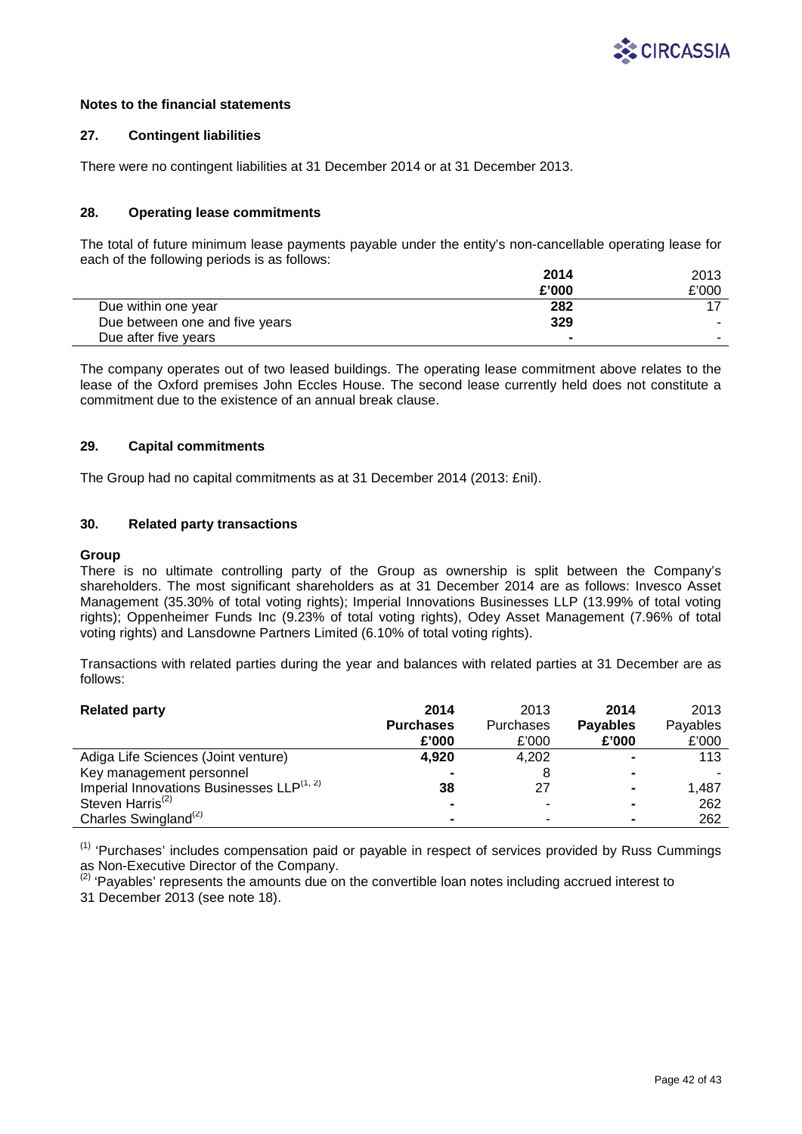

## **27. Contingent liabilities**

There were no contingent liabilities at 31 December 2014 or at 31 December 2013.

## **28. Operating lease commitments**

The total of future minimum lease payments payable under the entity's non-cancellable operating lease for each of the following periods is as follows:

|                                | 2014   | 2013  |
|--------------------------------|--------|-------|
|                                | £'000  | £'000 |
| Due within one year            | 282    |       |
| Due between one and five years | 329    |       |
| Due after five years           | $\sim$ |       |

The company operates out of two leased buildings. The operating lease commitment above relates to the lease of the Oxford premises John Eccles House. The second lease currently held does not constitute a commitment due to the existence of an annual break clause.

## **29. Capital commitments**

The Group had no capital commitments as at 31 December 2014 (2013: £nil).

## **30. Related party transactions**

## **Group**

There is no ultimate controlling party of the Group as ownership is split between the Company's shareholders. The most significant shareholders as at 31 December 2014 are as follows: Invesco Asset Management (35.30% of total voting rights); Imperial Innovations Businesses LLP (13.99% of total voting rights); Oppenheimer Funds Inc (9.23% of total voting rights), Odey Asset Management (7.96% of total voting rights) and Lansdowne Partners Limited (6.10% of total voting rights).

Transactions with related parties during the year and balances with related parties at 31 December are as follows:

| <b>Related party</b>                                  | 2014             | 2013      | 2014            | 2013     |
|-------------------------------------------------------|------------------|-----------|-----------------|----------|
|                                                       | <b>Purchases</b> | Purchases | <b>Payables</b> | Payables |
|                                                       | £'000            | £'000     | £'000           | £'000    |
| Adiga Life Sciences (Joint venture)                   | 4.920            | 4,202     |                 | 113      |
| Key management personnel                              |                  |           |                 |          |
| Imperial Innovations Businesses LLP <sup>(1, 2)</sup> | 38               | 27        |                 | 1.487    |
| Steven Harris <sup>(2)</sup>                          |                  |           |                 | 262      |
| Charles Swingland <sup>(2)</sup>                      |                  |           |                 | 262      |

 $(1)$  'Purchases' includes compensation paid or payable in respect of services provided by Russ Cummings as Non-Executive Director of the Company.

 $<sup>(2)</sup>$  'Pavables' represents the amounts due on the convertible loan notes including accrued interest to</sup> 31 December 2013 (see note 18).

Page 42 of 43